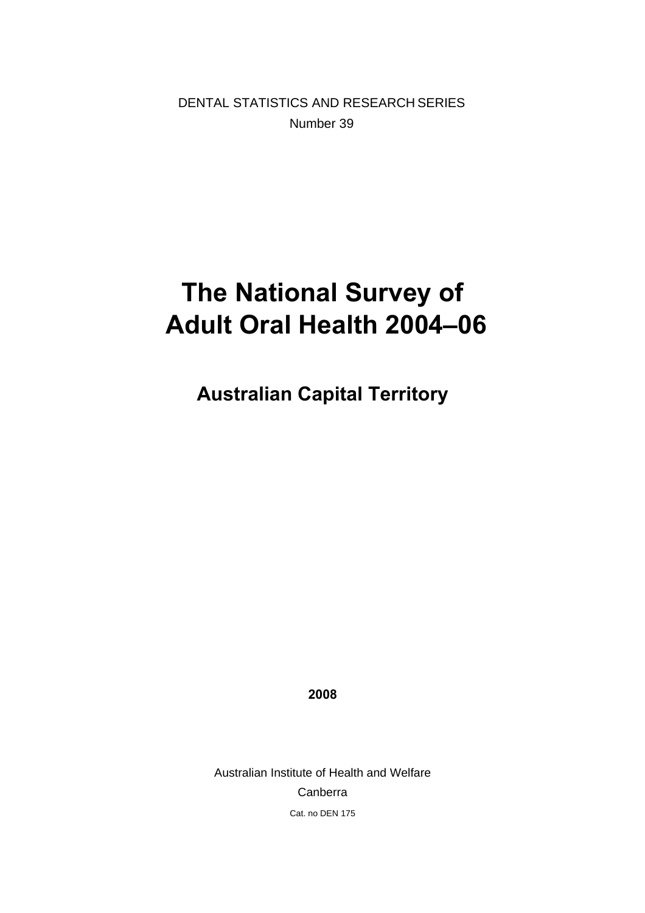DENTAL STATISTICS AND RESEARCH SERIES Number 39

# **The National Survey of Adult Oral Health 2004–06**

**Australian Capital Territory** 

**2008** 

Australian Institute of Health and Welfare Canberra Cat. no DEN 175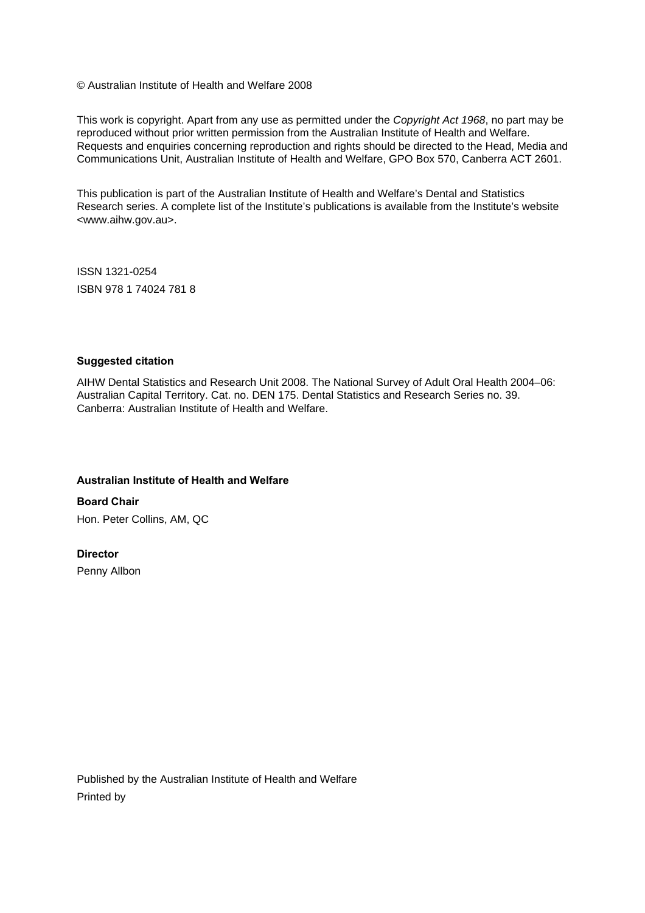© Australian Institute of Health and Welfare 2008

This work is copyright. Apart from any use as permitted under the *Copyright Act 1968*, no part may be reproduced without prior written permission from the Australian Institute of Health and Welfare. Requests and enquiries concerning reproduction and rights should be directed to the Head, Media and Communications Unit, Australian Institute of Health and Welfare, GPO Box 570, Canberra ACT 2601.

This publication is part of the Australian Institute of Health and Welfare's Dental and Statistics Research series. A complete list of the Institute's publications is available from the Institute's website <www.aihw.gov.au>.

ISSN 1321-0254 ISBN 978 1 74024 781 8

#### **Suggested citation**

AIHW Dental Statistics and Research Unit 2008. The National Survey of Adult Oral Health 2004–06: Australian Capital Territory. Cat. no. DEN 175. Dental Statistics and Research Series no. 39. Canberra: Australian Institute of Health and Welfare.

#### **Australian Institute of Health and Welfare**

**Board Chair**  Hon. Peter Collins, AM, QC

#### **Director**

Penny Allbon

Published by the Australian Institute of Health and Welfare Printed by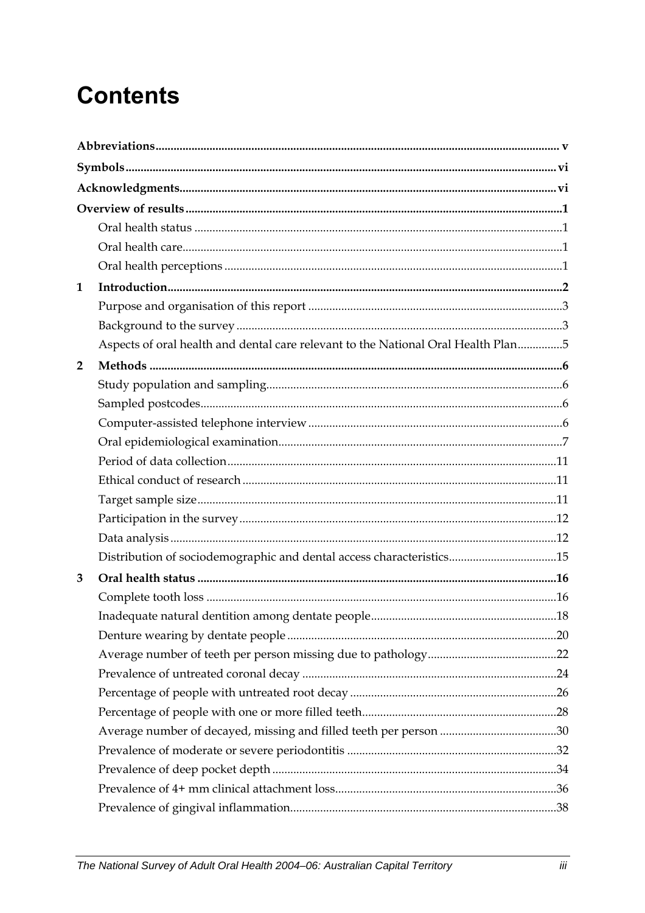# **Contents**

| 1              |                                                                                   |  |
|----------------|-----------------------------------------------------------------------------------|--|
|                |                                                                                   |  |
|                |                                                                                   |  |
|                | Aspects of oral health and dental care relevant to the National Oral Health Plan5 |  |
| $\overline{2}$ |                                                                                   |  |
|                |                                                                                   |  |
|                |                                                                                   |  |
|                |                                                                                   |  |
|                |                                                                                   |  |
|                |                                                                                   |  |
|                |                                                                                   |  |
|                |                                                                                   |  |
|                |                                                                                   |  |
|                |                                                                                   |  |
|                |                                                                                   |  |
| 3              |                                                                                   |  |
|                |                                                                                   |  |
|                |                                                                                   |  |
|                |                                                                                   |  |
|                |                                                                                   |  |
|                |                                                                                   |  |
|                |                                                                                   |  |
|                |                                                                                   |  |
|                |                                                                                   |  |
|                |                                                                                   |  |
|                |                                                                                   |  |
|                |                                                                                   |  |
|                |                                                                                   |  |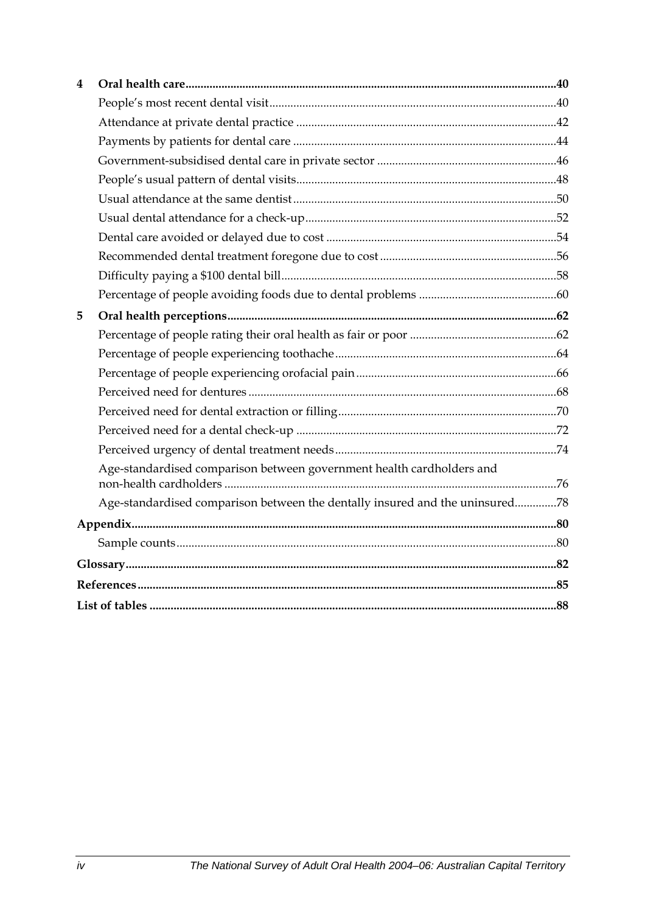| 4 |                                                                              |  |
|---|------------------------------------------------------------------------------|--|
|   |                                                                              |  |
|   |                                                                              |  |
|   |                                                                              |  |
|   |                                                                              |  |
|   |                                                                              |  |
|   |                                                                              |  |
|   |                                                                              |  |
|   |                                                                              |  |
|   |                                                                              |  |
|   |                                                                              |  |
|   |                                                                              |  |
| 5 |                                                                              |  |
|   |                                                                              |  |
|   |                                                                              |  |
|   |                                                                              |  |
|   |                                                                              |  |
|   |                                                                              |  |
|   |                                                                              |  |
|   |                                                                              |  |
|   | Age-standardised comparison between government health cardholders and        |  |
|   | Age-standardised comparison between the dentally insured and the uninsured78 |  |
|   |                                                                              |  |
|   |                                                                              |  |
|   |                                                                              |  |
|   |                                                                              |  |
|   |                                                                              |  |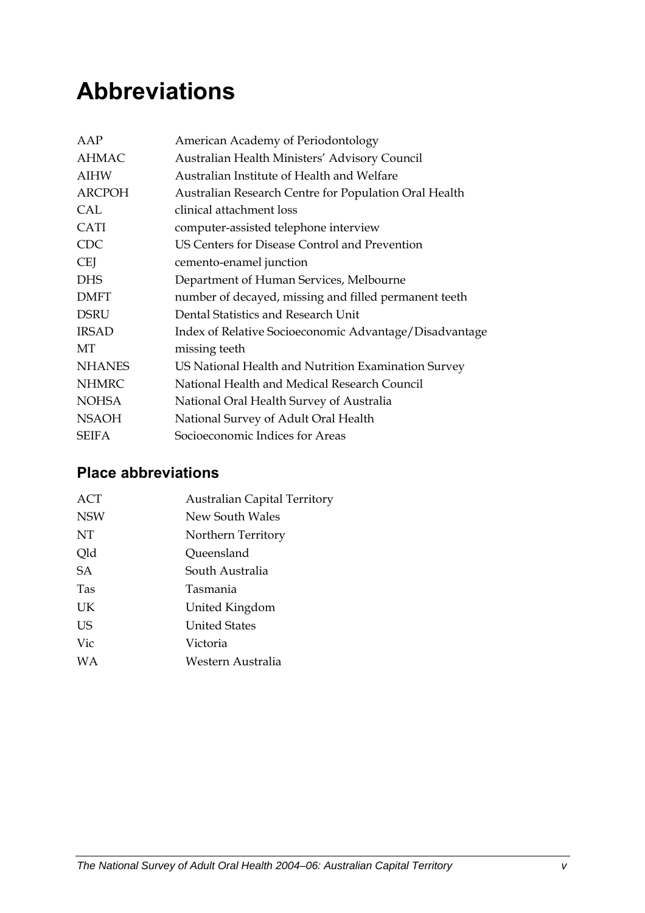# <span id="page-4-0"></span>**Abbreviations**

| American Academy of Periodontology                     |
|--------------------------------------------------------|
| Australian Health Ministers' Advisory Council          |
| Australian Institute of Health and Welfare             |
| Australian Research Centre for Population Oral Health  |
| clinical attachment loss                               |
| computer-assisted telephone interview                  |
| US Centers for Disease Control and Prevention          |
| cemento-enamel junction                                |
| Department of Human Services, Melbourne                |
| number of decayed, missing and filled permanent teeth  |
| Dental Statistics and Research Unit                    |
| Index of Relative Socioeconomic Advantage/Disadvantage |
| missing teeth                                          |
| US National Health and Nutrition Examination Survey    |
| National Health and Medical Research Council           |
| National Oral Health Survey of Australia               |
| National Survey of Adult Oral Health                   |
| Socioeconomic Indices for Areas                        |
|                                                        |

### **Place abbreviations**

| <b>ACT</b> | <b>Australian Capital Territory</b> |
|------------|-------------------------------------|
| <b>NSW</b> | New South Wales                     |
| NT         | Northern Territory                  |
| Qld        | Queensland                          |
| <b>SA</b>  | South Australia                     |
| <b>Tas</b> | Tasmania                            |
| UK         | United Kingdom                      |
| <b>US</b>  | <b>United States</b>                |
| Vic        | Victoria                            |
| WA         | Western Australia                   |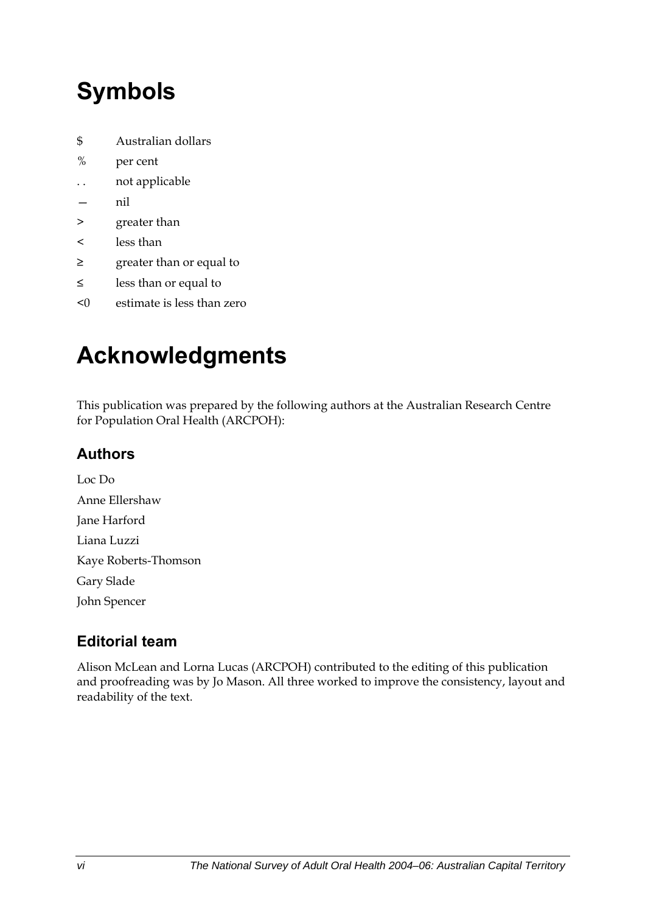# <span id="page-5-0"></span>**Symbols**

- \$ Australian dollars
- % per cent
- . . not applicable
- nil
- > greater than
- < less than
- ≥ greater than or equal to
- ≤ less than or equal to
- <0 estimate is less than zero

# **Acknowledgments**

This publication was prepared by the following authors at the Australian Research Centre for Population Oral Health (ARCPOH):

### **Authors**

Loc Do Anne Ellershaw Jane Harford Liana Luzzi Kaye Roberts-Thomson Gary Slade John Spencer

### **Editorial team**

Alison McLean and Lorna Lucas (ARCPOH) contributed to the editing of this publication and proofreading was by Jo Mason. All three worked to improve the consistency, layout and readability of the text.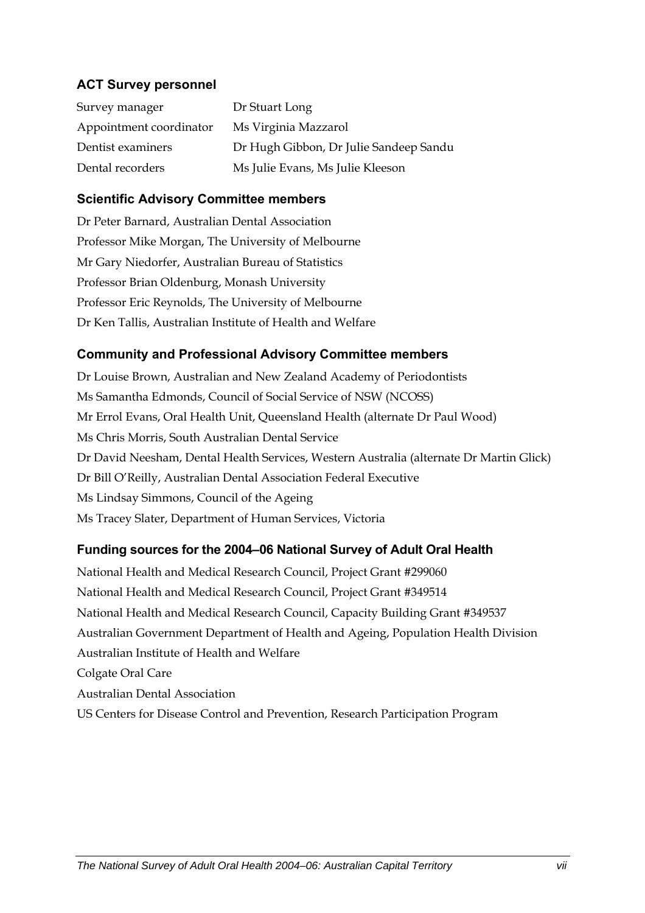#### **ACT Survey personnel**

| Survey manager          | Dr Stuart Long                         |
|-------------------------|----------------------------------------|
| Appointment coordinator | Ms Virginia Mazzarol                   |
| Dentist examiners       | Dr Hugh Gibbon, Dr Julie Sandeep Sandu |
| Dental recorders        | Ms Julie Evans, Ms Julie Kleeson       |

#### **Scientific Advisory Committee members**

Dr Peter Barnard, Australian Dental Association Professor Mike Morgan, The University of Melbourne Mr Gary Niedorfer, Australian Bureau of Statistics Professor Brian Oldenburg, Monash University Professor Eric Reynolds, The University of Melbourne Dr Ken Tallis, Australian Institute of Health and Welfare

#### **Community and Professional Advisory Committee members**

Dr Louise Brown, Australian and New Zealand Academy of Periodontists Ms Samantha Edmonds, Council of Social Service of NSW (NCOSS) Mr Errol Evans, Oral Health Unit, Queensland Health (alternate Dr Paul Wood) Ms Chris Morris, South Australian Dental Service Dr David Neesham, Dental Health Services, Western Australia (alternate Dr Martin Glick) Dr Bill O'Reilly, Australian Dental Association Federal Executive Ms Lindsay Simmons, Council of the Ageing Ms Tracey Slater, Department of Human Services, Victoria

#### **Funding sources for the 2004–06 National Survey of Adult Oral Health**

National Health and Medical Research Council, Project Grant #299060 National Health and Medical Research Council, Project Grant #349514 National Health and Medical Research Council, Capacity Building Grant #349537 Australian Government Department of Health and Ageing, Population Health Division Australian Institute of Health and Welfare Colgate Oral Care Australian Dental Association US Centers for Disease Control and Prevention, Research Participation Program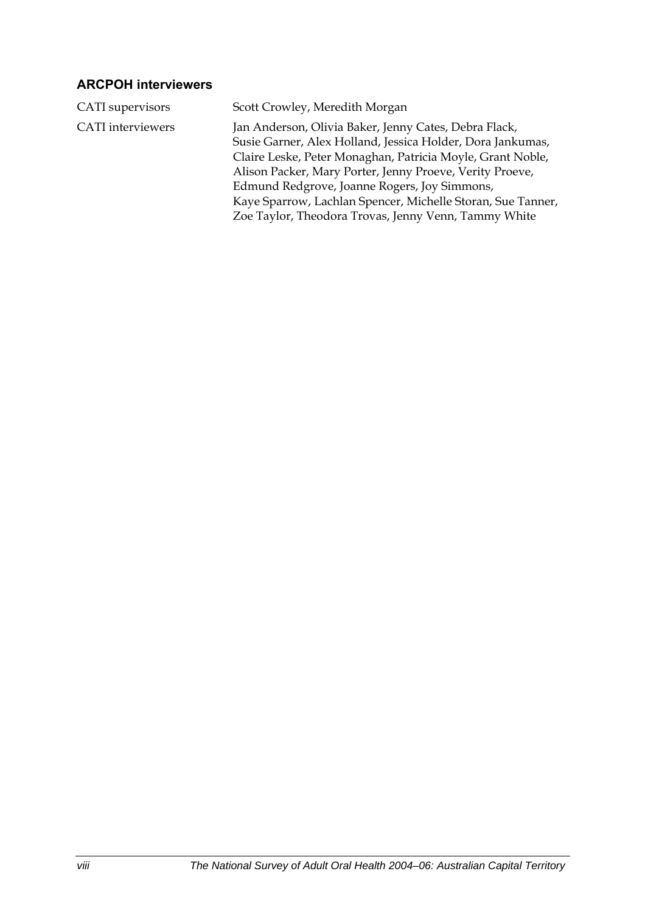#### **ARCPOH interviewers**

| CATI supervisors         | Scott Crowley, Meredith Morgan                                                                                                                                                                                                                                                                                                                                                                                       |
|--------------------------|----------------------------------------------------------------------------------------------------------------------------------------------------------------------------------------------------------------------------------------------------------------------------------------------------------------------------------------------------------------------------------------------------------------------|
| <b>CATI</b> interviewers | Jan Anderson, Olivia Baker, Jenny Cates, Debra Flack,<br>Susie Garner, Alex Holland, Jessica Holder, Dora Jankumas,<br>Claire Leske, Peter Monaghan, Patricia Moyle, Grant Noble,<br>Alison Packer, Mary Porter, Jenny Proeve, Verity Proeve,<br>Edmund Redgrove, Joanne Rogers, Joy Simmons,<br>Kaye Sparrow, Lachlan Spencer, Michelle Storan, Sue Tanner,<br>Zoe Taylor, Theodora Trovas, Jenny Venn, Tammy White |
|                          |                                                                                                                                                                                                                                                                                                                                                                                                                      |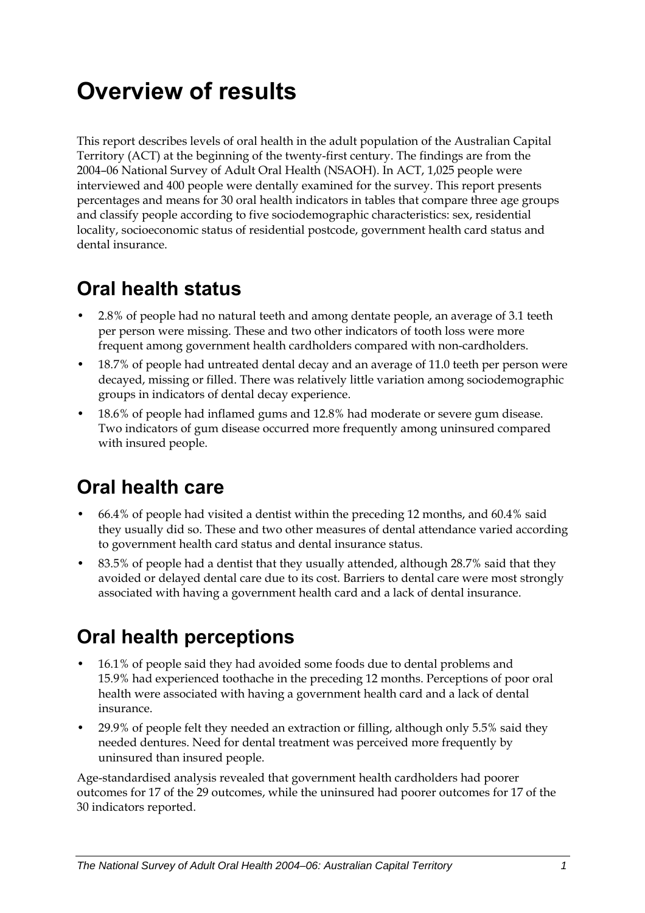# <span id="page-8-0"></span>**Overview of results**

This report describes levels of oral health in the adult population of the Australian Capital Territory (ACT) at the beginning of the twenty-first century. The findings are from the 2004–06 National Survey of Adult Oral Health (NSAOH). In ACT, 1,025 people were interviewed and 400 people were dentally examined for the survey. This report presents percentages and means for 30 oral health indicators in tables that compare three age groups and classify people according to five sociodemographic characteristics: sex, residential locality, socioeconomic status of residential postcode, government health card status and dental insurance.

## **Oral health status**

- 2.8% of people had no natural teeth and among dentate people, an average of 3.1 teeth per person were missing. These and two other indicators of tooth loss were more frequent among government health cardholders compared with non-cardholders.
- 18.7% of people had untreated dental decay and an average of 11.0 teeth per person were decayed, missing or filled. There was relatively little variation among sociodemographic groups in indicators of dental decay experience.
- 18.6% of people had inflamed gums and 12.8% had moderate or severe gum disease. Two indicators of gum disease occurred more frequently among uninsured compared with insured people.

## **Oral health care**

- 66.4% of people had visited a dentist within the preceding 12 months, and 60.4% said they usually did so. These and two other measures of dental attendance varied according to government health card status and dental insurance status.
- 83.5% of people had a dentist that they usually attended, although 28.7% said that they avoided or delayed dental care due to its cost. Barriers to dental care were most strongly associated with having a government health card and a lack of dental insurance.

## **Oral health perceptions**

- 16.1% of people said they had avoided some foods due to dental problems and 15.9% had experienced toothache in the preceding 12 months. Perceptions of poor oral health were associated with having a government health card and a lack of dental insurance.
- 29.9% of people felt they needed an extraction or filling, although only 5.5% said they needed dentures. Need for dental treatment was perceived more frequently by uninsured than insured people.

Age-standardised analysis revealed that government health cardholders had poorer outcomes for 17 of the 29 outcomes, while the uninsured had poorer outcomes for 17 of the 30 indicators reported.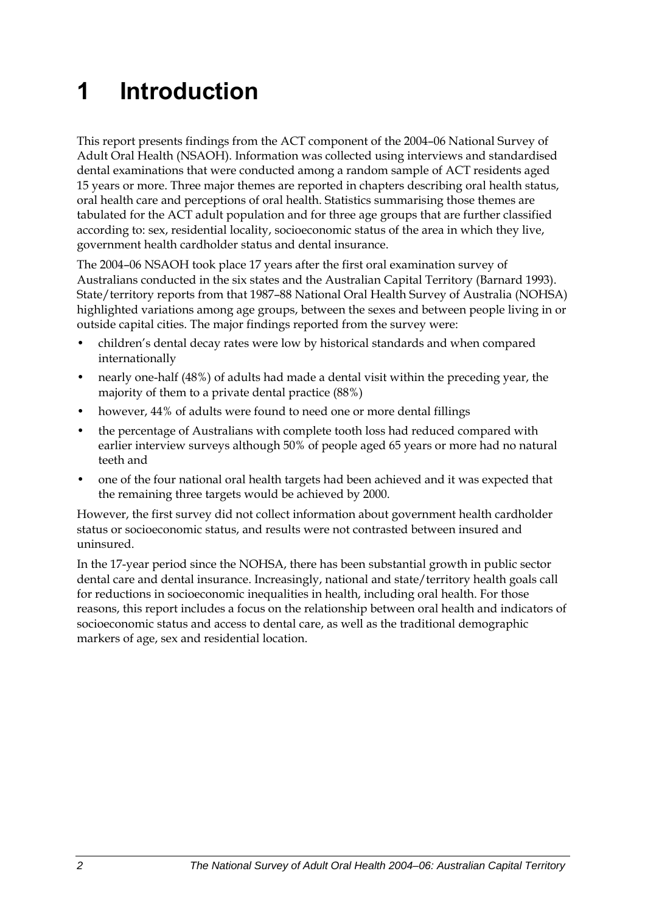# <span id="page-9-0"></span>**1 Introduction**

<span id="page-9-1"></span>This report presents findings from the ACT component of the 2004–06 National Survey of Adult Oral Health (NSAOH). Information was collected using interviews and standardised dental examinations that were conducted among a random sample of ACT residents aged 15 years or more. Three major themes are reported in chapters describing oral health status, oral health care and perceptions of oral health. Statistics summarising those themes are tabulated for the [ACT](#page-9-1) adult population and for three age groups that are further classified according to: sex, residential locality, socioeconomic status of the area in which they live, government health cardholder status and dental insurance.

The 2004–06 NSAOH took place 17 years after the first oral examination survey of Australians conducted in the six states and the Australian Capital Territory (Barnard 1993). State/territory reports from that 1987-88 National Oral Health Survey of Australia (NOHSA) highlighted variations among age groups, between the sexes and between people living in or outside capital cities. The major findings reported from the survey were:

- children's dental decay rates were low by historical standards and when compared internationally
- nearly one-half (48%) of adults had made a dental visit within the preceding year, the majority of them to a private dental practice (88%)
- however, 44% of adults were found to need one or more dental fillings
- the percentage of Australians with complete tooth loss had reduced compared with earlier interview surveys although 50% of people aged 65 years or more had no natural teeth and
- one of the four national oral health targets had been achieved and it was expected that the remaining three targets would be achieved by 2000.

However, the first survey did not collect information about government health cardholder status or socioeconomic status, and results were not contrasted between insured and uninsured.

In the 17-year period since the NOHSA, there has been substantial growth in public sector dental care and dental insurance. Increasingly, national and state/territory health goals call for reductions in socioeconomic inequalities in health, including oral health. For those reasons, this report includes a focus on the relationship between oral health and indicators of socioeconomic status and access to dental care, as well as the traditional demographic markers of age, sex and residential location.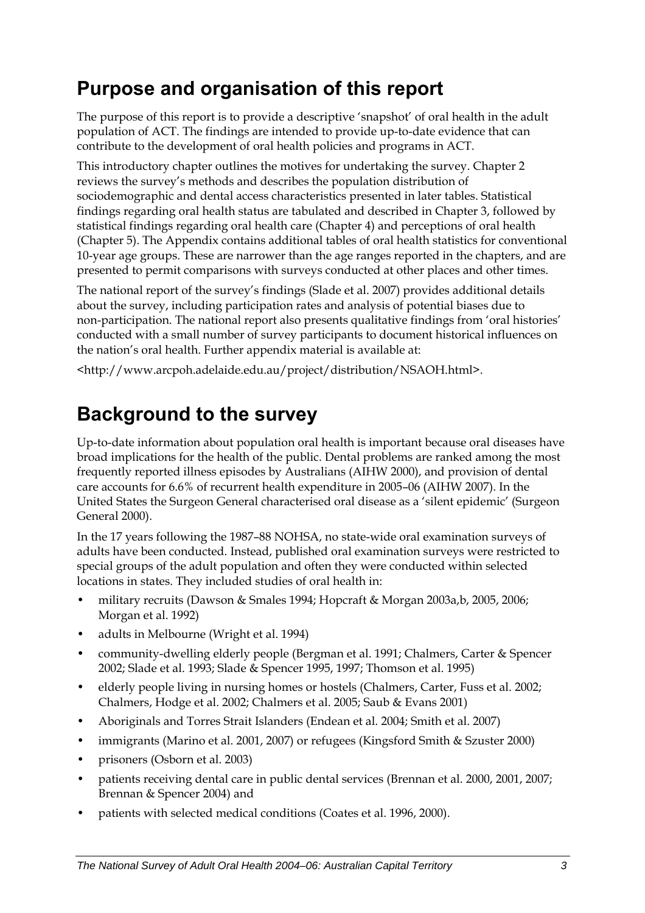## <span id="page-10-0"></span>**Purpose and organisation of this report**

The purpose of this report is to provide a descriptive 'snapshot' of oral health in the adult population of [ACT.](#page-9-1) The findings are intended to provide up-to-date evidence that can contribute to the development of oral health policies and programs in [ACT](#page-9-1).

This introductory chapter outlines the motives for undertaking the survey. Chapter 2 reviews the survey's methods and describes the population distribution of sociodemographic and dental access characteristics presented in later tables. Statistical findings regarding oral health status are tabulated and described in Chapter 3, followed by statistical findings regarding oral health care (Chapter 4) and perceptions of oral health (Chapter 5). The Appendix contains additional tables of oral health statistics for conventional 10-year age groups. These are narrower than the age ranges reported in the chapters, and are presented to permit comparisons with surveys conducted at other places and other times.

The national report of the survey's findings (Slade et al. 2007) provides additional details about the survey, including participation rates and analysis of potential biases due to non-participation. The national report also presents qualitative findings from 'oral histories' conducted with a small number of survey participants to document historical influences on the nation's oral health. Further appendix material is available at:

<http://www.arcpoh.adelaide.edu.au/project/distribution/NSAOH.html>.

## **Background to the survey**

Up-to-date information about population oral health is important because oral diseases have broad implications for the health of the public. Dental problems are ranked among the most frequently reported illness episodes by Australians (AIHW 2000), and provision of dental care accounts for 6.6% of recurrent health expenditure in 2005–06 (AIHW 2007). In the United States the Surgeon General characterised oral disease as a 'silent epidemic' (Surgeon General 2000).

In the 17 years following the 1987–88 NOHSA, no state-wide oral examination surveys of adults have been conducted. Instead, published oral examination surveys were restricted to special groups of the adult population and often they were conducted within selected locations in states. They included studies of oral health in:

- military recruits (Dawson & Smales 1994; Hopcraft & Morgan 2003a,b, 2005, 2006; Morgan et al. 1992)
- adults in Melbourne (Wright et al. 1994)
- community-dwelling elderly people (Bergman et al. 1991; Chalmers, Carter & Spencer 2002; Slade et al. 1993; Slade & Spencer 1995, 1997; Thomson et al. 1995)
- elderly people living in nursing homes or hostels (Chalmers, Carter, Fuss et al. 2002; Chalmers, Hodge et al. 2002; Chalmers et al. 2005; Saub & Evans 2001)
- Aboriginals and Torres Strait Islanders (Endean et al. 2004; Smith et al. 2007)
- immigrants (Marino et al. 2001, 2007) or refugees (Kingsford Smith & Szuster 2000)
- prisoners (Osborn et al. 2003)
- patients receiving dental care in public dental services (Brennan et al. 2000, 2001, 2007; Brennan & Spencer 2004) and
- patients with selected medical conditions (Coates et al. 1996, 2000).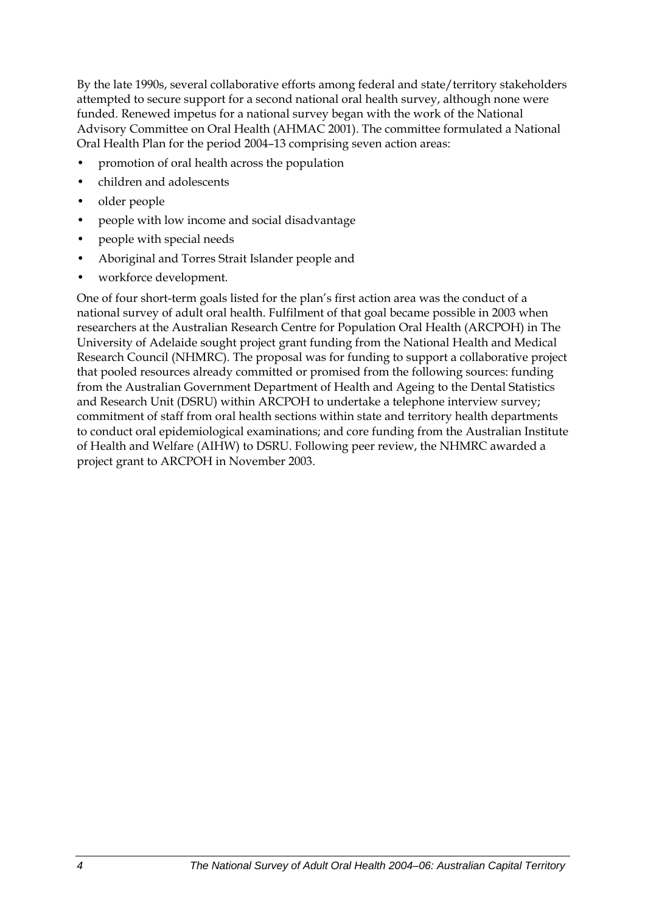By the late 1990s, several collaborative efforts among federal and state/territory stakeholders attempted to secure support for a second national oral health survey, although none were funded. Renewed impetus for a national survey began with the work of the National Advisory Committee on Oral Health (AHMAC 2001). The committee formulated a National Oral Health Plan for the period 2004–13 comprising seven action areas:

- promotion of oral health across the population
- children and adolescents
- older people
- people with low income and social disadvantage
- people with special needs
- Aboriginal and Torres Strait Islander people and
- workforce development.

One of four short-term goals listed for the plan's first action area was the conduct of a national survey of adult oral health. Fulfilment of that goal became possible in 2003 when researchers at the Australian Research Centre for Population Oral Health (ARCPOH) in The University of Adelaide sought project grant funding from the National Health and Medical Research Council (NHMRC). The proposal was for funding to support a collaborative project that pooled resources already committed or promised from the following sources: funding from the Australian Government Department of Health and Ageing to the Dental Statistics and Research Unit (DSRU) within ARCPOH to undertake a telephone interview survey; commitment of staff from oral health sections within state and territory health departments to conduct oral epidemiological examinations; and core funding from the Australian Institute of Health and Welfare (AIHW) to DSRU. Following peer review, the NHMRC awarded a project grant to ARCPOH in November 2003.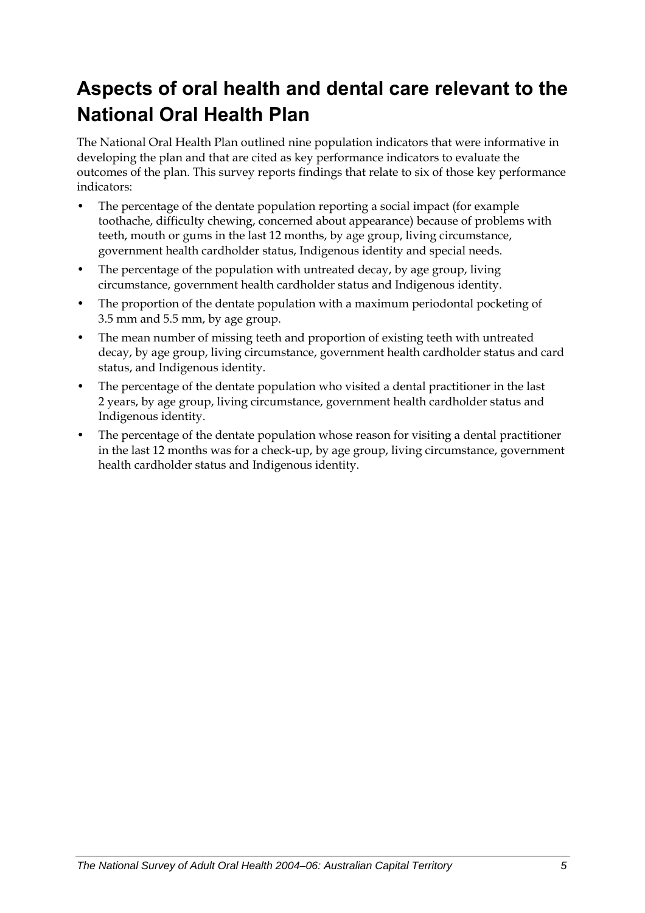## <span id="page-12-0"></span>**Aspects of oral health and dental care relevant to the National Oral Health Plan**

The National Oral Health Plan outlined nine population indicators that were informative in developing the plan and that are cited as key performance indicators to evaluate the outcomes of the plan. This survey reports findings that relate to six of those key performance indicators:

- The percentage of the dentate population reporting a social impact (for example toothache, difficulty chewing, concerned about appearance) because of problems with teeth, mouth or gums in the last 12 months, by age group, living circumstance, government health cardholder status, Indigenous identity and special needs.
- The percentage of the population with untreated decay, by age group, living circumstance, government health cardholder status and Indigenous identity.
- The proportion of the dentate population with a maximum periodontal pocketing of 3.5 mm and 5.5 mm, by age group.
- The mean number of missing teeth and proportion of existing teeth with untreated decay, by age group, living circumstance, government health cardholder status and card status, and Indigenous identity.
- The percentage of the dentate population who visited a dental practitioner in the last 2 years, by age group, living circumstance, government health cardholder status and Indigenous identity.
- The percentage of the dentate population whose reason for visiting a dental practitioner in the last 12 months was for a check-up, by age group, living circumstance, government health cardholder status and Indigenous identity.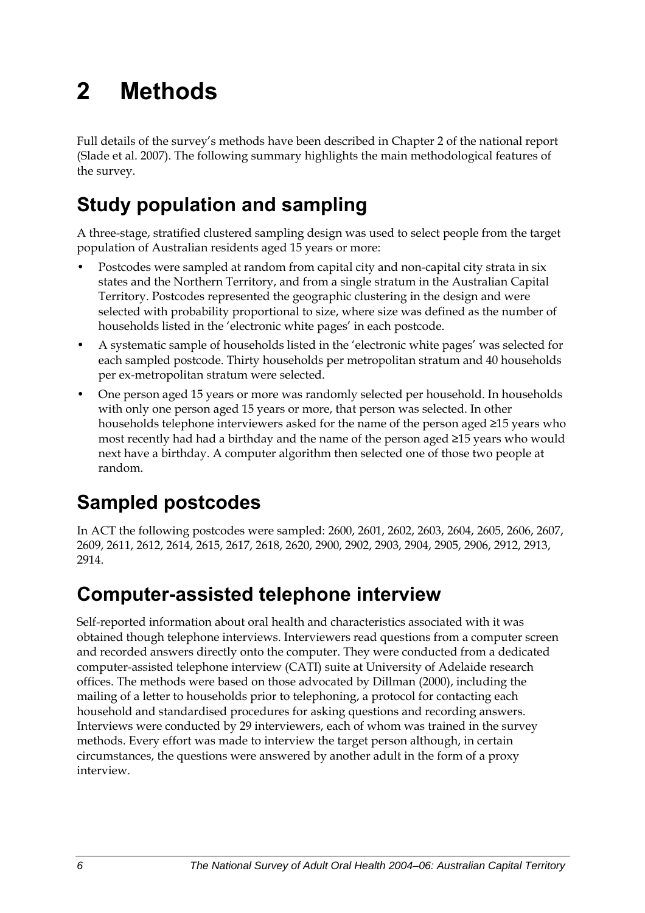# <span id="page-13-0"></span>**2 Methods**

Full details of the survey's methods have been described in Chapter 2 of the national report (Slade et al. 2007). The following summary highlights the main methodological features of the survey.

## **Study population and sampling**

A three-stage, stratified clustered sampling design was used to select people from the target population of Australian residents aged 15 years or more:

- Postcodes were sampled at random from capital city and non-capital city strata in six states and the Northern Territory, and from a single stratum in the Australian Capital Territory. Postcodes represented the geographic clustering in the design and were selected with probability proportional to size, where size was defined as the number of households listed in the 'electronic white pages' in each postcode.
- A systematic sample of households listed in the 'electronic white pages' was selected for each sampled postcode. Thirty households per metropolitan stratum and 40 households per ex-metropolitan stratum were selected.
- One person aged 15 years or more was randomly selected per household. In households with only one person aged 15 years or more, that person was selected. In other households telephone interviewers asked for the name of the person aged ≥15 years who most recently had had a birthday and the name of the person aged ≥15 years who would next have a birthday. A computer algorithm then selected one of those two people at random.

## **Sampled postcodes**

In ACT the following postcodes were sampled: 2600, 2601, 2602, 2603, 2604, 2605, 2606, 2607, 2609, 2611, 2612, 2614, 2615, 2617, 2618, 2620, 2900, 2902, 2903, 2904, 2905, 2906, 2912, 2913, 2914.

## **Computer-assisted telephone interview**

Self-reported information about oral health and characteristics associated with it was obtained though telephone interviews. Interviewers read questions from a computer screen and recorded answers directly onto the computer. They were conducted from a dedicated computer-assisted telephone interview (CATI) suite at University of Adelaide research offices. The methods were based on those advocated by Dillman (2000), including the mailing of a letter to households prior to telephoning, a protocol for contacting each household and standardised procedures for asking questions and recording answers. Interviews were conducted by 29 interviewers, each of whom was trained in the survey methods. Every effort was made to interview the target person although, in certain circumstances, the questions were answered by another adult in the form of a proxy interview.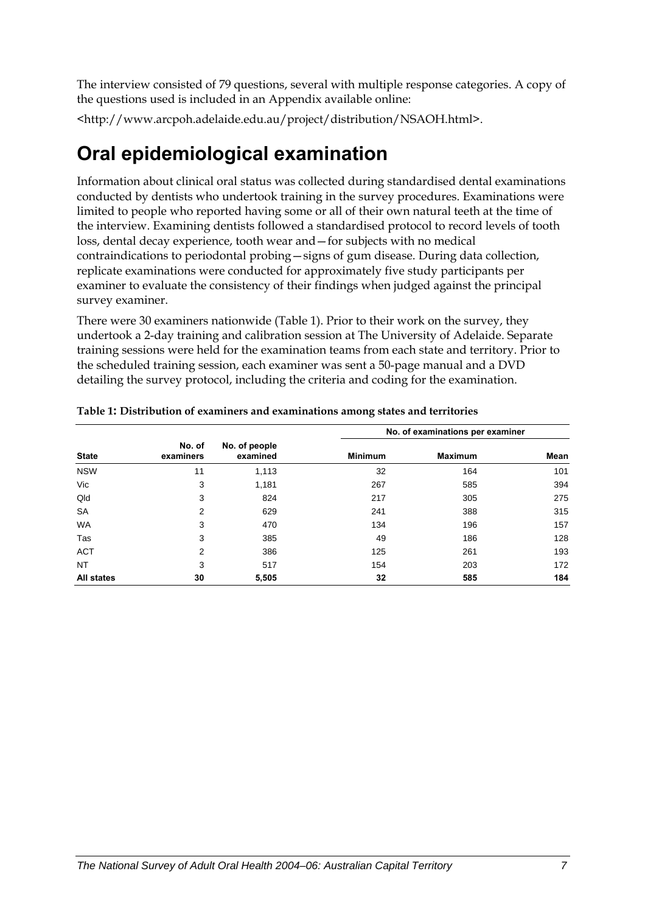<span id="page-14-0"></span>The interview consisted of 79 questions, several with multiple response categories. A copy of the questions used is included in an Appendix available online:

<http://www.arcpoh.adelaide.edu.au/project/distribution/NSAOH.html>.

## **Oral epidemiological examination**

Information about clinical oral status was collected during standardised dental examinations conducted by dentists who undertook training in the survey procedures. Examinations were limited to people who reported having some or all of their own natural teeth at the time of the interview. Examining dentists followed a standardised protocol to record levels of tooth loss, dental decay experience, tooth wear and—for subjects with no medical contraindications to periodontal probing—signs of gum disease. During data collection, replicate examinations were conducted for approximately five study participants per examiner to evaluate the consistency of their findings when judged against the principal survey examiner.

There were 30 examiners nationwide ([Table 1\)](#page-14-1). Prior to their work on the survey, they undertook a 2-day training and calibration session at The University of Adelaide. Separate training sessions were held for the examination teams from each state and territory. Prior to the scheduled training session, each examiner was sent a 50-page manual and a DVD detailing the survey protocol, including the criteria and coding for the examination.

|                   |                     |                           |                | No. of examinations per examiner |      |  |
|-------------------|---------------------|---------------------------|----------------|----------------------------------|------|--|
| <b>State</b>      | No. of<br>examiners | No. of people<br>examined | <b>Minimum</b> | <b>Maximum</b>                   | Mean |  |
| <b>NSW</b>        | 11                  | 1,113                     | 32             | 164                              | 101  |  |
| Vic               | 3                   | 1,181                     | 267            | 585                              | 394  |  |
| Qld               | 3                   | 824                       | 217            | 305                              | 275  |  |
| <b>SA</b>         | 2                   | 629                       | 241            | 388                              | 315  |  |
| <b>WA</b>         | 3                   | 470                       | 134            | 196                              | 157  |  |
| Tas               | 3                   | 385                       | 49             | 186                              | 128  |  |
| <b>ACT</b>        | 2                   | 386                       | 125            | 261                              | 193  |  |
| <b>NT</b>         | 3                   | 517                       | 154            | 203                              | 172  |  |
| <b>All states</b> | 30                  | 5,505                     | 32             | 585                              | 184  |  |

<span id="page-14-1"></span>**Table 1: Distribution of examiners and examinations among states and territories**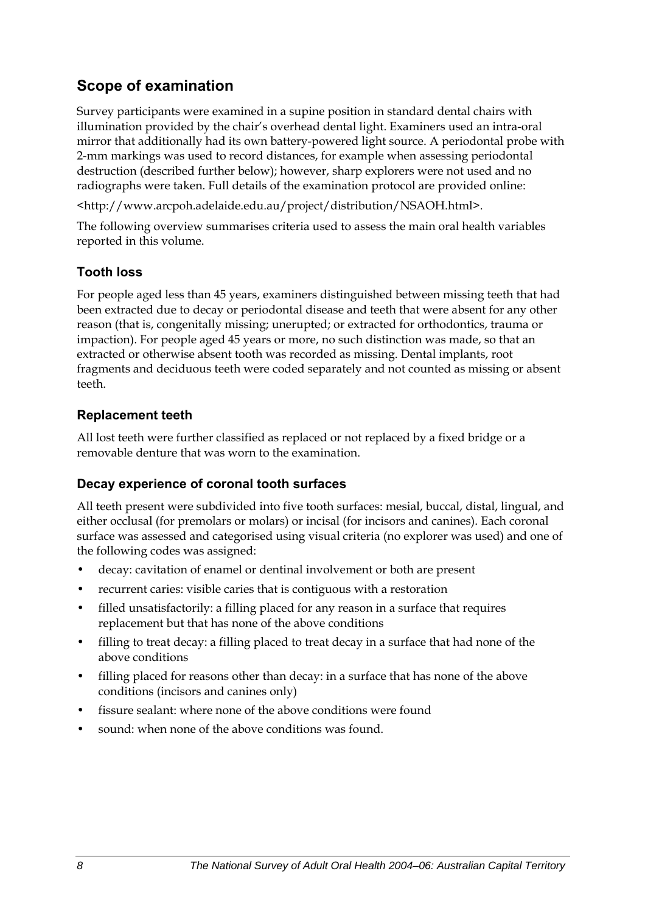### **Scope of examination**

Survey participants were examined in a supine position in standard dental chairs with illumination provided by the chair's overhead dental light. Examiners used an intra-oral mirror that additionally had its own battery-powered light source. A periodontal probe with 2-mm markings was used to record distances, for example when assessing periodontal destruction (described further below); however, sharp explorers were not used and no radiographs were taken. Full details of the examination protocol are provided online:

<http://www.arcpoh.adelaide.edu.au/project/distribution/NSAOH.html>.

The following overview summarises criteria used to assess the main oral health variables reported in this volume.

#### **Tooth loss**

For people aged less than 45 years, examiners distinguished between missing teeth that had been extracted due to decay or periodontal disease and teeth that were absent for any other reason (that is, congenitally missing; unerupted; or extracted for orthodontics, trauma or impaction). For people aged 45 years or more, no such distinction was made, so that an extracted or otherwise absent tooth was recorded as missing. Dental implants, root fragments and deciduous teeth were coded separately and not counted as missing or absent teeth.

#### **Replacement teeth**

All lost teeth were further classified as replaced or not replaced by a fixed bridge or a removable denture that was worn to the examination.

#### **Decay experience of coronal tooth surfaces**

All teeth present were subdivided into five tooth surfaces: mesial, buccal, distal, lingual, and either occlusal (for premolars or molars) or incisal (for incisors and canines). Each coronal surface was assessed and categorised using visual criteria (no explorer was used) and one of the following codes was assigned:

- decay: cavitation of enamel or dentinal involvement or both are present
- recurrent caries: visible caries that is contiguous with a restoration
- filled unsatisfactorily: a filling placed for any reason in a surface that requires replacement but that has none of the above conditions
- filling to treat decay: a filling placed to treat decay in a surface that had none of the above conditions
- filling placed for reasons other than decay: in a surface that has none of the above conditions (incisors and canines only)
- fissure sealant: where none of the above conditions were found
- sound: when none of the above conditions was found.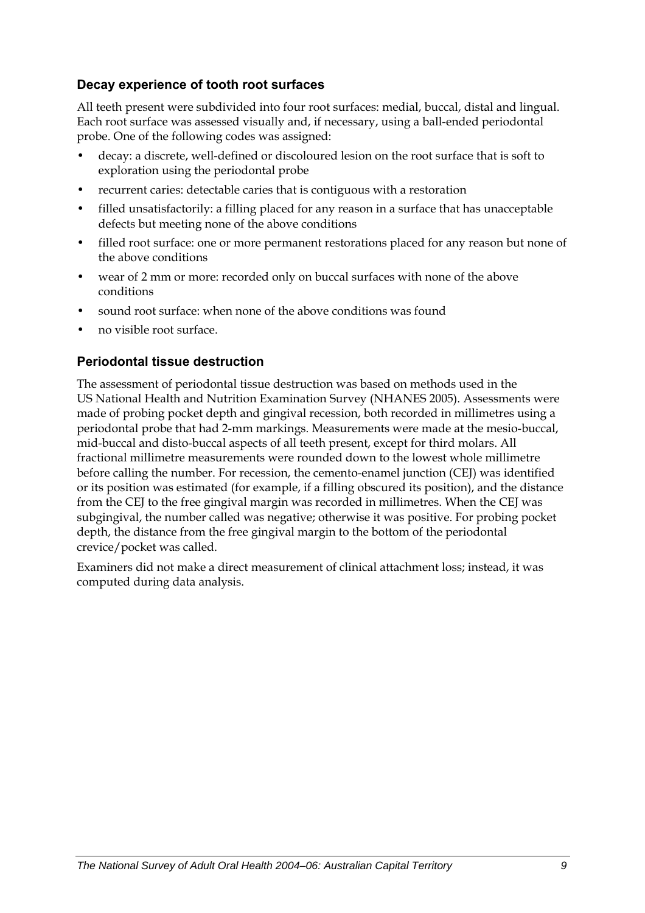#### **Decay experience of tooth root surfaces**

All teeth present were subdivided into four root surfaces: medial, buccal, distal and lingual. Each root surface was assessed visually and, if necessary, using a ball-ended periodontal probe. One of the following codes was assigned:

- decay: a discrete, well-defined or discoloured lesion on the root surface that is soft to exploration using the periodontal probe
- recurrent caries: detectable caries that is contiguous with a restoration
- filled unsatisfactorily: a filling placed for any reason in a surface that has unacceptable defects but meeting none of the above conditions
- filled root surface: one or more permanent restorations placed for any reason but none of the above conditions
- wear of 2 mm or more: recorded only on buccal surfaces with none of the above conditions
- sound root surface: when none of the above conditions was found
- no visible root surface.

#### **Periodontal tissue destruction**

The assessment of periodontal tissue destruction was based on methods used in the US National Health and Nutrition Examination Survey (NHANES 2005). Assessments were made of probing pocket depth and gingival recession, both recorded in millimetres using a periodontal probe that had 2-mm markings. Measurements were made at the mesio-buccal, mid-buccal and disto-buccal aspects of all teeth present, except for third molars. All fractional millimetre measurements were rounded down to the lowest whole millimetre before calling the number. For recession, the cemento-enamel junction (CEJ) was identified or its position was estimated (for example, if a filling obscured its position), and the distance from the CEJ to the free gingival margin was recorded in millimetres. When the CEJ was subgingival, the number called was negative; otherwise it was positive. For probing pocket depth, the distance from the free gingival margin to the bottom of the periodontal crevice/pocket was called.

Examiners did not make a direct measurement of clinical attachment loss; instead, it was computed during data analysis.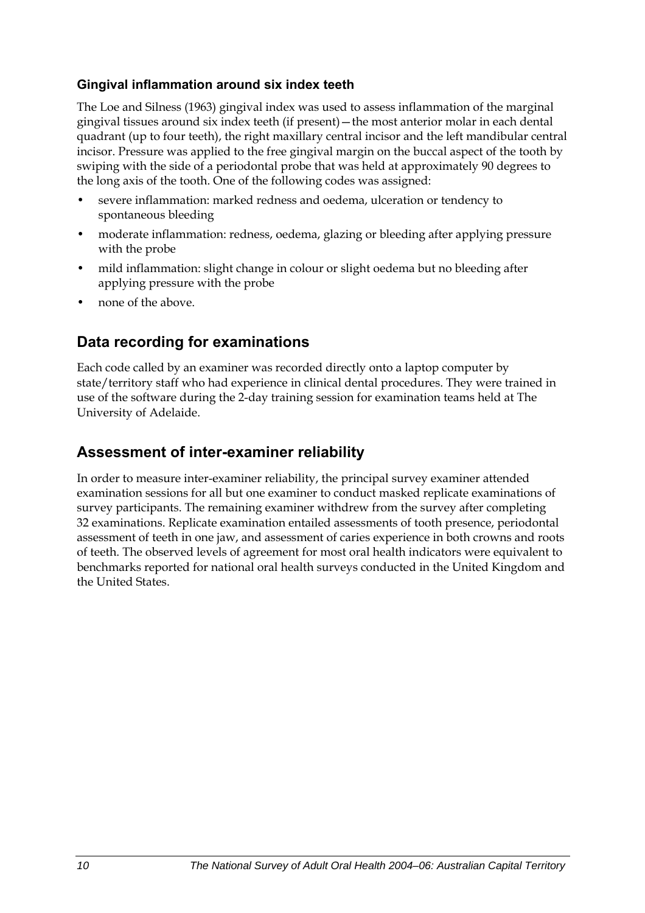#### **Gingival inflammation around six index teeth**

The Loe and Silness (1963) gingival index was used to assess inflammation of the marginal gingival tissues around six index teeth (if present)—the most anterior molar in each dental quadrant (up to four teeth), the right maxillary central incisor and the left mandibular central incisor. Pressure was applied to the free gingival margin on the buccal aspect of the tooth by swiping with the side of a periodontal probe that was held at approximately 90 degrees to the long axis of the tooth. One of the following codes was assigned:

- severe inflammation: marked redness and oedema, ulceration or tendency to spontaneous bleeding
- moderate inflammation: redness, oedema, glazing or bleeding after applying pressure with the probe
- mild inflammation: slight change in colour or slight oedema but no bleeding after applying pressure with the probe
- none of the above.

#### **Data recording for examinations**

Each code called by an examiner was recorded directly onto a laptop computer by state/territory staff who had experience in clinical dental procedures. They were trained in use of the software during the 2-day training session for examination teams held at The University of Adelaide.

#### **Assessment of inter-examiner reliability**

In order to measure inter-examiner reliability, the principal survey examiner attended examination sessions for all but one examiner to conduct masked replicate examinations of survey participants. The remaining examiner withdrew from the survey after completing 32 examinations. Replicate examination entailed assessments of tooth presence, periodontal assessment of teeth in one jaw, and assessment of caries experience in both crowns and roots of teeth. The observed levels of agreement for most oral health indicators were equivalent to benchmarks reported for national oral health surveys conducted in the United Kingdom and the United States.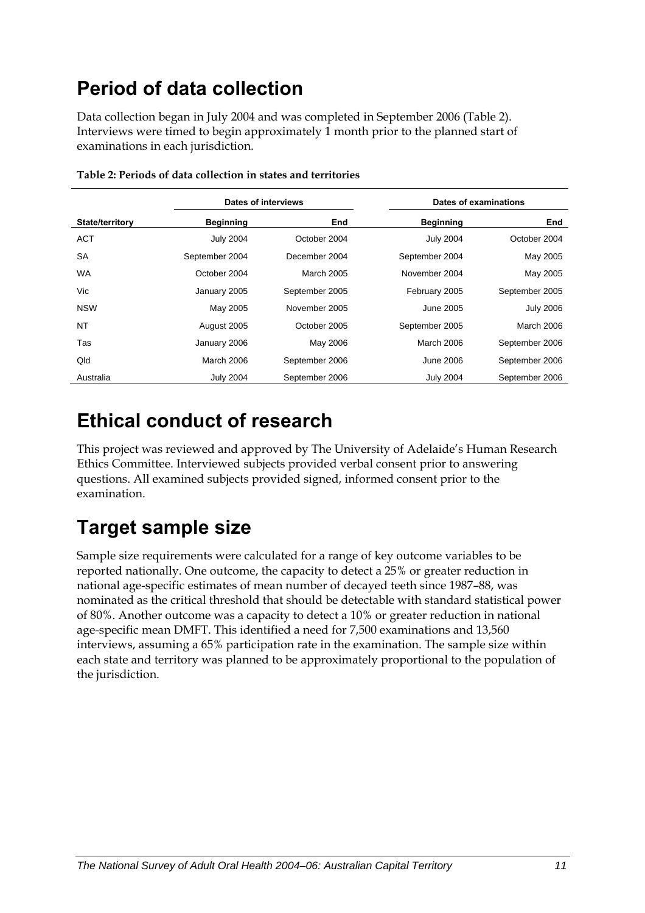## <span id="page-18-0"></span>**Period of data collection**

Data collection began in July 2004 and was completed in September 2006 ([Table 2\)](#page-18-1). Interviews were timed to begin approximately 1 month prior to the planned start of examinations in each jurisdiction.

<span id="page-18-1"></span>

|                        | Dates of interviews |                |                  | Dates of examinations |
|------------------------|---------------------|----------------|------------------|-----------------------|
| <b>State/territory</b> | <b>Beginning</b>    | End            | <b>Beginning</b> | End                   |
| <b>ACT</b>             | <b>July 2004</b>    | October 2004   | <b>July 2004</b> | October 2004          |
| <b>SA</b>              | September 2004      | December 2004  | September 2004   | May 2005              |
| <b>WA</b>              | October 2004        | March 2005     | November 2004    | May 2005              |
| Vic                    | January 2005        | September 2005 | February 2005    | September 2005        |
| <b>NSW</b>             | May 2005            | November 2005  | June 2005        | <b>July 2006</b>      |
| <b>NT</b>              | August 2005         | October 2005   | September 2005   | March 2006            |
| Tas                    | January 2006        | May 2006       | March 2006       | September 2006        |
| Qld                    | March 2006          | September 2006 | <b>June 2006</b> | September 2006        |
| Australia              | <b>July 2004</b>    | September 2006 | <b>July 2004</b> | September 2006        |

**Table 2: Periods of data collection in states and territories** 

## **Ethical conduct of research**

This project was reviewed and approved by The University of Adelaide's Human Research Ethics Committee. Interviewed subjects provided verbal consent prior to answering questions. All examined subjects provided signed, informed consent prior to the examination.

## **Target sample size**

Sample size requirements were calculated for a range of key outcome variables to be reported nationally. One outcome, the capacity to detect a 25% or greater reduction in national age-specific estimates of mean number of decayed teeth since 1987–88, was nominated as the critical threshold that should be detectable with standard statistical power of 80%. Another outcome was a capacity to detect a 10% or greater reduction in national age-specific mean DMFT. This identified a need for 7,500 examinations and 13,560 interviews, assuming a 65% participation rate in the examination. The sample size within each state and territory was planned to be approximately proportional to the population of the jurisdiction.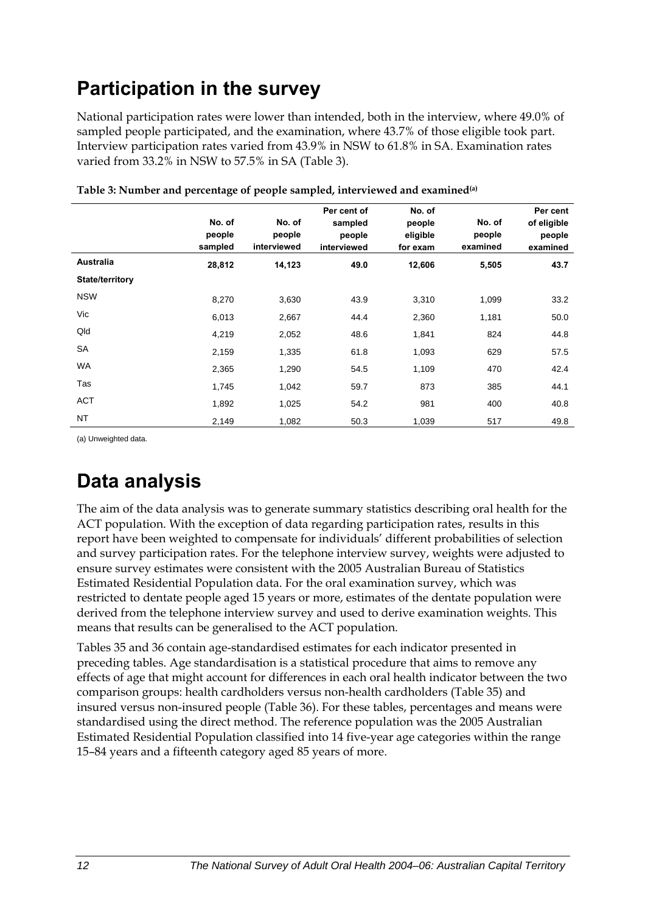## <span id="page-19-0"></span>**Participation in the survey**

National participation rates were lower than intended, both in the interview, where 49.0% of sampled people participated, and the examination, where 43.7% of those eligible took part. Interview participation rates varied from 43.9% in NSW to 61.8% in SA. Examination rates varied from 33.2% in NSW to 57.5% in SA [\(Table 3](#page-19-1)).

<span id="page-19-1"></span>

|                        | No. of<br>people<br>sampled | No. of<br>people<br>interviewed | Per cent of<br>sampled<br>people<br>interviewed | No. of<br>people<br>eligible<br>for exam | No. of<br>people<br>examined | Per cent<br>of eligible<br>people<br>examined |
|------------------------|-----------------------------|---------------------------------|-------------------------------------------------|------------------------------------------|------------------------------|-----------------------------------------------|
| <b>Australia</b>       | 28,812                      | 14,123                          | 49.0                                            | 12,606                                   | 5,505                        | 43.7                                          |
| <b>State/territory</b> |                             |                                 |                                                 |                                          |                              |                                               |
| <b>NSW</b>             | 8,270                       | 3,630                           | 43.9                                            | 3,310                                    | 1,099                        | 33.2                                          |
| Vic                    | 6,013                       | 2,667                           | 44.4                                            | 2,360                                    | 1,181                        | 50.0                                          |
| Qld                    | 4,219                       | 2,052                           | 48.6                                            | 1,841                                    | 824                          | 44.8                                          |
| SA                     | 2,159                       | 1,335                           | 61.8                                            | 1,093                                    | 629                          | 57.5                                          |
| WA                     | 2,365                       | 1,290                           | 54.5                                            | 1,109                                    | 470                          | 42.4                                          |
| Tas                    | 1,745                       | 1,042                           | 59.7                                            | 873                                      | 385                          | 44.1                                          |
| ACT                    | 1,892                       | 1,025                           | 54.2                                            | 981                                      | 400                          | 40.8                                          |
| <b>NT</b>              | 2,149                       | 1,082                           | 50.3                                            | 1,039                                    | 517                          | 49.8                                          |

**Table 3: Number and percentage of people sampled, interviewed and examined(a)** 

(a) Unweighted data.

## **Data analysis**

The aim of the data analysis was to generate summary statistics describing oral health for the [ACT](#page-9-1) population. With the exception of data regarding participation rates, results in this report have been weighted to compensate for individuals' different probabilities of selection and survey participation rates. For the telephone interview survey, weights were adjusted to ensure survey estimates were consistent with the 2005 Australian Bureau of Statistics Estimated Residential Population data. For the oral examination survey, which was restricted to dentate people aged 15 years or more, estimates of the dentate population were derived from the telephone interview survey and used to derive examination weights. This means that results can be generalised to the [ACT](#page-9-1) population.

Tables 35 and 36 contain age-standardised estimates for each indicator presented in preceding tables. Age standardisation is a statistical procedure that aims to remove any effects of age that might account for differences in each oral health indicator between the two comparison groups: health cardholders versus non-health cardholders (Table 35) and insured versus non-insured people (Table 36). For these tables, percentages and means were standardised using the direct method. The reference population was the 2005 Australian Estimated Residential Population classified into 14 five-year age categories within the range 15–84 years and a fifteenth category aged 85 years of more.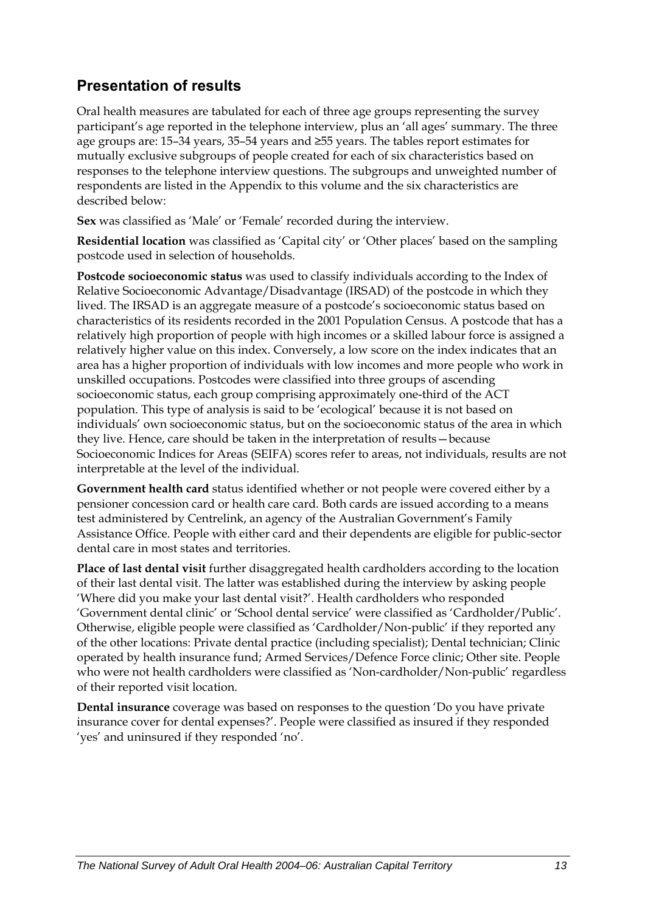### **Presentation of results**

Oral health measures are tabulated for each of three age groups representing the survey participant's age reported in the telephone interview, plus an 'all ages' summary. The three age groups are: 15–34 years, 35–54 years and ≥55 years. The tables report estimates for mutually exclusive subgroups of people created for each of six characteristics based on responses to the telephone interview questions. The subgroups and unweighted number of respondents are listed in the Appendix to this volume and the six characteristics are described below:

**Sex** was classified as 'Male' or 'Female' recorded during the interview.

**Residential location** was classified as 'Capital city' or 'Other places' based on the sampling postcode used in selection of households.

**Postcode socioeconomic status** was used to classify individuals according to the Index of Relative Socioeconomic Advantage/Disadvantage (IRSAD) of the postcode in which they lived. The IRSAD is an aggregate measure of a postcode's socioeconomic status based on characteristics of its residents recorded in the 2001 Population Census. A postcode that has a relatively high proportion of people with high incomes or a skilled labour force is assigned a relatively higher value on this index. Conversely, a low score on the index indicates that an area has a higher proportion of individuals with low incomes and more people who work in unskilled occupations. Postcodes were classified into three groups of ascending socioeconomic status, each group comprising approximately one-third of the [ACT](#page-9-1) population. This type of analysis is said to be 'ecological' because it is not based on individuals' own socioeconomic status, but on the socioeconomic status of the area in which they live. Hence, care should be taken in the interpretation of results—because Socioeconomic Indices for Areas (SEIFA) scores refer to areas, not individuals, results are not interpretable at the level of the individual.

**Government health card** status identified whether or not people were covered either by a pensioner concession card or health care card. Both cards are issued according to a means test administered by Centrelink, an agency of the Australian Government's Family Assistance Office. People with either card and their dependents are eligible for public-sector dental care in most states and territories.

**Place of last dental visit** further disaggregated health cardholders according to the location of their last dental visit. The latter was established during the interview by asking people 'Where did you make your last dental visit?'. Health cardholders who responded 'Government dental clinic' or 'School dental service' were classified as 'Cardholder/Public'. Otherwise, eligible people were classified as 'Cardholder/Non-public' if they reported any of the other locations: Private dental practice (including specialist); Dental technician; Clinic operated by health insurance fund; Armed Services/Defence Force clinic; Other site. People who were not health cardholders were classified as 'Non-cardholder/Non-public' regardless of their reported visit location.

**Dental insurance** coverage was based on responses to the question 'Do you have private insurance cover for dental expenses?'. People were classified as insured if they responded 'yes' and uninsured if they responded 'no'.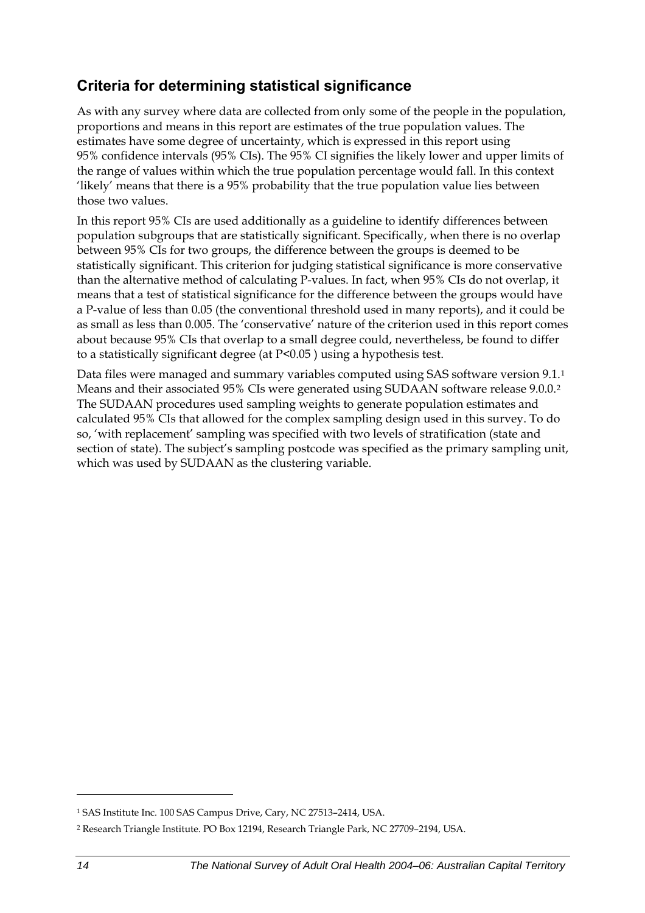### **Criteria for determining statistical significance**

As with any survey where data are collected from only some of the people in the population, proportions and means in this report are estimates of the true population values. The estimates have some degree of uncertainty, which is expressed in this report using 95% confidence intervals (95% CIs). The 95% CI signifies the likely lower and upper limits of the range of values within which the true population percentage would fall. In this context 'likely' means that there is a 95% probability that the true population value lies between those two values.

In this report 95% CIs are used additionally as a guideline to identify differences between population subgroups that are statistically significant. Specifically, when there is no overlap between 95% CIs for two groups, the difference between the groups is deemed to be statistically significant. This criterion for judging statistical significance is more conservative than the alternative method of calculating P-values. In fact, when 95% CIs do not overlap, it means that a test of statistical significance for the difference between the groups would have a P-value of less than 0.05 (the conventional threshold used in many reports), and it could be as small as less than 0.005. The 'conservative' nature of the criterion used in this report comes about because 95% CIs that overlap to a small degree could, nevertheless, be found to differ to a statistically significant degree (at P<0.05 ) using a hypothesis test.

Data files were managed and summary variables computed using SAS software version 9[.1](#page-21-0).<sup>1</sup> Means and their associated 95% CIs were generated using SUDAAN software release 9.0.0.[2](#page-21-1) The SUDAAN procedures used sampling weights to generate population estimates and calculated 95% CIs that allowed for the complex sampling design used in this survey. To do so, 'with replacement' sampling was specified with two levels of stratification (state and section of state). The subject's sampling postcode was specified as the primary sampling unit, which was used by SUDAAN as the clustering variable.

 $\overline{a}$ 

<span id="page-21-0"></span><sup>1</sup> SAS Institute Inc. 100 SAS Campus Drive, Cary, NC 27513–2414, USA.

<span id="page-21-1"></span><sup>2</sup> Research Triangle Institute. PO Box 12194, Research Triangle Park, NC 27709–2194, USA.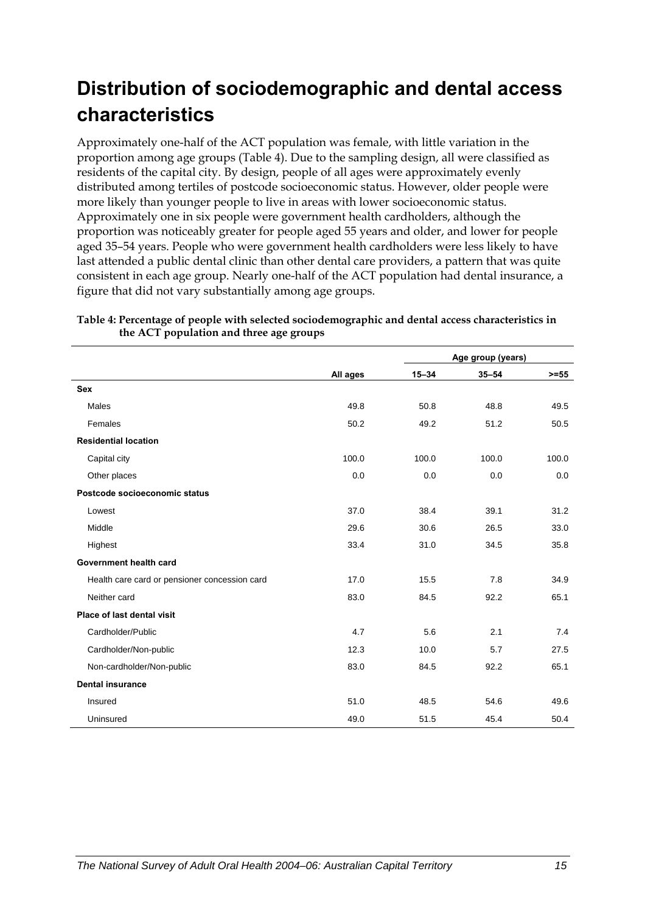## <span id="page-22-0"></span>**Distribution of sociodemographic and dental access characteristics**

Approximately one-half of the [ACT](#page-9-1) population was female, with little variation in the proportion among age groups (Table 4). Due to the sampling design, all were classified as residents of the capital city. By design, people of all ages were approximately evenly distributed among tertiles of postcode socioeconomic status. However, older people were more likely than younger people to live in areas with lower socioeconomic status. Approximately one in six people were government health cardholders, although the proportion was noticeably greater for people aged 55 years and older, and lower for people aged 35–54 years. People who were government health cardholders were less likely to have last attended a public dental clinic than other dental care providers, a pattern that was quite consistent in each age group. Nearly one-half of the [ACT](#page-9-1) population had dental insurance, a figure that did not vary substantially among age groups.

|                                               |          | Age group (years) |           |         |
|-----------------------------------------------|----------|-------------------|-----------|---------|
|                                               | All ages | $15 - 34$         | $35 - 54$ | $>= 55$ |
| <b>Sex</b>                                    |          |                   |           |         |
| Males                                         | 49.8     | 50.8              | 48.8      | 49.5    |
| Females                                       | 50.2     | 49.2              | 51.2      | 50.5    |
| <b>Residential location</b>                   |          |                   |           |         |
| Capital city                                  | 100.0    | 100.0             | 100.0     | 100.0   |
| Other places                                  | 0.0      | 0.0               | 0.0       | 0.0     |
| Postcode socioeconomic status                 |          |                   |           |         |
| Lowest                                        | 37.0     | 38.4              | 39.1      | 31.2    |
| Middle                                        | 29.6     | 30.6              | 26.5      | 33.0    |
| Highest                                       | 33.4     | 31.0              | 34.5      | 35.8    |
| Government health card                        |          |                   |           |         |
| Health care card or pensioner concession card | 17.0     | 15.5              | 7.8       | 34.9    |
| Neither card                                  | 83.0     | 84.5              | 92.2      | 65.1    |
| Place of last dental visit                    |          |                   |           |         |
| Cardholder/Public                             | 4.7      | 5.6               | 2.1       | 7.4     |
| Cardholder/Non-public                         | 12.3     | 10.0              | 5.7       | 27.5    |
| Non-cardholder/Non-public                     | 83.0     | 84.5              | 92.2      | 65.1    |
| <b>Dental insurance</b>                       |          |                   |           |         |
| Insured                                       | 51.0     | 48.5              | 54.6      | 49.6    |
| Uninsured                                     | 49.0     | 51.5              | 45.4      | 50.4    |

**Table 4: Percentage of people with selected sociodemographic and dental access characteristics in the [ACT](#page-9-1) population and three age groups**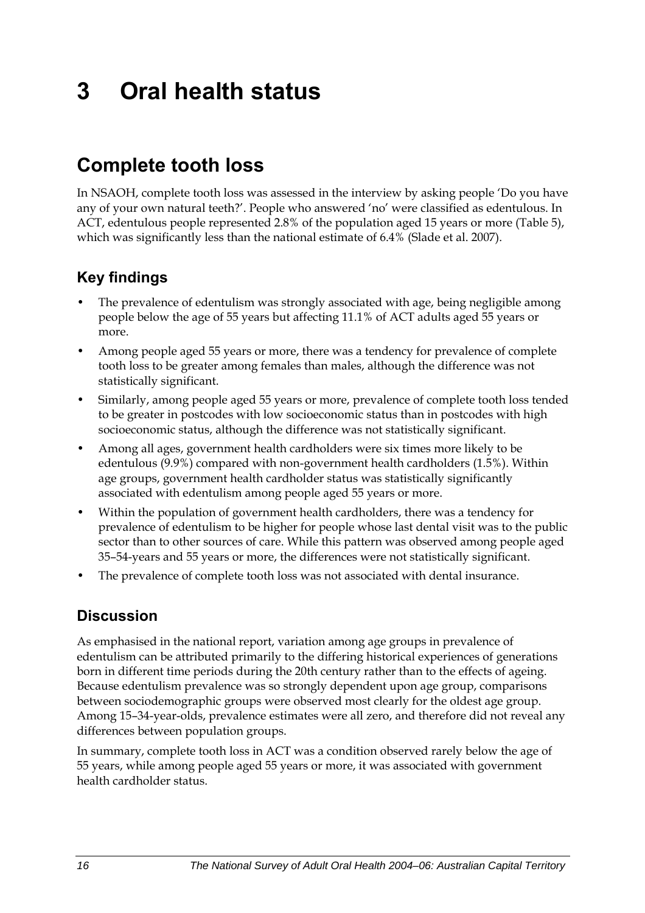# <span id="page-23-0"></span>**3 Oral health status**

## **Complete tooth loss**

In NSAOH, complete tooth loss was assessed in the interview by asking people 'Do you have any of your own natural teeth?'. People who answered 'no' were classified as edentulous. In ACT, edentulous people represented 2.8% of the population aged 15 years or more [\(Table 5](#page-24-0)), which was significantly less than the national estimate of 6.4% (Slade et al. 2007).

### **Key findings**

- The prevalence of edentulism was strongly associated with age, being negligible among people below the age of 55 years but affecting 11.1% of ACT adults aged 55 years or more.
- Among people aged 55 years or more, there was a tendency for prevalence of complete tooth loss to be greater among females than males, although the difference was not statistically significant.
- Similarly, among people aged 55 years or more, prevalence of complete tooth loss tended to be greater in postcodes with low socioeconomic status than in postcodes with high socioeconomic status, although the difference was not statistically significant.
- Among all ages, government health cardholders were six times more likely to be edentulous (9.9%) compared with non-government health cardholders (1.5%). Within age groups, government health cardholder status was statistically significantly associated with edentulism among people aged 55 years or more.
- Within the population of government health cardholders, there was a tendency for prevalence of edentulism to be higher for people whose last dental visit was to the public sector than to other sources of care. While this pattern was observed among people aged 35–54-years and 55 years or more, the differences were not statistically significant.
- The prevalence of complete tooth loss was not associated with dental insurance.

### **Discussion**

As emphasised in the national report, variation among age groups in prevalence of edentulism can be attributed primarily to the differing historical experiences of generations born in different time periods during the 20th century rather than to the effects of ageing. Because edentulism prevalence was so strongly dependent upon age group, comparisons between sociodemographic groups were observed most clearly for the oldest age group. Among 15–34-year-olds, prevalence estimates were all zero, and therefore did not reveal any differences between population groups.

In summary, complete tooth loss in ACT was a condition observed rarely below the age of 55 years, while among people aged 55 years or more, it was associated with government health cardholder status.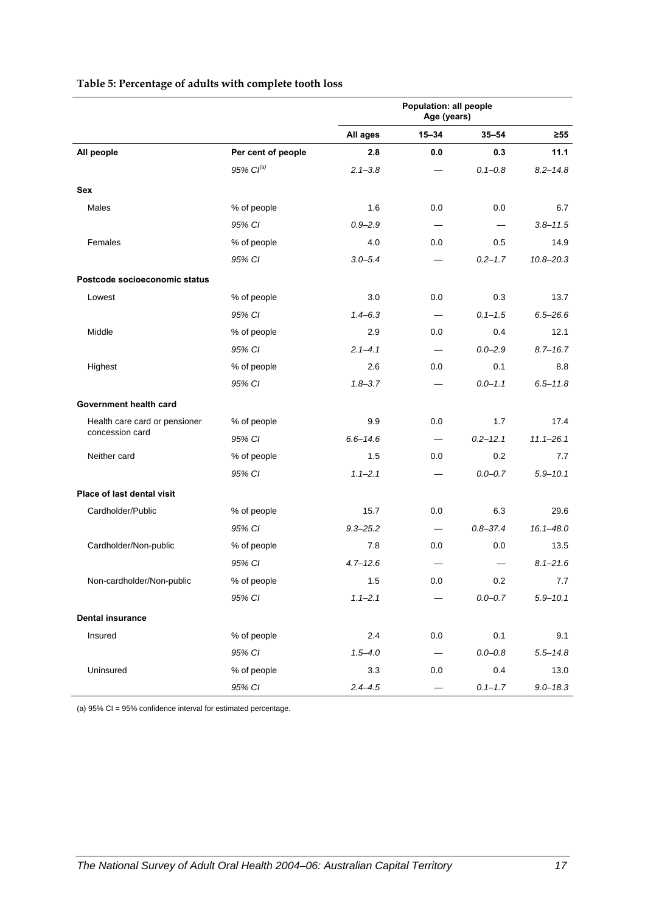|                               |                       |              | Population: all people<br>Age (years) |              |               |
|-------------------------------|-----------------------|--------------|---------------------------------------|--------------|---------------|
|                               |                       | All ages     | $15 - 34$                             | $35 - 54$    | $\geq 55$     |
| All people                    | Per cent of people    | 2.8          | 0.0                                   | 0.3          | 11.1          |
|                               | 95% Cl <sup>(a)</sup> | $2.1 - 3.8$  |                                       | $0.1 - 0.8$  | $8.2 - 14.8$  |
| Sex                           |                       |              |                                       |              |               |
| Males                         | % of people           | 1.6          | 0.0                                   | 0.0          | 6.7           |
|                               | 95% CI                | $0.9 - 2.9$  |                                       |              | $3.8 - 11.5$  |
| Females                       | % of people           | 4.0          | 0.0                                   | 0.5          | 14.9          |
|                               | 95% CI                | $3.0 - 5.4$  |                                       | $0.2 - 1.7$  | $10.8 - 20.3$ |
| Postcode socioeconomic status |                       |              |                                       |              |               |
| Lowest                        | % of people           | 3.0          | 0.0                                   | 0.3          | 13.7          |
|                               | 95% CI                | $1.4 - 6.3$  | $\qquad \qquad$                       | $0.1 - 1.5$  | $6.5 - 26.6$  |
| Middle                        | % of people           | 2.9          | 0.0                                   | 0.4          | 12.1          |
|                               | 95% CI                | $2.1 - 4.1$  | $\overline{\phantom{0}}$              | $0.0 - 2.9$  | $8.7 - 16.7$  |
| Highest                       | % of people           | 2.6          | 0.0                                   | 0.1          | 8.8           |
|                               | 95% CI                | $1.8 - 3.7$  |                                       | $0.0 - 1.1$  | $6.5 - 11.8$  |
| Government health card        |                       |              |                                       |              |               |
| Health care card or pensioner | % of people           | 9.9          | 0.0                                   | 1.7          | 17.4          |
| concession card               | 95% CI                | $6.6 - 14.6$ |                                       | $0.2 - 12.1$ | $11.1 - 26.1$ |
| Neither card                  | % of people           | 1.5          | 0.0                                   | 0.2          | 7.7           |
|                               | 95% CI                | $1.1 - 2.1$  |                                       | $0.0 - 0.7$  | $5.9 - 10.1$  |
| Place of last dental visit    |                       |              |                                       |              |               |
| Cardholder/Public             | % of people           | 15.7         | 0.0                                   | 6.3          | 29.6          |
|                               | 95% CI                | $9.3 - 25.2$ | $\equiv$                              | $0.8 - 37.4$ | $16.1 - 48.0$ |
| Cardholder/Non-public         | % of people           | 7.8          | 0.0                                   | 0.0          | 13.5          |
|                               | 95% CI                | $4.7 - 12.6$ |                                       |              | $8.1 - 21.6$  |
| Non-cardholder/Non-public     | % of people           | 1.5          | 0.0                                   | 0.2          | 7.7           |
|                               | 95% CI                | $1.1 - 2.1$  |                                       | $0.0 - 0.7$  | $5.9 - 10.1$  |
| <b>Dental insurance</b>       |                       |              |                                       |              |               |
| Insured                       | % of people           | 2.4          | $0.0\,$                               | 0.1          | 9.1           |
|                               | 95% CI                | $1.5 - 4.0$  |                                       | $0.0 - 0.8$  | $5.5 - 14.8$  |
| Uninsured                     | % of people           | 3.3          | $0.0\,$                               | 0.4          | 13.0          |
|                               | 95% CI                | $2.4 - 4.5$  |                                       | $0.1 - 1.7$  | $9.0 - 18.3$  |

#### <span id="page-24-0"></span>**Table 5: Percentage of adults with complete tooth loss**

(a) 95% CI = 95% confidence interval for estimated percentage.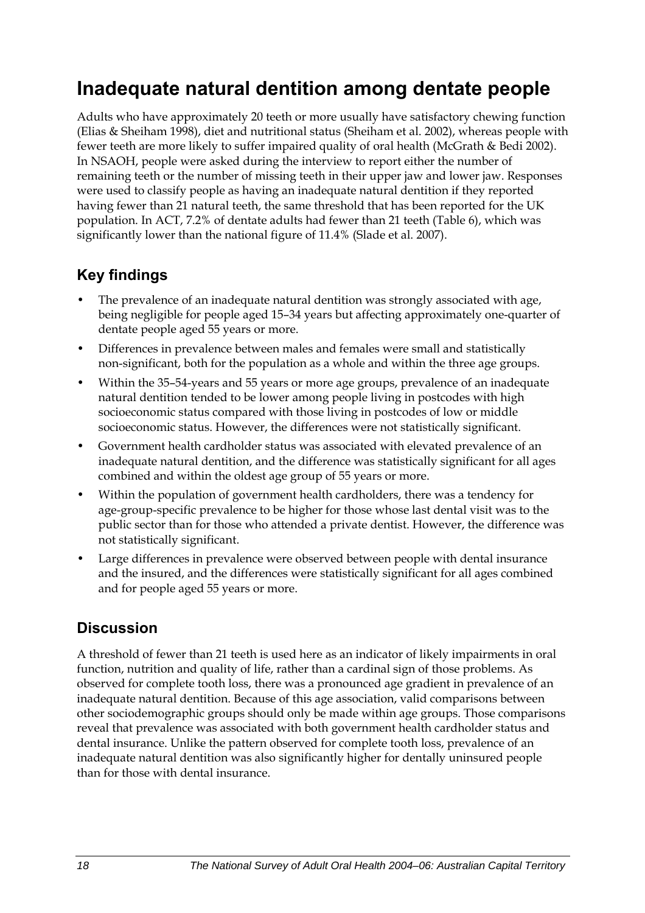## <span id="page-25-0"></span>**Inadequate natural dentition among dentate people**

Adults who have approximately 20 teeth or more usually have satisfactory chewing function (Elias & Sheiham 1998), diet and nutritional status (Sheiham et al. 2002), whereas people with fewer teeth are more likely to suffer impaired quality of oral health (McGrath & Bedi 2002). In NSAOH, people were asked during the interview to report either the number of remaining teeth or the number of missing teeth in their upper jaw and lower jaw. Responses were used to classify people as having an inadequate natural dentition if they reported having fewer than 21 natural teeth, the same threshold that has been reported for the UK population. In ACT, 7.2% of dentate adults had fewer than 21 teeth ([Table 6\)](#page-26-0), which was significantly lower than the national figure of 11.4% (Slade et al. 2007).

### **Key findings**

- The prevalence of an inadequate natural dentition was strongly associated with age, being negligible for people aged 15–34 years but affecting approximately one-quarter of dentate people aged 55 years or more.
- Differences in prevalence between males and females were small and statistically non-significant, both for the population as a whole and within the three age groups.
- Within the 35–54-years and 55 years or more age groups, prevalence of an inadequate natural dentition tended to be lower among people living in postcodes with high socioeconomic status compared with those living in postcodes of low or middle socioeconomic status. However, the differences were not statistically significant.
- Government health cardholder status was associated with elevated prevalence of an inadequate natural dentition, and the difference was statistically significant for all ages combined and within the oldest age group of 55 years or more.
- Within the population of government health cardholders, there was a tendency for age-group-specific prevalence to be higher for those whose last dental visit was to the public sector than for those who attended a private dentist. However, the difference was not statistically significant.
- Large differences in prevalence were observed between people with dental insurance and the insured, and the differences were statistically significant for all ages combined and for people aged 55 years or more.

### **Discussion**

A threshold of fewer than 21 teeth is used here as an indicator of likely impairments in oral function, nutrition and quality of life, rather than a cardinal sign of those problems. As observed for complete tooth loss, there was a pronounced age gradient in prevalence of an inadequate natural dentition. Because of this age association, valid comparisons between other sociodemographic groups should only be made within age groups. Those comparisons reveal that prevalence was associated with both government health cardholder status and dental insurance. Unlike the pattern observed for complete tooth loss, prevalence of an inadequate natural dentition was also significantly higher for dentally uninsured people than for those with dental insurance.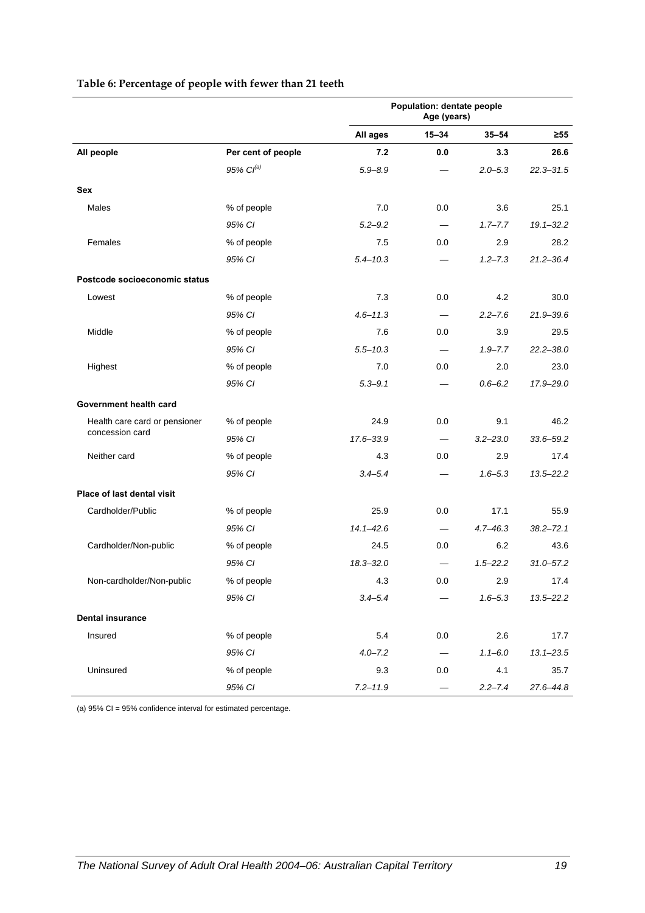|                               |                       | Population: dentate people<br>Age (years) |                          |              |               |
|-------------------------------|-----------------------|-------------------------------------------|--------------------------|--------------|---------------|
|                               |                       | All ages                                  | $15 - 34$                | $35 - 54$    | ≥55           |
| All people                    | Per cent of people    | 7.2                                       | 0.0                      | 3.3          | 26.6          |
|                               | 95% Cl <sup>(a)</sup> | $5.9 - 8.9$                               |                          | $2.0 - 5.3$  | $22.3 - 31.5$ |
| Sex                           |                       |                                           |                          |              |               |
| Males                         | % of people           | 7.0                                       | 0.0                      | 3.6          | 25.1          |
|                               | 95% CI                | $5.2 - 9.2$                               |                          | $1.7 - 7.7$  | $19.1 - 32.2$ |
| Females                       | % of people           | 7.5                                       | 0.0                      | 2.9          | 28.2          |
|                               | 95% CI                | $5.4 - 10.3$                              |                          | $1.2 - 7.3$  | $21.2 - 36.4$ |
| Postcode socioeconomic status |                       |                                           |                          |              |               |
| Lowest                        | % of people           | 7.3                                       | 0.0                      | 4.2          | 30.0          |
|                               | 95% CI                | $4.6 - 11.3$                              |                          | $2.2 - 7.6$  | $21.9 - 39.6$ |
| Middle                        | % of people           | 7.6                                       | 0.0                      | 3.9          | 29.5          |
|                               | 95% CI                | $5.5 - 10.3$                              |                          | $1.9 - 7.7$  | $22.2 - 38.0$ |
| Highest                       | % of people           | 7.0                                       | 0.0                      | 2.0          | 23.0          |
|                               | 95% CI                | $5.3 - 9.1$                               |                          | $0.6 - 6.2$  | 17.9-29.0     |
| Government health card        |                       |                                           |                          |              |               |
| Health care card or pensioner | % of people           | 24.9                                      | 0.0                      | 9.1          | 46.2          |
| concession card               | 95% CI                | 17.6-33.9                                 | $\overline{\phantom{m}}$ | $3.2 - 23.0$ | $33.6 - 59.2$ |
| Neither card                  | % of people           | 4.3                                       | 0.0                      | 2.9          | 17.4          |
|                               | 95% CI                | $3.4 - 5.4$                               |                          | $1.6 - 5.3$  | $13.5 - 22.2$ |
| Place of last dental visit    |                       |                                           |                          |              |               |
| Cardholder/Public             | % of people           | 25.9                                      | 0.0                      | 17.1         | 55.9          |
|                               | 95% CI                | $14.1 - 42.6$                             |                          | $4.7 - 46.3$ | $38.2 - 72.1$ |
| Cardholder/Non-public         | % of people           | 24.5                                      | 0.0                      | 6.2          | 43.6          |
|                               | 95% CI                | $18.3 - 32.0$                             |                          | $1.5 - 22.2$ | $31.0 - 57.2$ |
| Non-cardholder/Non-public     | % of people           | 4.3                                       | 0.0                      | 2.9          | 17.4          |
|                               | 95% CI                | $3.4 - 5.4$                               |                          | $1.6 - 5.3$  | 13.5-22.2     |
| <b>Dental insurance</b>       |                       |                                           |                          |              |               |
| Insured                       | % of people           | 5.4                                       | 0.0                      | 2.6          | 17.7          |
|                               | 95% CI                | $4.0 - 7.2$                               | $\overline{\phantom{m}}$ | $1.1 - 6.0$  | $13.1 - 23.5$ |
| Uninsured                     | % of people           | 9.3                                       | 0.0                      | 4.1          | 35.7          |
|                               | 95% CI                | $7.2 - 11.9$                              |                          | $2.2 - 7.4$  | 27.6-44.8     |

#### <span id="page-26-0"></span>**Table 6: Percentage of people with fewer than 21 teeth**

(a) 95% CI = 95% confidence interval for estimated percentage.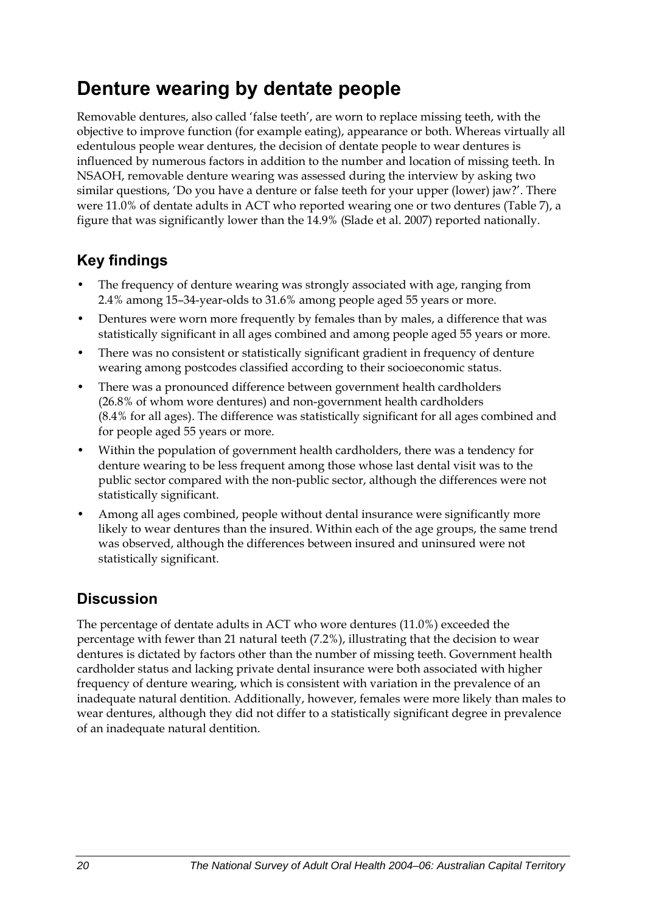## <span id="page-27-0"></span>**Denture wearing by dentate people**

Removable dentures, also called 'false teeth', are worn to replace missing teeth, with the objective to improve function (for example eating), appearance or both. Whereas virtually all edentulous people wear dentures, the decision of dentate people to wear dentures is influenced by numerous factors in addition to the number and location of missing teeth. In NSAOH, removable denture wearing was assessed during the interview by asking two similar questions, 'Do you have a denture or false teeth for your upper (lower) jaw?'. There were 11.0% of dentate adults in ACT who reported wearing one or two dentures [\(Table 7](#page-28-0)), a figure that was significantly lower than the 14.9% (Slade et al. 2007) reported nationally.

### **Key findings**

- The frequency of denture wearing was strongly associated with age, ranging from 2.4% among 15–34-year-olds to 31.6% among people aged 55 years or more.
- Dentures were worn more frequently by females than by males, a difference that was statistically significant in all ages combined and among people aged 55 years or more.
- There was no consistent or statistically significant gradient in frequency of denture wearing among postcodes classified according to their socioeconomic status.
- There was a pronounced difference between government health cardholders (26.8% of whom wore dentures) and non-government health cardholders (8.4% for all ages). The difference was statistically significant for all ages combined and for people aged 55 years or more.
- Within the population of government health cardholders, there was a tendency for denture wearing to be less frequent among those whose last dental visit was to the public sector compared with the non-public sector, although the differences were not statistically significant.
- Among all ages combined, people without dental insurance were significantly more likely to wear dentures than the insured. Within each of the age groups, the same trend was observed, although the differences between insured and uninsured were not statistically significant.

### **Discussion**

The percentage of dentate adults in ACT who wore dentures (11.0%) exceeded the percentage with fewer than 21 natural teeth (7.2%), illustrating that the decision to wear dentures is dictated by factors other than the number of missing teeth. Government health cardholder status and lacking private dental insurance were both associated with higher frequency of denture wearing, which is consistent with variation in the prevalence of an inadequate natural dentition. Additionally, however, females were more likely than males to wear dentures, although they did not differ to a statistically significant degree in prevalence of an inadequate natural dentition.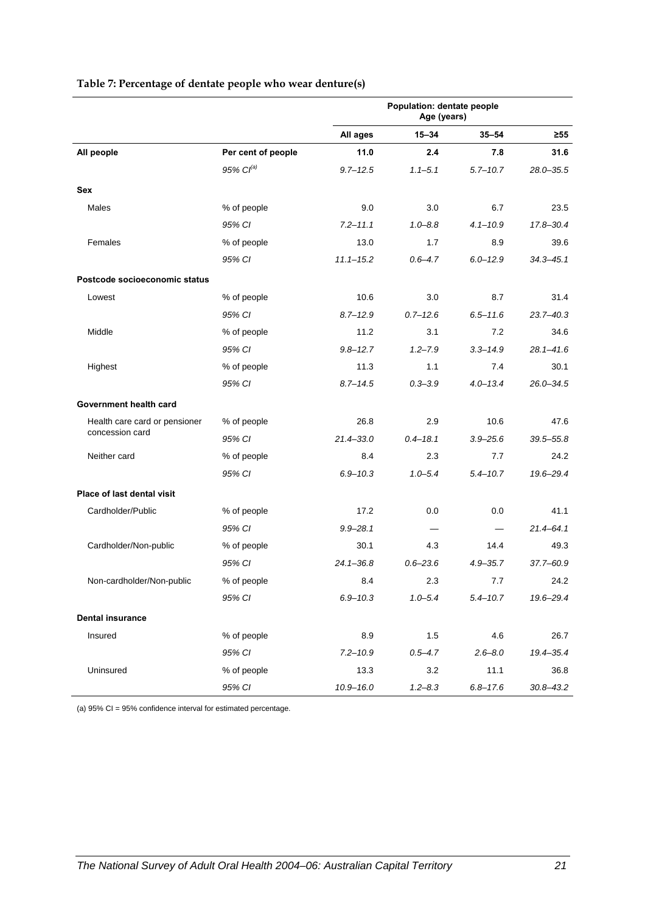<span id="page-28-0"></span>

|                               |                       | Population: dentate people<br>Age (years) |              |              |               |
|-------------------------------|-----------------------|-------------------------------------------|--------------|--------------|---------------|
|                               |                       | All ages                                  | $15 - 34$    | $35 - 54$    | ≥55           |
| All people                    | Per cent of people    | 11.0                                      | 2.4          | 7.8          | 31.6          |
|                               | 95% Cl <sup>(a)</sup> | $9.7 - 12.5$                              | $1.1 - 5.1$  | $5.7 - 10.7$ | $28.0 - 35.5$ |
| Sex                           |                       |                                           |              |              |               |
| Males                         | % of people           | 9.0                                       | 3.0          | 6.7          | 23.5          |
|                               | 95% CI                | $7.2 - 11.1$                              | $1.0 - 8.8$  | $4.1 - 10.9$ | 17.8-30.4     |
| Females                       | % of people           | 13.0                                      | 1.7          | 8.9          | 39.6          |
|                               | 95% CI                | $11.1 - 15.2$                             | $0.6 - 4.7$  | $6.0 - 12.9$ | $34.3 - 45.1$ |
| Postcode socioeconomic status |                       |                                           |              |              |               |
| Lowest                        | % of people           | 10.6                                      | 3.0          | 8.7          | 31.4          |
|                               | 95% CI                | $8.7 - 12.9$                              | $0.7 - 12.6$ | $6.5 - 11.6$ | $23.7 - 40.3$ |
| Middle                        | % of people           | 11.2                                      | 3.1          | 7.2          | 34.6          |
|                               | 95% CI                | $9.8 - 12.7$                              | $1.2 - 7.9$  | $3.3 - 14.9$ | $28.1 - 41.6$ |
| Highest                       | % of people           | 11.3                                      | 1.1          | 7.4          | 30.1          |
|                               | 95% CI                | $8.7 - 14.5$                              | $0.3 - 3.9$  | $4.0 - 13.4$ | $26.0 - 34.5$ |
| Government health card        |                       |                                           |              |              |               |
| Health care card or pensioner | % of people           | 26.8                                      | 2.9          | 10.6         | 47.6          |
| concession card               | 95% CI                | $21.4 - 33.0$                             | $0.4 - 18.1$ | $3.9 - 25.6$ | $39.5 - 55.8$ |
| Neither card                  | % of people           | 8.4                                       | 2.3          | 7.7          | 24.2          |
|                               | 95% CI                | $6.9 - 10.3$                              | $1.0 - 5.4$  | $5.4 - 10.7$ | 19.6-29.4     |
| Place of last dental visit    |                       |                                           |              |              |               |
| Cardholder/Public             | % of people           | 17.2                                      | 0.0          | 0.0          | 41.1          |
|                               | 95% CI                | $9.9 - 28.1$                              |              |              | $21.4 - 64.1$ |
| Cardholder/Non-public         | % of people           | 30.1                                      | 4.3          | 14.4         | 49.3          |
|                               | 95% CI                | $24.1 - 36.8$                             | $0.6 - 23.6$ | $4.9 - 35.7$ | 37.7-60.9     |
| Non-cardholder/Non-public     | % of people           | 8.4                                       | 2.3          | 7.7          | 24.2          |
|                               | 95% CI                | $6.9 - 10.3$                              | $1.0 - 5.4$  | $5.4 - 10.7$ | 19.6-29.4     |
| <b>Dental insurance</b>       |                       |                                           |              |              |               |
| Insured                       | % of people           | 8.9                                       | 1.5          | 4.6          | 26.7          |
|                               | 95% CI                | $7.2 - 10.9$                              | $0.5 - 4.7$  | $2.6 - 8.0$  | 19.4-35.4     |
| Uninsured                     | % of people           | 13.3                                      | 3.2          | 11.1         | 36.8          |
|                               | 95% CI                | $10.9 - 16.0$                             | $1.2 - 8.3$  | $6.8 - 17.6$ | $30.8 - 43.2$ |

#### **Table 7: Percentage of dentate people who wear denture(s)**

(a) 95% CI = 95% confidence interval for estimated percentage.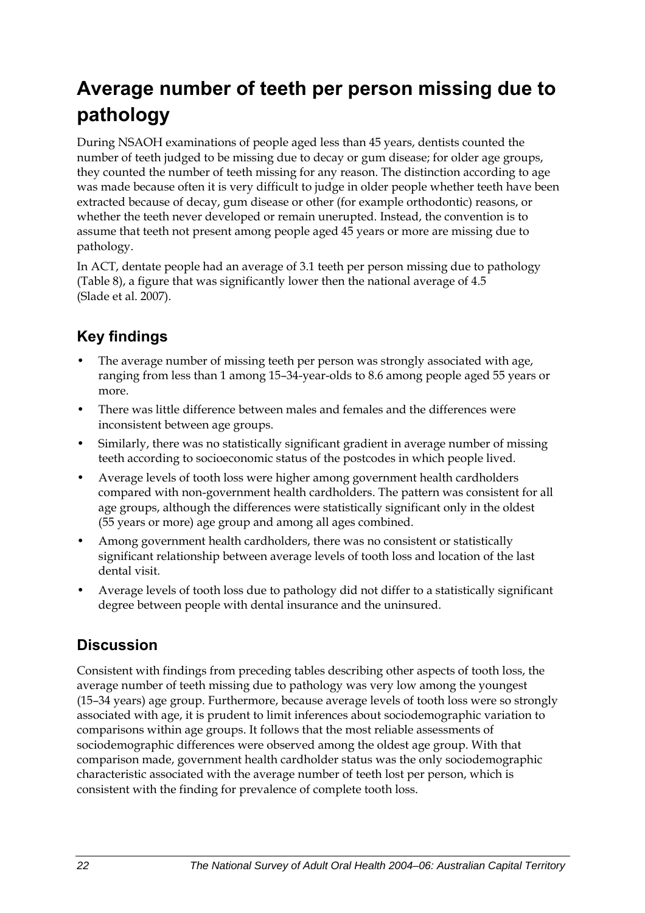## <span id="page-29-0"></span>**Average number of teeth per person missing due to pathology**

During NSAOH examinations of people aged less than 45 years, dentists counted the number of teeth judged to be missing due to decay or gum disease; for older age groups, they counted the number of teeth missing for any reason. The distinction according to age was made because often it is very difficult to judge in older people whether teeth have been extracted because of decay, gum disease or other (for example orthodontic) reasons, or whether the teeth never developed or remain unerupted. Instead, the convention is to assume that teeth not present among people aged 45 years or more are missing due to pathology.

In ACT, dentate people had an average of 3.1 teeth per person missing due to pathology ([Table 8\)](#page-30-0), a figure that was significantly lower then the national average of 4.5 (Slade et al. 2007).

### **Key findings**

- The average number of missing teeth per person was strongly associated with age, ranging from less than 1 among 15–34-year-olds to 8.6 among people aged 55 years or more.
- There was little difference between males and females and the differences were inconsistent between age groups.
- Similarly, there was no statistically significant gradient in average number of missing teeth according to socioeconomic status of the postcodes in which people lived.
- Average levels of tooth loss were higher among government health cardholders compared with non-government health cardholders. The pattern was consistent for all age groups, although the differences were statistically significant only in the oldest (55 years or more) age group and among all ages combined.
- Among government health cardholders, there was no consistent or statistically significant relationship between average levels of tooth loss and location of the last dental visit.
- Average levels of tooth loss due to pathology did not differ to a statistically significant degree between people with dental insurance and the uninsured.

### **Discussion**

Consistent with findings from preceding tables describing other aspects of tooth loss, the average number of teeth missing due to pathology was very low among the youngest (15–34 years) age group. Furthermore, because average levels of tooth loss were so strongly associated with age, it is prudent to limit inferences about sociodemographic variation to comparisons within age groups. It follows that the most reliable assessments of sociodemographic differences were observed among the oldest age group. With that comparison made, government health cardholder status was the only sociodemographic characteristic associated with the average number of teeth lost per person, which is consistent with the finding for prevalence of complete tooth loss.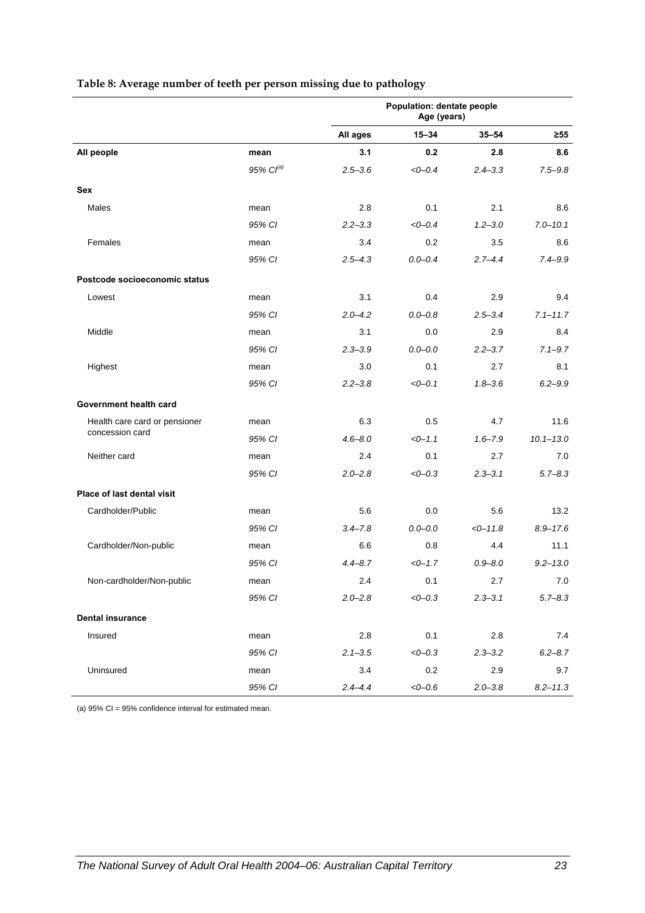|                               |                       | Population: dentate people<br>Age (years) |             |             |               |
|-------------------------------|-----------------------|-------------------------------------------|-------------|-------------|---------------|
|                               |                       | All ages                                  | $15 - 34$   | $35 - 54$   | ≥55           |
| All people                    | mean                  | 3.1                                       | 0.2         | 2.8         | 8.6           |
|                               | 95% Cl <sup>(a)</sup> | $2.5 - 3.6$                               | $< 0 - 0.4$ | $2.4 - 3.3$ | $7.5 - 9.8$   |
| Sex                           |                       |                                           |             |             |               |
| Males                         | mean                  | 2.8                                       | 0.1         | 2.1         | 8.6           |
|                               | 95% CI                | $2.2 - 3.3$                               | $< 0 - 0.4$ | $1.2 - 3.0$ | $7.0 - 10.1$  |
| Females                       | mean                  | 3.4                                       | 0.2         | 3.5         | 8.6           |
|                               | 95% CI                | $2.5 - 4.3$                               | $0.0 - 0.4$ | $2.7 - 4.4$ | $7.4 - 9.9$   |
| Postcode socioeconomic status |                       |                                           |             |             |               |
| Lowest                        | mean                  | 3.1                                       | 0.4         | 2.9         | 9.4           |
|                               | 95% CI                | $2.0 - 4.2$                               | $0.0 - 0.8$ | $2.5 - 3.4$ | $7.1 - 11.7$  |
| Middle                        | mean                  | 3.1                                       | 0.0         | 2.9         | 8.4           |
|                               | 95% CI                | $2.3 - 3.9$                               | $0.0 - 0.0$ | $2.2 - 3.7$ | $7.1 - 9.7$   |
| Highest                       | mean                  | 3.0                                       | 0.1         | 2.7         | 8.1           |
|                               | 95% CI                | $2.2 - 3.8$                               | $<0-0.1$    | $1.8 - 3.6$ | $6.2 - 9.9$   |
| Government health card        |                       |                                           |             |             |               |
| Health care card or pensioner | mean                  | 6.3                                       | 0.5         | 4.7         | 11.6          |
| concession card               | 95% CI                | $4.6 - 8.0$                               | $<0-1.1$    | $1.6 - 7.9$ | $10.1 - 13.0$ |
| Neither card                  | mean                  | 2.4                                       | 0.1         | 2.7         | 7.0           |
|                               | 95% CI                | $2.0 - 2.8$                               | $<0-0.3$    | $2.3 - 3.1$ | $5.7 - 8.3$   |
| Place of last dental visit    |                       |                                           |             |             |               |
| Cardholder/Public             | mean                  | 5.6                                       | 0.0         | 5.6         | 13.2          |
|                               | 95% CI                | $3.4 - 7.8$                               | $0.0 - 0.0$ | $<0-11.8$   | $8.9 - 17.6$  |
| Cardholder/Non-public         | mean                  | 6.6                                       | 0.8         | 4.4         | 11.1          |
|                               | 95% CI                | $4.4 - 8.7$                               | $<-1.7$     | $0.9 - 8.0$ | $9.2 - 13.0$  |
| Non-cardholder/Non-public     | mean                  | 2.4                                       | 0.1         | 2.7         | 7.0           |
|                               | 95% CI                | $2.0 - 2.8$                               | $< 0 - 0.3$ | $2.3 - 3.1$ | $5.7 - 8.3$   |
| <b>Dental insurance</b>       |                       |                                           |             |             |               |
| Insured                       | mean                  | 2.8                                       | 0.1         | 2.8         | 7.4           |
|                               | 95% CI                | $2.1 - 3.5$                               | $< 0 - 0.3$ | $2.3 - 3.2$ | $6.2 - 8.7$   |
| Uninsured                     | mean                  | 3.4                                       | 0.2         | 2.9         | 9.7           |
|                               | 95% CI                | $2.4 - 4.4$                               | $< 0 - 0.6$ | $2.0 - 3.8$ | $8.2 - 11.3$  |

#### <span id="page-30-0"></span>**Table 8: Average number of teeth per person missing due to pathology**

(a) 95% CI = 95% confidence interval for estimated mean.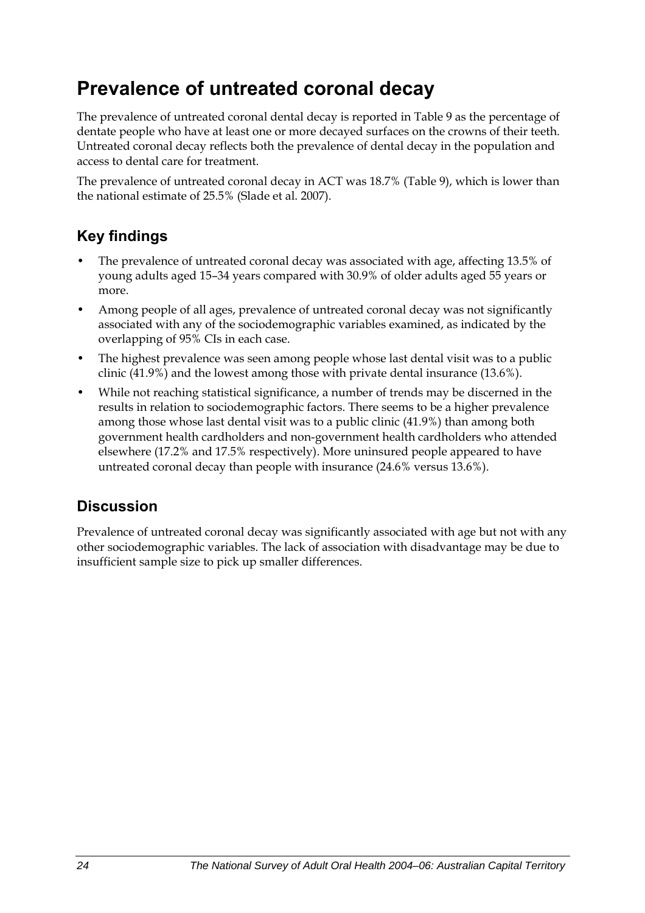## <span id="page-31-0"></span>**Prevalence of untreated coronal decay**

The prevalence of untreated coronal dental decay is reported in Table 9 as the percentage of dentate people who have at least one or more decayed surfaces on the crowns of their teeth. Untreated coronal decay reflects both the prevalence of dental decay in the population and access to dental care for treatment.

The prevalence of untreated coronal decay in ACT was 18.7% ([Table 9\)](#page-32-0), which is lower than the national estimate of 25.5% (Slade et al. 2007).

### **Key findings**

- The prevalence of untreated coronal decay was associated with age, affecting 13.5% of young adults aged 15–34 years compared with 30.9% of older adults aged 55 years or more.
- Among people of all ages, prevalence of untreated coronal decay was not significantly associated with any of the sociodemographic variables examined, as indicated by the overlapping of 95% CIs in each case.
- The highest prevalence was seen among people whose last dental visit was to a public clinic (41.9%) and the lowest among those with private dental insurance (13.6%).
- While not reaching statistical significance, a number of trends may be discerned in the results in relation to sociodemographic factors. There seems to be a higher prevalence among those whose last dental visit was to a public clinic (41.9%) than among both government health cardholders and non-government health cardholders who attended elsewhere (17.2% and 17.5% respectively). More uninsured people appeared to have untreated coronal decay than people with insurance (24.6% versus 13.6%).

### **Discussion**

Prevalence of untreated coronal decay was significantly associated with age but not with any other sociodemographic variables. The lack of association with disadvantage may be due to insufficient sample size to pick up smaller differences.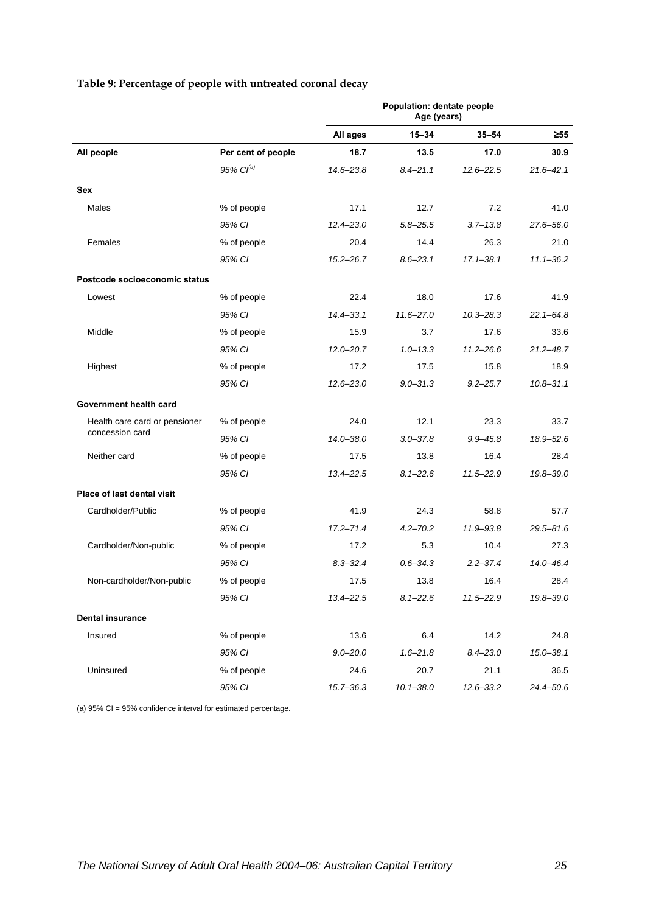<span id="page-32-0"></span>

|                               |                       | Population: dentate people<br>Age (years) |               |               |               |
|-------------------------------|-----------------------|-------------------------------------------|---------------|---------------|---------------|
|                               |                       | All ages                                  | $15 - 34$     | $35 - 54$     | $\geq 55$     |
| All people                    | Per cent of people    | 18.7                                      | 13.5          | 17.0          | 30.9          |
|                               | 95% Cl <sup>(a)</sup> | 14.6-23.8                                 | $8.4 - 21.1$  | $12.6 - 22.5$ | $21.6 - 42.1$ |
| Sex                           |                       |                                           |               |               |               |
| Males                         | % of people           | 17.1                                      | 12.7          | 7.2           | 41.0          |
|                               | 95% CI                | $12.4 - 23.0$                             | $5.8 - 25.5$  | $3.7 - 13.8$  | 27.6-56.0     |
| Females                       | % of people           | 20.4                                      | 14.4          | 26.3          | 21.0          |
|                               | 95% CI                | $15.2 - 26.7$                             | $8.6 - 23.1$  | $17.1 - 38.1$ | $11.1 - 36.2$ |
| Postcode socioeconomic status |                       |                                           |               |               |               |
| Lowest                        | % of people           | 22.4                                      | 18.0          | 17.6          | 41.9          |
|                               | 95% CI                | $14.4 - 33.1$                             | $11.6 - 27.0$ | $10.3 - 28.3$ | $22.1 - 64.8$ |
| Middle                        | % of people           | 15.9                                      | 3.7           | 17.6          | 33.6          |
|                               | 95% CI                | $12.0 - 20.7$                             | $1.0 - 13.3$  | $11.2 - 26.6$ | $21.2 - 48.7$ |
| Highest                       | % of people           | 17.2                                      | 17.5          | 15.8          | 18.9          |
|                               | 95% CI                | $12.6 - 23.0$                             | $9.0 - 31.3$  | $9.2 - 25.7$  | $10.8 - 31.1$ |
| Government health card        |                       |                                           |               |               |               |
| Health care card or pensioner | % of people           | 24.0                                      | 12.1          | 23.3          | 33.7          |
| concession card               | 95% CI                | $14.0 - 38.0$                             | $3.0 - 37.8$  | $9.9 - 45.8$  | 18.9-52.6     |
| Neither card                  | % of people           | 17.5                                      | 13.8          | 16.4          | 28.4          |
|                               | 95% CI                | 13.4 - 22.5                               | $8.1 - 22.6$  | $11.5 - 22.9$ | 19.8-39.0     |
| Place of last dental visit    |                       |                                           |               |               |               |
| Cardholder/Public             | % of people           | 41.9                                      | 24.3          | 58.8          | 57.7          |
|                               | 95% CI                | $17.2 - 71.4$                             | $4.2 - 70.2$  | 11.9-93.8     | $29.5 - 81.6$ |
| Cardholder/Non-public         | % of people           | 17.2                                      | 5.3           | 10.4          | 27.3          |
|                               | 95% CI                | $8.3 - 32.4$                              | $0.6 - 34.3$  | $2.2 - 37.4$  | $14.0 - 46.4$ |
| Non-cardholder/Non-public     | % of people           | 17.5                                      | 13.8          | 16.4          | 28.4          |
|                               | 95% CI                | $13.4 - 22.5$                             | $8.1 - 22.6$  | $11.5 - 22.9$ | 19.8-39.0     |
| <b>Dental insurance</b>       |                       |                                           |               |               |               |
| Insured                       | % of people           | 13.6                                      | 6.4           | 14.2          | 24.8          |
|                               | 95% CI                | $9.0 - 20.0$                              | $1.6 - 21.8$  | $8.4 - 23.0$  | $15.0 - 38.1$ |
| Uninsured                     | % of people           | 24.6                                      | 20.7          | 21.1          | 36.5          |
|                               | 95% CI                | $15.7 - 36.3$                             | $10.1 - 38.0$ | 12.6-33.2     | 24.4-50.6     |

#### **Table 9: Percentage of people with untreated coronal decay**

(a) 95% CI = 95% confidence interval for estimated percentage.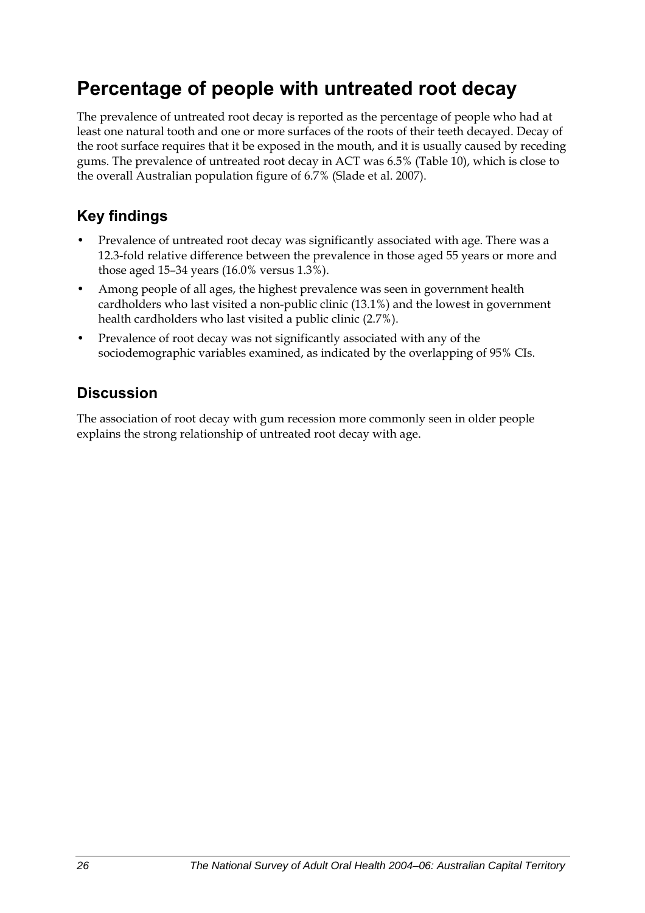## <span id="page-33-0"></span>**Percentage of people with untreated root decay**

The prevalence of untreated root decay is reported as the percentage of people who had at least one natural tooth and one or more surfaces of the roots of their teeth decayed. Decay of the root surface requires that it be exposed in the mouth, and it is usually caused by receding gums. The prevalence of untreated root decay in ACT was 6.5% ([Table 10](#page-34-0)), which is close to the overall Australian population figure of 6.7% (Slade et al. 2007).

### **Key findings**

- Prevalence of untreated root decay was significantly associated with age. There was a 12.3-fold relative difference between the prevalence in those aged 55 years or more and those aged 15–34 years (16.0% versus 1.3%).
- Among people of all ages, the highest prevalence was seen in government health cardholders who last visited a non-public clinic (13.1%) and the lowest in government health cardholders who last visited a public clinic (2.7%).
- Prevalence of root decay was not significantly associated with any of the sociodemographic variables examined, as indicated by the overlapping of 95% CIs.

#### **Discussion**

The association of root decay with gum recession more commonly seen in older people explains the strong relationship of untreated root decay with age.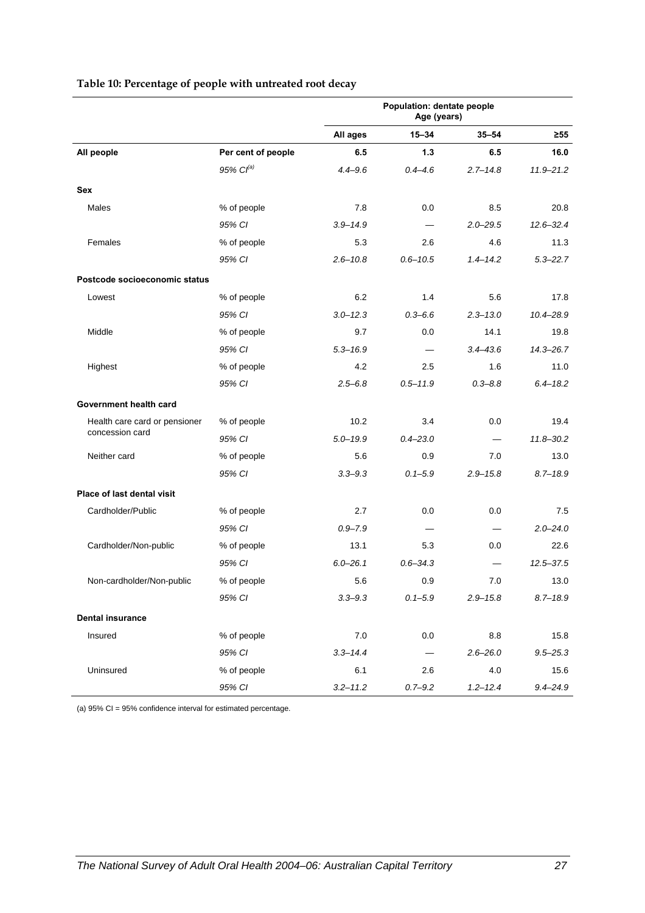<span id="page-34-0"></span>

|                               |                       | Population: dentate people<br>Age (years) |              |              |               |
|-------------------------------|-----------------------|-------------------------------------------|--------------|--------------|---------------|
|                               |                       | All ages                                  | $15 - 34$    | $35 - 54$    | $\geq 55$     |
| All people                    | Per cent of people    | 6.5                                       | 1.3          | 6.5          | 16.0          |
|                               | 95% Cl <sup>(a)</sup> | $4.4 - 9.6$                               | $0.4 - 4.6$  | $2.7 - 14.8$ | $11.9 - 21.2$ |
| Sex                           |                       |                                           |              |              |               |
| Males                         | % of people           | 7.8                                       | 0.0          | 8.5          | 20.8          |
|                               | 95% CI                | $3.9 - 14.9$                              |              | $2.0 - 29.5$ | $12.6 - 32.4$ |
| Females                       | % of people           | 5.3                                       | 2.6          | 4.6          | 11.3          |
|                               | 95% CI                | $2.6 - 10.8$                              | $0.6 - 10.5$ | $1.4 - 14.2$ | $5.3 - 22.7$  |
| Postcode socioeconomic status |                       |                                           |              |              |               |
| Lowest                        | % of people           | 6.2                                       | 1.4          | 5.6          | 17.8          |
|                               | 95% CI                | $3.0 - 12.3$                              | $0.3 - 6.6$  | $2.3 - 13.0$ | $10.4 - 28.9$ |
| Middle                        | % of people           | 9.7                                       | 0.0          | 14.1         | 19.8          |
|                               | 95% CI                | $5.3 - 16.9$                              |              | $3.4 - 43.6$ | $14.3 - 26.7$ |
| Highest                       | % of people           | 4.2                                       | 2.5          | 1.6          | 11.0          |
|                               | 95% CI                | $2.5 - 6.8$                               | $0.5 - 11.9$ | $0.3 - 8.8$  | $6.4 - 18.2$  |
| Government health card        |                       |                                           |              |              |               |
| Health care card or pensioner | % of people           | 10.2                                      | 3.4          | 0.0          | 19.4          |
| concession card               | 95% CI                | $5.0 - 19.9$                              | $0.4 - 23.0$ |              | $11.8 - 30.2$ |
| Neither card                  | % of people           | 5.6                                       | 0.9          | 7.0          | 13.0          |
|                               | 95% CI                | $3.3 - 9.3$                               | $0.1 - 5.9$  | $2.9 - 15.8$ | $8.7 - 18.9$  |
| Place of last dental visit    |                       |                                           |              |              |               |
| Cardholder/Public             | % of people           | 2.7                                       | 0.0          | 0.0          | 7.5           |
|                               | 95% CI                | $0.9 - 7.9$                               |              |              | $2.0 - 24.0$  |
| Cardholder/Non-public         | % of people           | 13.1                                      | 5.3          | 0.0          | 22.6          |
|                               | 95% CI                | $6.0 - 26.1$                              | $0.6 - 34.3$ |              | $12.5 - 37.5$ |
| Non-cardholder/Non-public     | % of people           | 5.6                                       | 0.9          | 7.0          | 13.0          |
|                               | 95% CI                | $3.3 - 9.3$                               | $0.1 - 5.9$  | $2.9 - 15.8$ | $8.7 - 18.9$  |
| <b>Dental insurance</b>       |                       |                                           |              |              |               |
| Insured                       | % of people           | 7.0                                       | 0.0          | 8.8          | 15.8          |
|                               | 95% CI                | $3.3 - 14.4$                              |              | $2.6 - 26.0$ | $9.5 - 25.3$  |
| Uninsured                     | % of people           | 6.1                                       | 2.6          | 4.0          | 15.6          |
|                               | 95% CI                | $3.2 - 11.2$                              | $0.7 - 9.2$  | $1.2 - 12.4$ | $9.4 - 24.9$  |

#### **Table 10: Percentage of people with untreated root decay**

(a) 95% CI = 95% confidence interval for estimated percentage.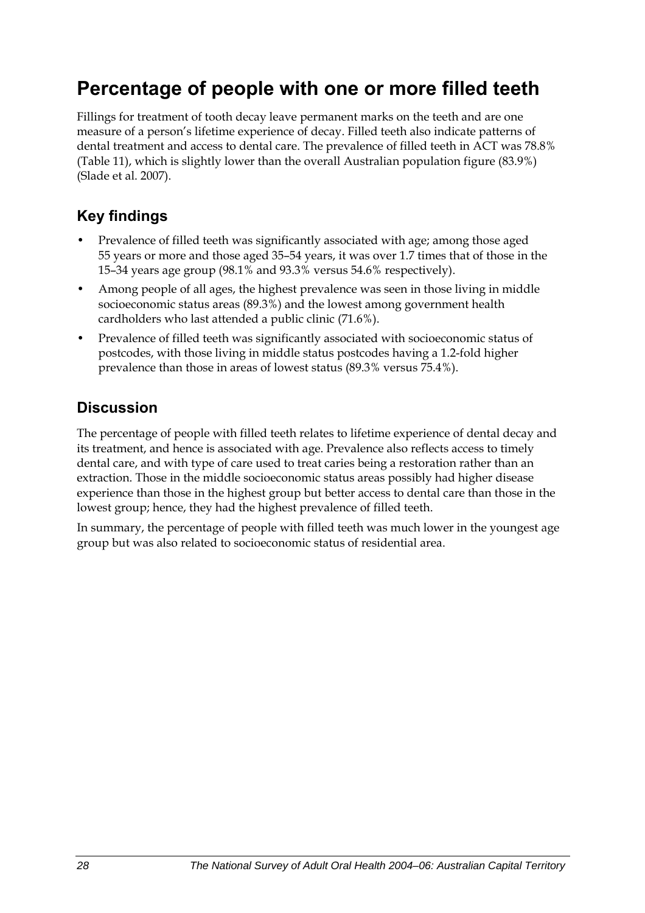## <span id="page-35-0"></span>**Percentage of people with one or more filled teeth**

Fillings for treatment of tooth decay leave permanent marks on the teeth and are one measure of a person's lifetime experience of decay. Filled teeth also indicate patterns of dental treatment and access to dental care. The prevalence of filled teeth in ACT was 78.8% ([Table 11](#page-36-0)), which is slightly lower than the overall Australian population figure (83.9%) (Slade et al. 2007).

### **Key findings**

- Prevalence of filled teeth was significantly associated with age; among those aged 55 years or more and those aged 35–54 years, it was over 1.7 times that of those in the 15–34 years age group (98.1% and 93.3% versus 54.6% respectively).
- Among people of all ages, the highest prevalence was seen in those living in middle socioeconomic status areas (89.3%) and the lowest among government health cardholders who last attended a public clinic (71.6%).
- Prevalence of filled teeth was significantly associated with socioeconomic status of postcodes, with those living in middle status postcodes having a 1.2-fold higher prevalence than those in areas of lowest status (89.3% versus 75.4%).

### **Discussion**

The percentage of people with filled teeth relates to lifetime experience of dental decay and its treatment, and hence is associated with age. Prevalence also reflects access to timely dental care, and with type of care used to treat caries being a restoration rather than an extraction. Those in the middle socioeconomic status areas possibly had higher disease experience than those in the highest group but better access to dental care than those in the lowest group; hence, they had the highest prevalence of filled teeth.

In summary, the percentage of people with filled teeth was much lower in the youngest age group but was also related to socioeconomic status of residential area.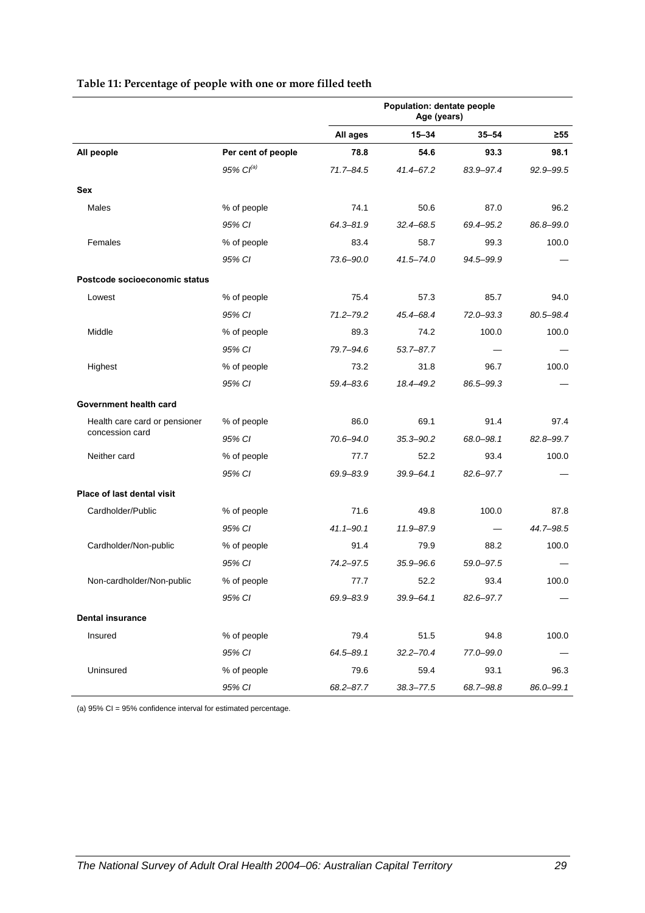|                               |                       | Population: dentate people<br>Age (years) |               |               |           |
|-------------------------------|-----------------------|-------------------------------------------|---------------|---------------|-----------|
|                               |                       | All ages                                  | $15 - 34$     | $35 - 54$     | ≥55       |
| All people                    | Per cent of people    | 78.8                                      | 54.6          | 93.3          | 98.1      |
|                               | 95% Cl <sup>(a)</sup> | 71.7-84.5                                 | 41.4-67.2     | 83.9-97.4     | 92.9-99.5 |
| Sex                           |                       |                                           |               |               |           |
| Males                         | % of people           | 74.1                                      | 50.6          | 87.0          | 96.2      |
|                               | 95% CI                | $64.3 - 81.9$                             | 32.4-68.5     | 69.4-95.2     | 86.8-99.0 |
| Females                       | % of people           | 83.4                                      | 58.7          | 99.3          | 100.0     |
|                               | 95% CI                | 73.6-90.0                                 | $41.5 - 74.0$ | 94.5-99.9     |           |
| Postcode socioeconomic status |                       |                                           |               |               |           |
| Lowest                        | % of people           | 75.4                                      | 57.3          | 85.7          | 94.0      |
|                               | 95% CI                | 71.2-79.2                                 | 45.4-68.4     | $72.0 - 93.3$ | 80.5-98.4 |
| Middle                        | % of people           | 89.3                                      | 74.2          | 100.0         | 100.0     |
|                               | 95% CI                | 79.7-94.6                                 | $53.7 - 87.7$ |               |           |
| Highest                       | % of people           | 73.2                                      | 31.8          | 96.7          | 100.0     |
|                               | 95% CI                | 59.4-83.6                                 | 18.4-49.2     | 86.5-99.3     |           |
| Government health card        |                       |                                           |               |               |           |
| Health care card or pensioner | % of people           | 86.0                                      | 69.1          | 91.4          | 97.4      |
| concession card               | 95% CI                | 70.6-94.0                                 | $35.3 - 90.2$ | 68.0-98.1     | 82.8-99.7 |
| Neither card                  | % of people           | 77.7                                      | 52.2          | 93.4          | 100.0     |
|                               | 95% CI                | 69.9-83.9                                 | 39.9-64.1     | 82.6-97.7     |           |
| Place of last dental visit    |                       |                                           |               |               |           |
| Cardholder/Public             | % of people           | 71.6                                      | 49.8          | 100.0         | 87.8      |
|                               | 95% CI                | $41.1 - 90.1$                             | 11.9-87.9     |               | 44.7-98.5 |
| Cardholder/Non-public         | % of people           | 91.4                                      | 79.9          | 88.2          | 100.0     |
|                               | 95% CI                | 74.2-97.5                                 | 35.9-96.6     | 59.0-97.5     |           |
| Non-cardholder/Non-public     | % of people           | 77.7                                      | 52.2          | 93.4          | 100.0     |
|                               | 95% CI                | 69.9-83.9                                 | $39.9 - 64.1$ | 82.6-97.7     |           |
| <b>Dental insurance</b>       |                       |                                           |               |               |           |
| Insured                       | % of people           | 79.4                                      | 51.5          | 94.8          | 100.0     |
|                               | 95% CI                | $64.5 - 89.1$                             | $32.2 - 70.4$ | 77.0-99.0     |           |
| Uninsured                     | % of people           | 79.6                                      | 59.4          | 93.1          | 96.3      |
|                               | 95% CI                | 68.2-87.7                                 | $38.3 - 77.5$ | 68.7-98.8     | 86.0-99.1 |

#### **Table 11: Percentage of people with one or more filled teeth**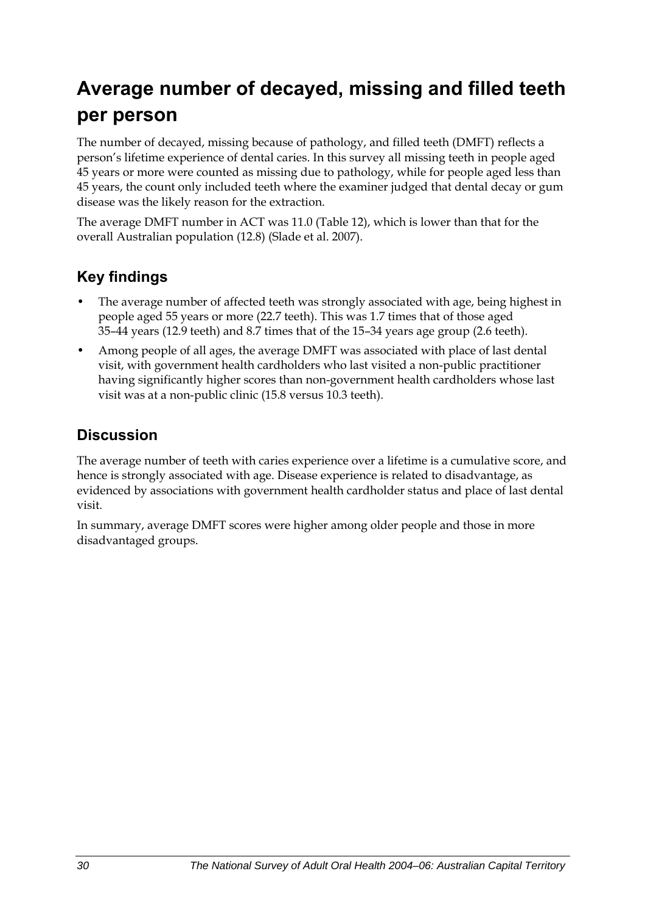# **Average number of decayed, missing and filled teeth per person**

The number of decayed, missing because of pathology, and filled teeth (DMFT) reflects a person's lifetime experience of dental caries. In this survey all missing teeth in people aged 45 years or more were counted as missing due to pathology, while for people aged less than 45 years, the count only included teeth where the examiner judged that dental decay or gum disease was the likely reason for the extraction.

The average DMFT number in ACT was 11.0 ([Table 12](#page-38-0)), which is lower than that for the overall Australian population (12.8) (Slade et al. 2007).

### **Key findings**

- The average number of affected teeth was strongly associated with age, being highest in people aged 55 years or more (22.7 teeth). This was 1.7 times that of those aged 35–44 years (12.9 teeth) and 8.7 times that of the 15–34 years age group (2.6 teeth).
- Among people of all ages, the average DMFT was associated with place of last dental visit, with government health cardholders who last visited a non-public practitioner having significantly higher scores than non-government health cardholders whose last visit was at a non-public clinic (15.8 versus 10.3 teeth).

### **Discussion**

The average number of teeth with caries experience over a lifetime is a cumulative score, and hence is strongly associated with age. Disease experience is related to disadvantage, as evidenced by associations with government health cardholder status and place of last dental visit.

In summary, average DMFT scores were higher among older people and those in more disadvantaged groups.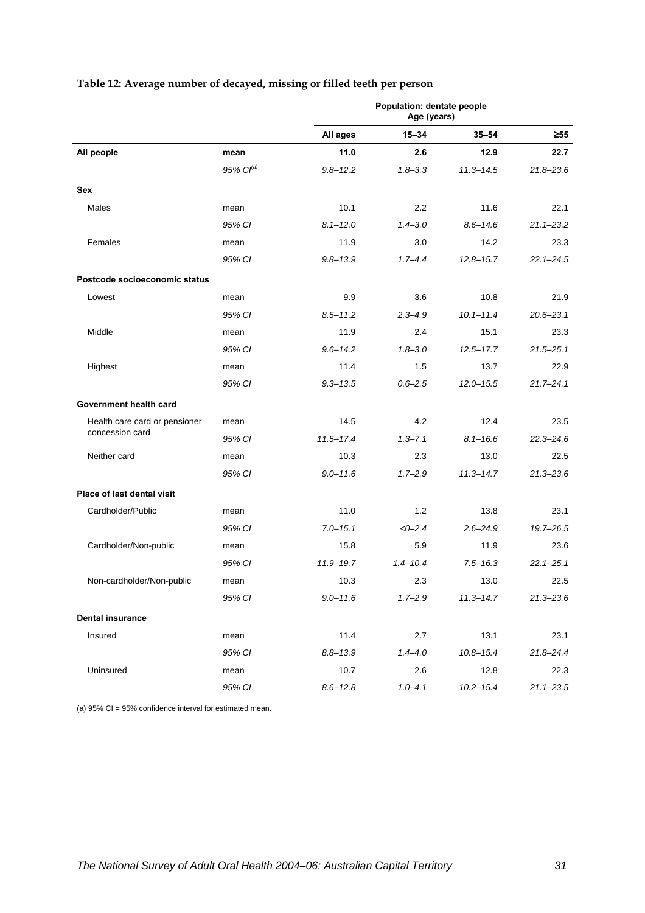|                                   |                       |               | Population: dentate people<br>Age (years) |               |               |
|-----------------------------------|-----------------------|---------------|-------------------------------------------|---------------|---------------|
|                                   |                       | All ages      | $15 - 34$                                 | $35 - 54$     | ≥55           |
| All people                        | mean                  | 11.0          | 2.6                                       | 12.9          | 22.7          |
|                                   | 95% Cl <sup>(a)</sup> | $9.8 - 12.2$  | $1.8 - 3.3$                               | $11.3 - 14.5$ | $21.8 - 23.6$ |
| <b>Sex</b>                        |                       |               |                                           |               |               |
| Males                             | mean                  | 10.1          | 2.2                                       | 11.6          | 22.1          |
|                                   | 95% CI                | $8.1 - 12.0$  | $1.4 - 3.0$                               | $8.6 - 14.6$  | $21.1 - 23.2$ |
| Females                           | mean                  | 11.9          | 3.0                                       | 14.2          | 23.3          |
|                                   | 95% CI                | $9.8 - 13.9$  | $1.7 - 4.4$                               | $12.8 - 15.7$ | $22.1 - 24.5$ |
| Postcode socioeconomic status     |                       |               |                                           |               |               |
| Lowest                            | mean                  | 9.9           | 3.6                                       | 10.8          | 21.9          |
|                                   | 95% CI                | $8.5 - 11.2$  | $2.3 - 4.9$                               | $10.1 - 11.4$ | $20.6 - 23.1$ |
| Middle                            | mean                  | 11.9          | 2.4                                       | 15.1          | 23.3          |
|                                   | 95% CI                | $9.6 - 14.2$  | $1.8 - 3.0$                               | $12.5 - 17.7$ | $21.5 - 25.1$ |
| Highest                           | mean                  | 11.4          | 1.5                                       | 13.7          | 22.9          |
|                                   | 95% CI                | $9.3 - 13.5$  | $0.6 - 2.5$                               | $12.0 - 15.5$ | $21.7 - 24.1$ |
| Government health card            |                       |               |                                           |               |               |
| Health care card or pensioner     | mean                  | 14.5          | 4.2                                       | 12.4          | 23.5          |
| concession card                   | 95% CI                | $11.5 - 17.4$ | $1.3 - 7.1$                               | $8.1 - 16.6$  | $22.3 - 24.6$ |
| Neither card                      | mean                  | 10.3          | 2.3                                       | 13.0          | 22.5          |
|                                   | 95% CI                | $9.0 - 11.6$  | $1.7 - 2.9$                               | $11.3 - 14.7$ | $21.3 - 23.6$ |
| <b>Place of last dental visit</b> |                       |               |                                           |               |               |
| Cardholder/Public                 | mean                  | 11.0          | 1.2                                       | 13.8          | 23.1          |
|                                   | 95% CI                | $7.0 - 15.1$  | $<0-2.4$                                  | $2.6 - 24.9$  | $19.7 - 26.5$ |
| Cardholder/Non-public             | mean                  | 15.8          | 5.9                                       | 11.9          | 23.6          |
|                                   | 95% CI                | $11.9 - 19.7$ | $1.4 - 10.4$                              | $7.5 - 16.3$  | $22.1 - 25.1$ |
| Non-cardholder/Non-public         | mean                  | 10.3          | 2.3                                       | 13.0          | 22.5          |
|                                   | 95% CI                | $9.0 - 11.6$  | $1.7 - 2.9$                               | $11.3 - 14.7$ | $21.3 - 23.6$ |
| <b>Dental insurance</b>           |                       |               |                                           |               |               |
| Insured                           | mean                  | 11.4          | 2.7                                       | 13.1          | 23.1          |
|                                   | 95% CI                | $8.8 - 13.9$  | $1.4 - 4.0$                               | $10.8 - 15.4$ | $21.8 - 24.4$ |
| Uninsured                         | mean                  | 10.7          | 2.6                                       | 12.8          | 22.3          |
|                                   | 95% CI                | $8.6 - 12.8$  | $1.0 - 4.1$                               | $10.2 - 15.4$ | $21.1 - 23.5$ |

#### <span id="page-38-0"></span>**Table 12: Average number of decayed, missing or filled teeth per person**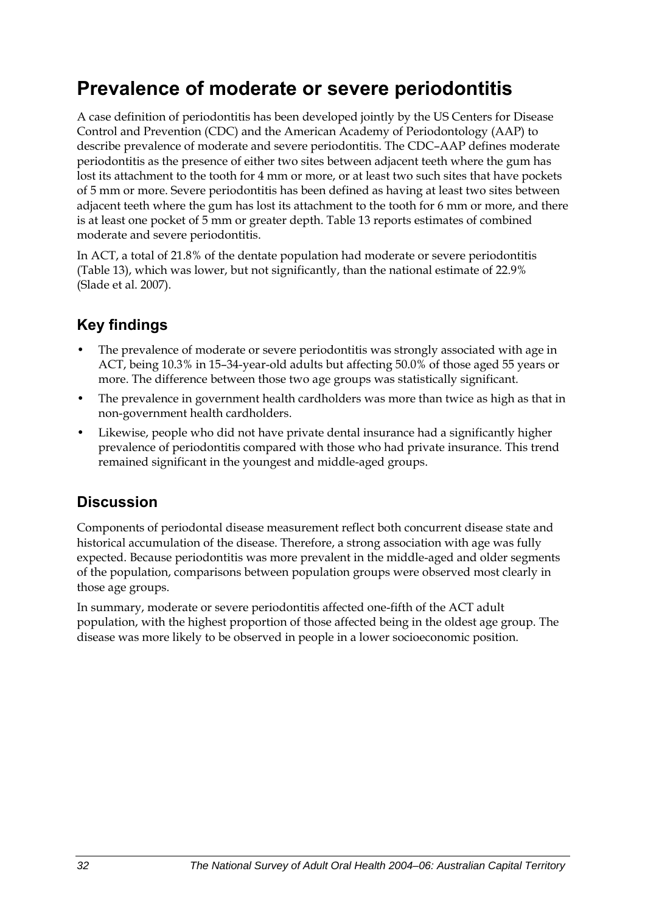## **Prevalence of moderate or severe periodontitis**

A case definition of periodontitis has been developed jointly by the US Centers for Disease Control and Prevention (CDC) and the American Academy of Periodontology (AAP) to describe prevalence of moderate and severe periodontitis. The CDC–AAP defines moderate periodontitis as the presence of either two sites between adjacent teeth where the gum has lost its attachment to the tooth for 4 mm or more, or at least two such sites that have pockets of 5 mm or more. Severe periodontitis has been defined as having at least two sites between adjacent teeth where the gum has lost its attachment to the tooth for 6 mm or more, and there is at least one pocket of 5 mm or greater depth. Table 13 reports estimates of combined moderate and severe periodontitis.

In ACT, a total of 21.8% of the dentate population had moderate or severe periodontitis ([Table 13](#page-40-0)), which was lower, but not significantly, than the national estimate of 22.9% (Slade et al. 2007).

## **Key findings**

- The prevalence of moderate or severe periodontitis was strongly associated with age in ACT, being 10.3% in 15–34-year-old adults but affecting 50.0% of those aged 55 years or more. The difference between those two age groups was statistically significant.
- The prevalence in government health cardholders was more than twice as high as that in non-government health cardholders.
- Likewise, people who did not have private dental insurance had a significantly higher prevalence of periodontitis compared with those who had private insurance. This trend remained significant in the youngest and middle-aged groups.

### **Discussion**

Components of periodontal disease measurement reflect both concurrent disease state and historical accumulation of the disease. Therefore, a strong association with age was fully expected. Because periodontitis was more prevalent in the middle-aged and older segments of the population, comparisons between population groups were observed most clearly in those age groups.

In summary, moderate or severe periodontitis affected one-fifth of the ACT adult population, with the highest proportion of those affected being in the oldest age group. The disease was more likely to be observed in people in a lower socioeconomic position.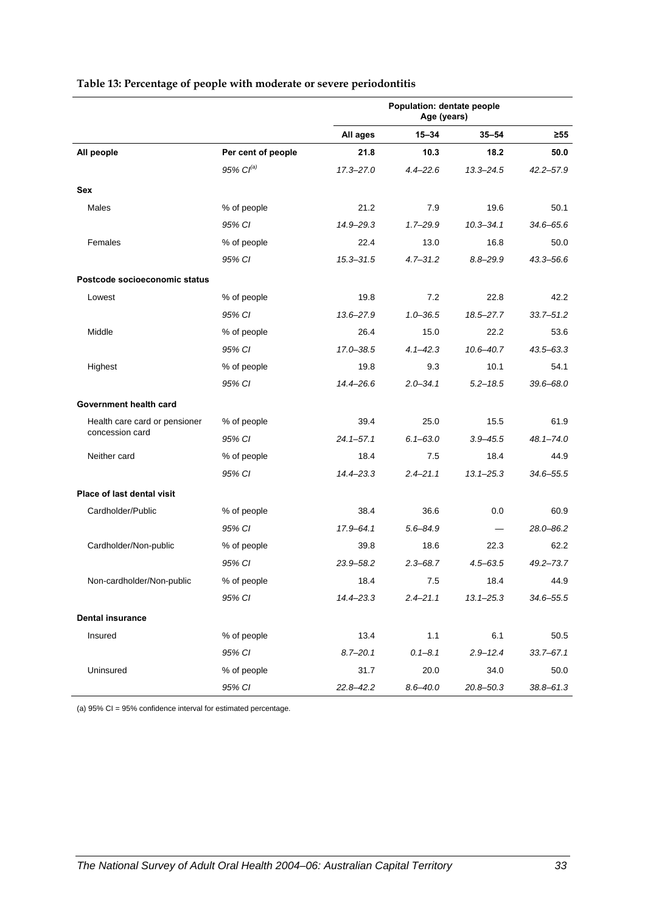|                               |                    | Population: dentate people<br>Age (years) |              |               |               |
|-------------------------------|--------------------|-------------------------------------------|--------------|---------------|---------------|
|                               |                    | All ages                                  | $15 - 34$    | $35 - 54$     | $\geq 55$     |
| All people                    | Per cent of people | 21.8                                      | 10.3         | 18.2          | 50.0          |
|                               | 95% $Cl^{(a)}$     | $17.3 - 27.0$                             | $4.4 - 22.6$ | $13.3 - 24.5$ | $42.2 - 57.9$ |
| <b>Sex</b>                    |                    |                                           |              |               |               |
| Males                         | % of people        | 21.2                                      | 7.9          | 19.6          | 50.1          |
|                               | 95% CI             | 14.9-29.3                                 | $1.7 - 29.9$ | $10.3 - 34.1$ | $34.6 - 65.6$ |
| Females                       | % of people        | 22.4                                      | 13.0         | 16.8          | 50.0          |
|                               | 95% CI             | $15.3 - 31.5$                             | $4.7 - 31.2$ | $8.8 - 29.9$  | 43.3-56.6     |
| Postcode socioeconomic status |                    |                                           |              |               |               |
| Lowest                        | % of people        | 19.8                                      | 7.2          | 22.8          | 42.2          |
|                               | 95% CI             | $13.6 - 27.9$                             | $1.0 - 36.5$ | $18.5 - 27.7$ | $33.7 - 51.2$ |
| Middle                        | % of people        | 26.4                                      | 15.0         | 22.2          | 53.6          |
|                               | 95% CI             | 17.0-38.5                                 | $4.1 - 42.3$ | $10.6 - 40.7$ | $43.5 - 63.3$ |
| Highest                       | % of people        | 19.8                                      | 9.3          | 10.1          | 54.1          |
|                               | 95% CI             | $14.4 - 26.6$                             | $2.0 - 34.1$ | $5.2 - 18.5$  | $39.6 - 68.0$ |
| Government health card        |                    |                                           |              |               |               |
| Health care card or pensioner | % of people        | 39.4                                      | 25.0         | 15.5          | 61.9          |
| concession card               | 95% CI             | $24.1 - 57.1$                             | $6.1 - 63.0$ | $3.9 - 45.5$  | $48.1 - 74.0$ |
| Neither card                  | % of people        | 18.4                                      | 7.5          | 18.4          | 44.9          |
|                               | 95% CI             | $14.4 - 23.3$                             | $2.4 - 21.1$ | $13.1 - 25.3$ | 34.6-55.5     |
| Place of last dental visit    |                    |                                           |              |               |               |
| Cardholder/Public             | % of people        | 38.4                                      | 36.6         | 0.0           | 60.9          |
|                               | 95% CI             | 17.9-64.1                                 | $5.6 - 84.9$ |               | 28.0-86.2     |
| Cardholder/Non-public         | % of people        | 39.8                                      | 18.6         | 22.3          | 62.2          |
|                               | 95% CI             | 23.9-58.2                                 | $2.3 - 68.7$ | $4.5 - 63.5$  | $49.2 - 73.7$ |
| Non-cardholder/Non-public     | % of people        | 18.4                                      | 7.5          | 18.4          | 44.9          |
|                               | 95% CI             | $14.4 - 23.3$                             | $2.4 - 21.1$ | $13.1 - 25.3$ | $34.6 - 55.5$ |
| <b>Dental insurance</b>       |                    |                                           |              |               |               |
| Insured                       | % of people        | 13.4                                      | 1.1          | 6.1           | 50.5          |
|                               | 95% CI             | $8.7 - 20.1$                              | $0.1 - 8.1$  | $2.9 - 12.4$  | $33.7 - 67.1$ |
| Uninsured                     | % of people        | 31.7                                      | 20.0         | 34.0          | 50.0          |
|                               | 95% CI             | $22.8 - 42.2$                             | $8.6 - 40.0$ | 20.8-50.3     | $38.8 - 61.3$ |

#### <span id="page-40-0"></span>**Table 13: Percentage of people with moderate or severe periodontitis**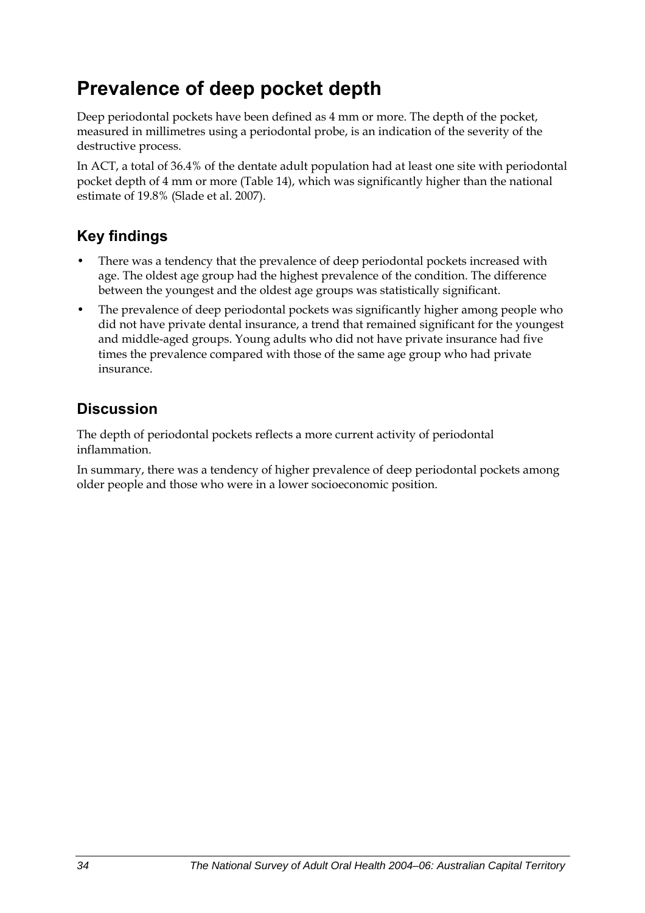## **Prevalence of deep pocket depth**

Deep periodontal pockets have been defined as 4 mm or more. The depth of the pocket, measured in millimetres using a periodontal probe, is an indication of the severity of the destructive process.

In ACT, a total of 36.4% of the dentate adult population had at least one site with periodontal pocket depth of 4 mm or more [\(Table 14\)](#page-42-0), which was significantly higher than the national estimate of 19.8% (Slade et al. 2007).

## **Key findings**

- There was a tendency that the prevalence of deep periodontal pockets increased with age. The oldest age group had the highest prevalence of the condition. The difference between the youngest and the oldest age groups was statistically significant.
- The prevalence of deep periodontal pockets was significantly higher among people who did not have private dental insurance, a trend that remained significant for the youngest and middle-aged groups. Young adults who did not have private insurance had five times the prevalence compared with those of the same age group who had private insurance.

## **Discussion**

The depth of periodontal pockets reflects a more current activity of periodontal inflammation.

In summary, there was a tendency of higher prevalence of deep periodontal pockets among older people and those who were in a lower socioeconomic position.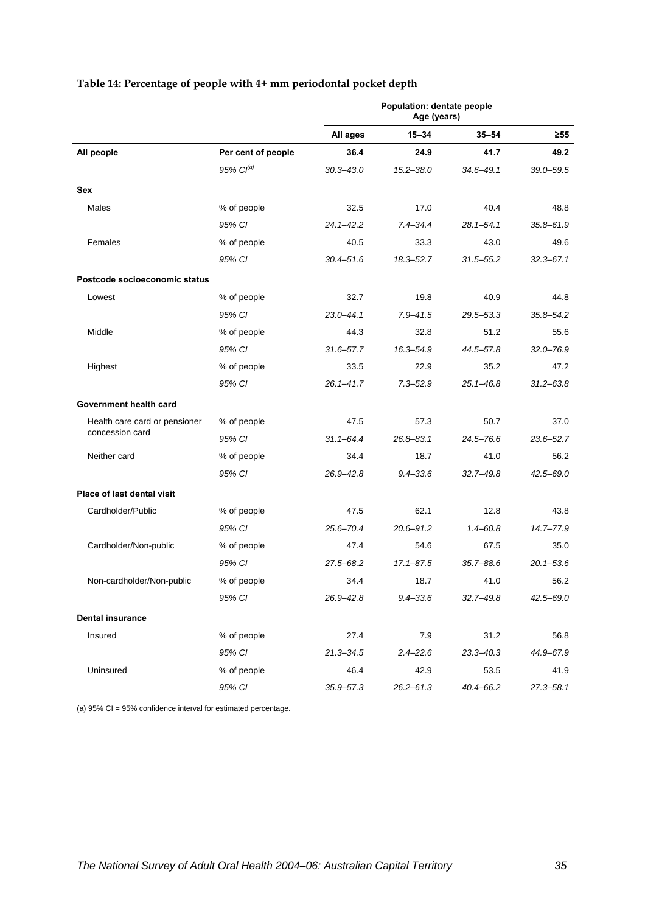|                               |                       | Population: dentate people<br>Age (years) |               |               |               |  |
|-------------------------------|-----------------------|-------------------------------------------|---------------|---------------|---------------|--|
|                               |                       | All ages                                  | $15 - 34$     | $35 - 54$     | $\geq 55$     |  |
| All people                    | Per cent of people    | 36.4                                      | 24.9          | 41.7          | 49.2          |  |
|                               | 95% Cl <sup>(a)</sup> | $30.3 - 43.0$                             | $15.2 - 38.0$ | 34.6-49.1     | $39.0 - 59.5$ |  |
| Sex                           |                       |                                           |               |               |               |  |
| Males                         | % of people           | 32.5                                      | 17.0          | 40.4          | 48.8          |  |
|                               | 95% CI                | $24.1 - 42.2$                             | $7.4 - 34.4$  | $28.1 - 54.1$ | $35.8 - 61.9$ |  |
| Females                       | % of people           | 40.5                                      | 33.3          | 43.0          | 49.6          |  |
|                               | 95% CI                | $30.4 - 51.6$                             | $18.3 - 52.7$ | 31.5–55.2     | $32.3 - 67.1$ |  |
| Postcode socioeconomic status |                       |                                           |               |               |               |  |
| Lowest                        | % of people           | 32.7                                      | 19.8          | 40.9          | 44.8          |  |
|                               | 95% CI                | $23.0 - 44.1$                             | $7.9 - 41.5$  | $29.5 - 53.3$ | $35.8 - 54.2$ |  |
| Middle                        | % of people           | 44.3                                      | 32.8          | 51.2          | 55.6          |  |
|                               | 95% CI                | $31.6 - 57.7$                             | 16.3-54.9     | 44.5-57.8     | $32.0 - 76.9$ |  |
| Highest                       | % of people           | 33.5                                      | 22.9          | 35.2          | 47.2          |  |
|                               | 95% CI                | $26.1 - 41.7$                             | $7.3 - 52.9$  | $25.1 - 46.8$ | $31.2 - 63.8$ |  |
| Government health card        |                       |                                           |               |               |               |  |
| Health care card or pensioner | % of people           | 47.5                                      | 57.3          | 50.7          | 37.0          |  |
| concession card               | 95% CI                | $31.1 - 64.4$                             | $26.8 - 83.1$ | $24.5 - 76.6$ | $23.6 - 52.7$ |  |
| Neither card                  | % of people           | 34.4                                      | 18.7          | 41.0          | 56.2          |  |
|                               | 95% CI                | 26.9-42.8                                 | $9.4 - 33.6$  | $32.7 - 49.8$ | 42.5-69.0     |  |
| Place of last dental visit    |                       |                                           |               |               |               |  |
| Cardholder/Public             | % of people           | 47.5                                      | 62.1          | 12.8          | 43.8          |  |
|                               | 95% CI                | $25.6 - 70.4$                             | $20.6 - 91.2$ | $1.4 - 60.8$  | 14.7-77.9     |  |
| Cardholder/Non-public         | % of people           | 47.4                                      | 54.6          | 67.5          | 35.0          |  |
|                               | 95% CI                | 27.5-68.2                                 | $17.1 - 87.5$ | 35.7-88.6     | $20.1 - 53.6$ |  |
| Non-cardholder/Non-public     | % of people           | 34.4                                      | 18.7          | 41.0          | 56.2          |  |
|                               | 95% CI                | 26.9-42.8                                 | $9.4 - 33.6$  | $32.7 - 49.8$ | $42.5 - 69.0$ |  |
| <b>Dental insurance</b>       |                       |                                           |               |               |               |  |
| Insured                       | % of people           | 27.4                                      | 7.9           | 31.2          | 56.8          |  |
|                               | 95% CI                | $21.3 - 34.5$                             | $2.4 - 22.6$  | $23.3 - 40.3$ | 44.9-67.9     |  |
| Uninsured                     | % of people           | 46.4                                      | 42.9          | 53.5          | 41.9          |  |
|                               | 95% CI                | $35.9 - 57.3$                             | $26.2 - 61.3$ | 40.4-66.2     | $27.3 - 58.1$ |  |

#### <span id="page-42-0"></span>**Table 14: Percentage of people with 4+ mm periodontal pocket depth**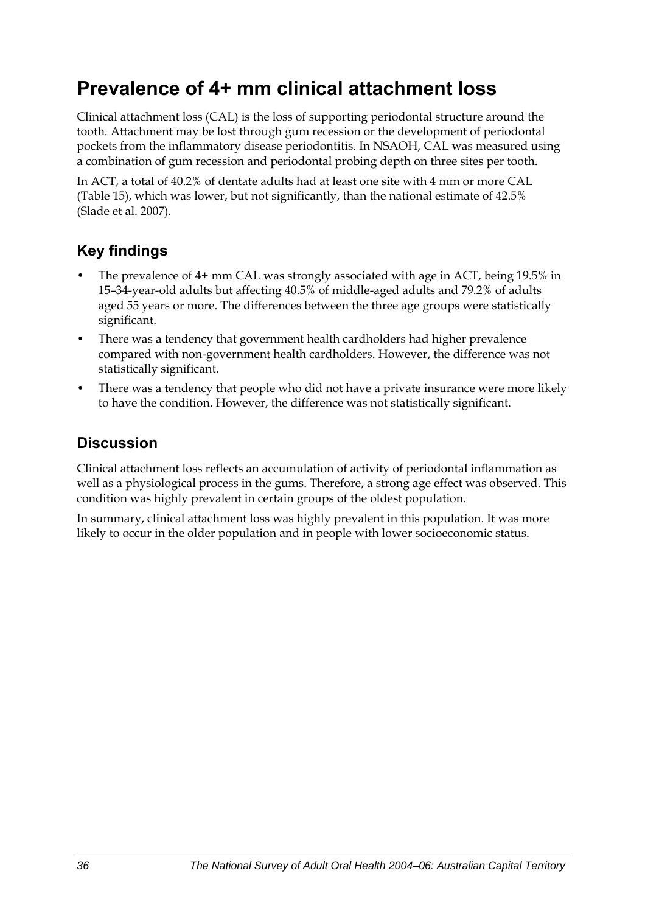## **Prevalence of 4+ mm clinical attachment loss**

Clinical attachment loss (CAL) is the loss of supporting periodontal structure around the tooth. Attachment may be lost through gum recession or the development of periodontal pockets from the inflammatory disease periodontitis. In NSAOH, CAL was measured using a combination of gum recession and periodontal probing depth on three sites per tooth.

In ACT, a total of 40.2% of dentate adults had at least one site with 4 mm or more CAL ([Table 15](#page-44-0)), which was lower, but not significantly, than the national estimate of 42.5% (Slade et al. 2007).

## **Key findings**

- The prevalence of 4+ mm CAL was strongly associated with age in ACT, being 19.5% in 15–34-year-old adults but affecting 40.5% of middle-aged adults and 79.2% of adults aged 55 years or more. The differences between the three age groups were statistically significant.
- There was a tendency that government health cardholders had higher prevalence compared with non-government health cardholders. However, the difference was not statistically significant.
- There was a tendency that people who did not have a private insurance were more likely to have the condition. However, the difference was not statistically significant.

## **Discussion**

Clinical attachment loss reflects an accumulation of activity of periodontal inflammation as well as a physiological process in the gums. Therefore, a strong age effect was observed. This condition was highly prevalent in certain groups of the oldest population.

In summary, clinical attachment loss was highly prevalent in this population. It was more likely to occur in the older population and in people with lower socioeconomic status.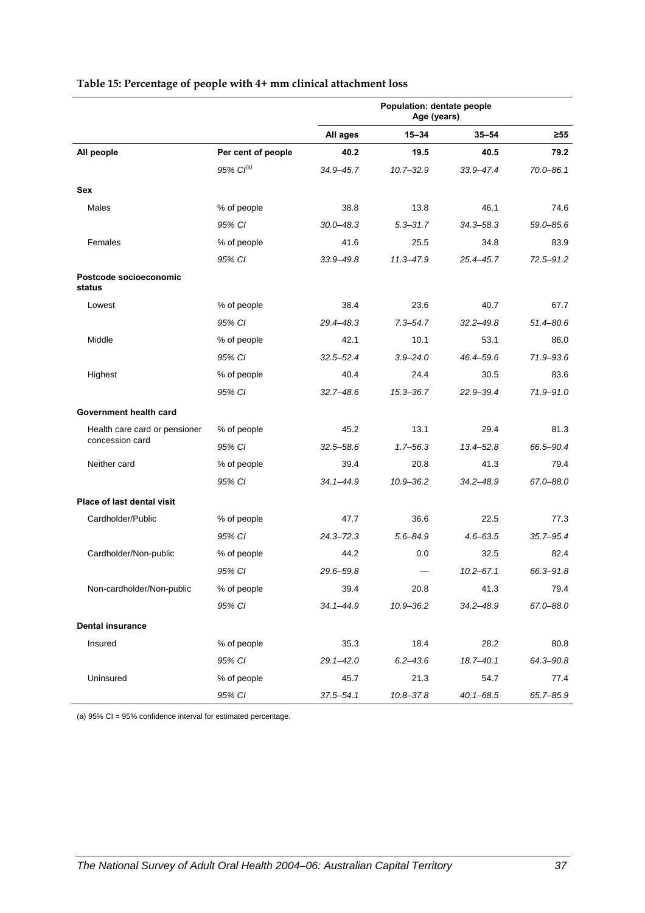|                                  |                    | Population: dentate people<br>Age (years) |               |               |               |
|----------------------------------|--------------------|-------------------------------------------|---------------|---------------|---------------|
|                                  |                    | All ages                                  | $15 - 34$     | $35 - 54$     | $\geq 55$     |
| All people                       | Per cent of people | 40.2                                      | 19.5          | 40.5          | 79.2          |
|                                  | 95% $Cl^{(a)}$     | 34.9-45.7                                 | $10.7 - 32.9$ | 33.9-47.4     | $70.0 - 86.1$ |
| <b>Sex</b>                       |                    |                                           |               |               |               |
| Males                            | % of people        | 38.8                                      | 13.8          | 46.1          | 74.6          |
|                                  | 95% CI             | $30.0 - 48.3$                             | $5.3 - 31.7$  | 34.3-58.3     | 59.0-85.6     |
| Females                          | % of people        | 41.6                                      | 25.5          | 34.8          | 83.9          |
|                                  | 95% CI             | $33.9 - 49.8$                             | $11.3 - 47.9$ | 25.4-45.7     | $72.5 - 91.2$ |
| Postcode socioeconomic<br>status |                    |                                           |               |               |               |
| Lowest                           | % of people        | 38.4                                      | 23.6          | 40.7          | 67.7          |
|                                  | 95% CI             | 29.4-48.3                                 | $7.3 - 54.7$  | $32.2 - 49.8$ | $51.4 - 80.6$ |
| Middle                           | % of people        | 42.1                                      | 10.1          | 53.1          | 86.0          |
|                                  | 95% CI             | $32.5 - 52.4$                             | $3.9 - 24.0$  | 46.4-59.6     | 71.9-93.6     |
| Highest                          | % of people        | 40.4                                      | 24.4          | 30.5          | 83.6          |
|                                  | 95% CI             | $32.7 - 48.6$                             | $15.3 - 36.7$ | 22.9-39.4     | 71.9-91.0     |
| Government health card           |                    |                                           |               |               |               |
| Health care card or pensioner    | % of people        | 45.2                                      | 13.1          | 29.4          | 81.3          |
| concession card                  | 95% CI             | $32.5 - 58.6$                             | $1.7 - 56.3$  | $13.4 - 52.8$ | 66.5-90.4     |
| Neither card                     | % of people        | 39.4                                      | 20.8          | 41.3          | 79.4          |
|                                  | 95% CI             | $34.1 - 44.9$                             | $10.9 - 36.2$ | 34.2-48.9     | 67.0-88.0     |
| Place of last dental visit       |                    |                                           |               |               |               |
| Cardholder/Public                | % of people        | 47.7                                      | 36.6          | 22.5          | 77.3          |
|                                  | 95% CI             | $24.3 - 72.3$                             | $5.6 - 84.9$  | $4.6 - 63.5$  | $35.7 - 95.4$ |
| Cardholder/Non-public            | % of people        | 44.2                                      | 0.0           | 32.5          | 82.4          |
|                                  | 95% CI             | 29.6-59.8                                 |               | $10.2 - 67.1$ | 66.3-91.8     |
| Non-cardholder/Non-public        | % of people        | 39.4                                      | 20.8          | 41.3          | 79.4          |
|                                  | 95% CI             | $34.1 - 44.9$                             | 10.9-36.2     | $34.2 - 48.9$ | 67.0-88.0     |
| <b>Dental insurance</b>          |                    |                                           |               |               |               |
| Insured                          | % of people        | 35.3                                      | 18.4          | 28.2          | 80.8          |
|                                  | 95% CI             | $29.1 - 42.0$                             | $6.2 - 43.6$  | 18.7-40.1     | 64.3-90.8     |
| Uninsured                        | % of people        | 45.7                                      | 21.3          | 54.7          | 77.4          |
|                                  | 95% CI             | $37.5 - 54.1$                             | 10.8-37.8     | $40.1 - 68.5$ | 65.7-85.9     |

#### <span id="page-44-0"></span>**Table 15: Percentage of people with 4+ mm clinical attachment loss**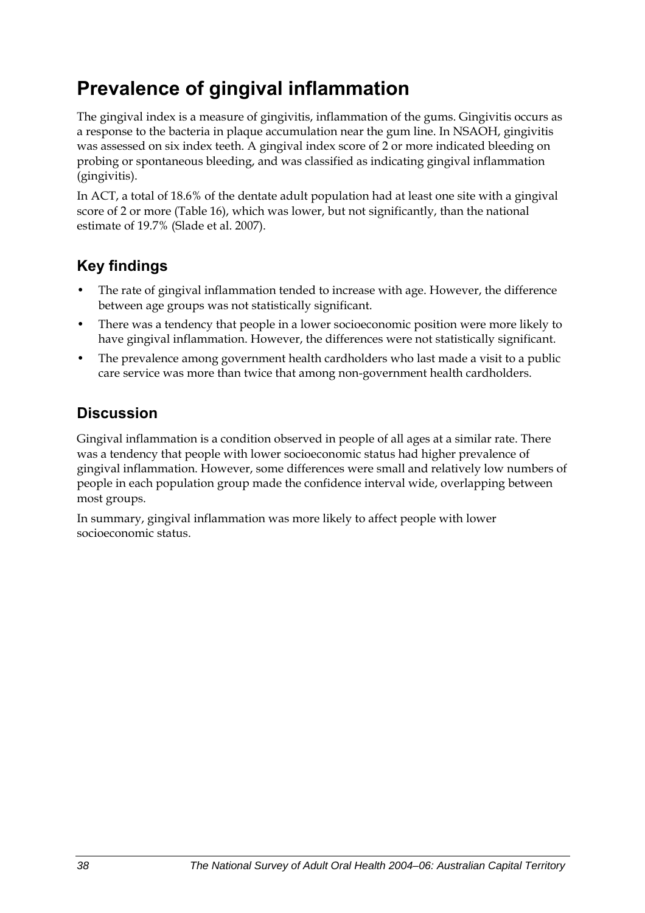## **Prevalence of gingival inflammation**

The gingival index is a measure of gingivitis, inflammation of the gums. Gingivitis occurs as a response to the bacteria in plaque accumulation near the gum line. In NSAOH, gingivitis was assessed on six index teeth. A gingival index score of 2 or more indicated bleeding on probing or spontaneous bleeding, and was classified as indicating gingival inflammation (gingivitis).

In ACT, a total of 18.6% of the dentate adult population had at least one site with a gingival score of 2 or more [\(Table 16\)](#page-46-0), which was lower, but not significantly, than the national estimate of 19.7% (Slade et al. 2007).

## **Key findings**

- The rate of gingival inflammation tended to increase with age. However, the difference between age groups was not statistically significant.
- There was a tendency that people in a lower socioeconomic position were more likely to have gingival inflammation. However, the differences were not statistically significant.
- The prevalence among government health cardholders who last made a visit to a public care service was more than twice that among non-government health cardholders.

## **Discussion**

Gingival inflammation is a condition observed in people of all ages at a similar rate. There was a tendency that people with lower socioeconomic status had higher prevalence of gingival inflammation. However, some differences were small and relatively low numbers of people in each population group made the confidence interval wide, overlapping between most groups.

In summary, gingival inflammation was more likely to affect people with lower socioeconomic status.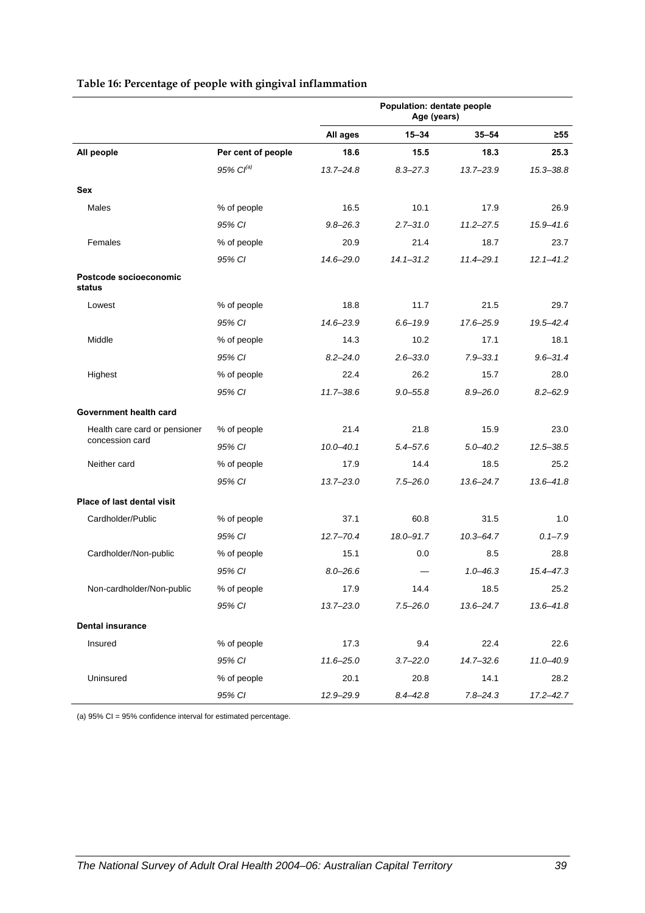<span id="page-46-0"></span>

|                                  |                    | Population: dentate people<br>Age (years) |               |               |               |
|----------------------------------|--------------------|-------------------------------------------|---------------|---------------|---------------|
|                                  |                    | All ages                                  | $15 - 34$     | $35 - 54$     | $\geq 55$     |
| All people                       | Per cent of people | 18.6                                      | 15.5          | 18.3          | 25.3          |
|                                  | 95% $CI^{(a)}$     | $13.7 - 24.8$                             | $8.3 - 27.3$  | 13.7-23.9     | $15.3 - 38.8$ |
| Sex                              |                    |                                           |               |               |               |
| Males                            | % of people        | 16.5                                      | 10.1          | 17.9          | 26.9          |
|                                  | 95% CI             | $9.8 - 26.3$                              | $2.7 - 31.0$  | $11.2 - 27.5$ | 15.9-41.6     |
| Females                          | % of people        | 20.9                                      | 21.4          | 18.7          | 23.7          |
|                                  | 95% CI             | 14.6-29.0                                 | $14.1 - 31.2$ | $11.4 - 29.1$ | $12.1 - 41.2$ |
| Postcode socioeconomic<br>status |                    |                                           |               |               |               |
| Lowest                           | % of people        | 18.8                                      | 11.7          | 21.5          | 29.7          |
|                                  | 95% CI             | $14.6 - 23.9$                             | $6.6 - 19.9$  | 17.6–25.9     | 19.5-42.4     |
| Middle                           | % of people        | 14.3                                      | 10.2          | 17.1          | 18.1          |
|                                  | 95% CI             | $8.2 - 24.0$                              | $2.6 - 33.0$  | $7.9 - 33.1$  | $9.6 - 31.4$  |
| Highest                          | % of people        | 22.4                                      | 26.2          | 15.7          | 28.0          |
|                                  | 95% CI             | $11.7 - 38.6$                             | $9.0 - 55.8$  | $8.9 - 26.0$  | $8.2 - 62.9$  |
| Government health card           |                    |                                           |               |               |               |
| Health care card or pensioner    | % of people        | 21.4                                      | 21.8          | 15.9          | 23.0          |
| concession card                  | 95% CI             | $10.0 - 40.1$                             | $5.4 - 57.6$  | $5.0 - 40.2$  | $12.5 - 38.5$ |
| Neither card                     | % of people        | 17.9                                      | 14.4          | 18.5          | 25.2          |
|                                  | 95% CI             | $13.7 - 23.0$                             | $7.5 - 26.0$  | $13.6 - 24.7$ | $13.6 - 41.8$ |
| Place of last dental visit       |                    |                                           |               |               |               |
| Cardholder/Public                | % of people        | 37.1                                      | 60.8          | 31.5          | 1.0           |
|                                  | 95% CI             | $12.7 - 70.4$                             | 18.0-91.7     | $10.3 - 64.7$ | $0.1 - 7.9$   |
| Cardholder/Non-public            | % of people        | 15.1                                      | 0.0           | 8.5           | 28.8          |
|                                  | 95% CI             | $8.0 - 26.6$                              |               | $1.0 - 46.3$  | $15.4 - 47.3$ |
| Non-cardholder/Non-public        | % of people        | 17.9                                      | 14.4          | 18.5          | 25.2          |
|                                  | 95% CI             | $13.7 - 23.0$                             | $7.5 - 26.0$  | $13.6 - 24.7$ | 13.6-41.8     |
| <b>Dental insurance</b>          |                    |                                           |               |               |               |
| Insured                          | % of people        | 17.3                                      | 9.4           | 22.4          | 22.6          |
|                                  | 95% CI             | $11.6 - 25.0$                             | $3.7 - 22.0$  | $14.7 - 32.6$ | $11.0 - 40.9$ |
| Uninsured                        | % of people        | 20.1                                      | 20.8          | 14.1          | 28.2          |
|                                  | 95% CI             | 12.9-29.9                                 | $8.4 - 42.8$  | $7.8 - 24.3$  | $17.2 - 42.7$ |

#### **Table 16: Percentage of people with gingival inflammation**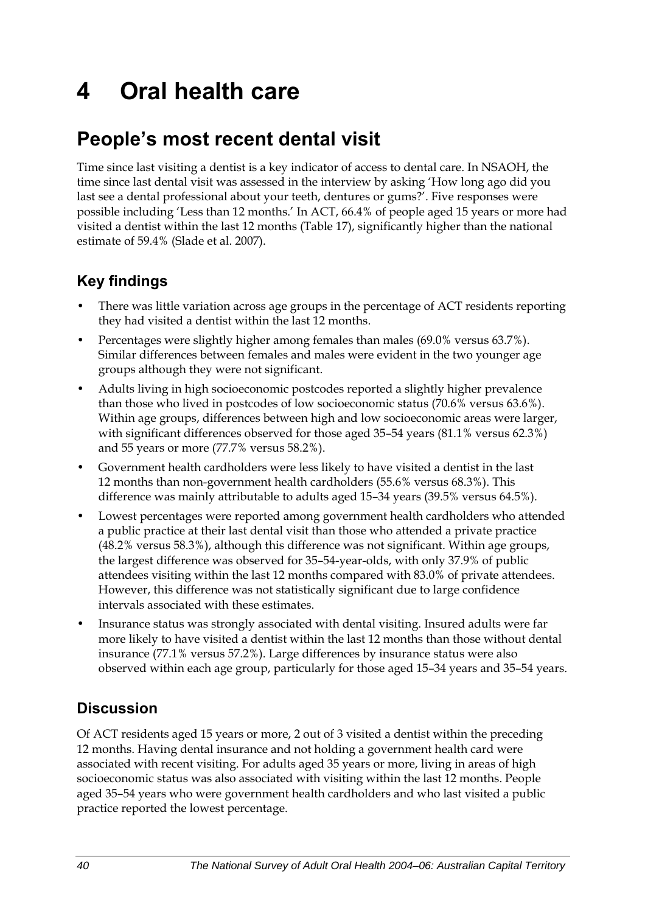# **4 Oral health care**

## **People's most recent dental visit**

Time since last visiting a dentist is a key indicator of access to dental care. In NSAOH, the time since last dental visit was assessed in the interview by asking 'How long ago did you last see a dental professional about your teeth, dentures or gums?'. Five responses were possible including 'Less than 12 months.' In ACT, 66.4% of people aged 15 years or more had visited a dentist within the last 12 months [\(Table 17\)](#page-48-0), significantly higher than the national estimate of 59.4% (Slade et al. 2007).

## **Key findings**

- There was little variation across age groups in the percentage of ACT residents reporting they had visited a dentist within the last 12 months.
- Percentages were slightly higher among females than males (69.0% versus 63.7%). Similar differences between females and males were evident in the two younger age groups although they were not significant.
- Adults living in high socioeconomic postcodes reported a slightly higher prevalence than those who lived in postcodes of low socioeconomic status (70.6% versus 63.6%). Within age groups, differences between high and low socioeconomic areas were larger, with significant differences observed for those aged 35–54 years (81.1% versus 62.3%) and 55 years or more (77.7% versus 58.2%).
- Government health cardholders were less likely to have visited a dentist in the last 12 months than non-government health cardholders (55.6% versus 68.3%). This difference was mainly attributable to adults aged 15–34 years (39.5% versus 64.5%).
- Lowest percentages were reported among government health cardholders who attended a public practice at their last dental visit than those who attended a private practice (48.2% versus 58.3%), although this difference was not significant. Within age groups, the largest difference was observed for 35–54-year-olds, with only 37.9% of public attendees visiting within the last 12 months compared with 83.0% of private attendees. However, this difference was not statistically significant due to large confidence intervals associated with these estimates.
- Insurance status was strongly associated with dental visiting. Insured adults were far more likely to have visited a dentist within the last 12 months than those without dental insurance (77.1% versus 57.2%). Large differences by insurance status were also observed within each age group, particularly for those aged 15–34 years and 35–54 years.

## **Discussion**

Of ACT residents aged 15 years or more, 2 out of 3 visited a dentist within the preceding 12 months. Having dental insurance and not holding a government health card were associated with recent visiting. For adults aged 35 years or more, living in areas of high socioeconomic status was also associated with visiting within the last 12 months. People aged 35–54 years who were government health cardholders and who last visited a public practice reported the lowest percentage.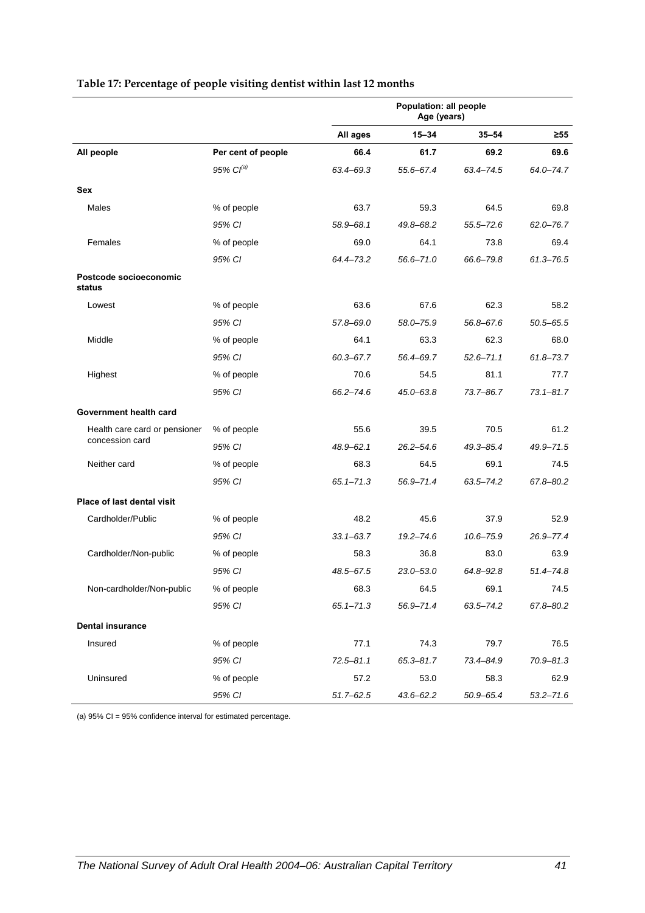|                                   |                    | Population: all people<br>Age (years) |               |               |               |
|-----------------------------------|--------------------|---------------------------------------|---------------|---------------|---------------|
|                                   |                    | All ages                              | $15 - 34$     | $35 - 54$     | ≥55           |
| All people                        | Per cent of people | 66.4                                  | 61.7          | 69.2          | 69.6          |
|                                   | $95\%$ $Cl^{(a)}$  | 63.4-69.3                             | 55.6-67.4     | 63.4-74.5     | 64.0-74.7     |
| <b>Sex</b>                        |                    |                                       |               |               |               |
| Males                             | % of people        | 63.7                                  | 59.3          | 64.5          | 69.8          |
|                                   | 95% CI             | 58.9-68.1                             | 49.8-68.2     | $55.5 - 72.6$ | $62.0 - 76.7$ |
| Females                           | % of people        | 69.0                                  | 64.1          | 73.8          | 69.4          |
|                                   | 95% CI             | 64.4-73.2                             | 56.6-71.0     | 66.6-79.8     | $61.3 - 76.5$ |
| Postcode socioeconomic<br>status  |                    |                                       |               |               |               |
| Lowest                            | % of people        | 63.6                                  | 67.6          | 62.3          | 58.2          |
|                                   | 95% CI             | 57.8-69.0                             | 58.0-75.9     | 56.8-67.6     | $50.5 - 65.5$ |
| Middle                            | % of people        | 64.1                                  | 63.3          | 62.3          | 68.0          |
|                                   | 95% CI             | $60.3 - 67.7$                         | 56.4-69.7     | $52.6 - 71.1$ | $61.8 - 73.7$ |
| Highest                           | % of people        | 70.6                                  | 54.5          | 81.1          | 77.7          |
|                                   | 95% CI             | $66.2 - 74.6$                         | 45.0-63.8     | 73.7-86.7     | $73.1 - 81.7$ |
| Government health card            |                    |                                       |               |               |               |
| Health care card or pensioner     | % of people        | 55.6                                  | 39.5          | 70.5          | 61.2          |
| concession card                   | 95% CI             | $48.9 - 62.1$                         | $26.2 - 54.6$ | $49.3 - 85.4$ | 49.9-71.5     |
| Neither card                      | % of people        | 68.3                                  | 64.5          | 69.1          | 74.5          |
|                                   | 95% CI             | $65.1 - 71.3$                         | 56.9-71.4     | $63.5 - 74.2$ | 67.8-80.2     |
| <b>Place of last dental visit</b> |                    |                                       |               |               |               |
| Cardholder/Public                 | % of people        | 48.2                                  | 45.6          | 37.9          | 52.9          |
|                                   | 95% CI             | $33.1 - 63.7$                         | $19.2 - 74.6$ | $10.6 - 75.9$ | 26.9-77.4     |
| Cardholder/Non-public             | % of people        | 58.3                                  | 36.8          | 83.0          | 63.9          |
|                                   | 95% CI             | 48.5-67.5                             | $23.0 - 53.0$ | $64.8 - 92.8$ | 51.4-74.8     |
| Non-cardholder/Non-public         | % of people        | 68.3                                  | 64.5          | 69.1          | 74.5          |
|                                   | 95% CI             | $65.1 - 71.3$                         | 56.9-71.4     | $63.5 - 74.2$ | 67.8-80.2     |
| <b>Dental insurance</b>           |                    |                                       |               |               |               |
| Insured                           | % of people        | 77.1                                  | 74.3          | 79.7          | 76.5          |
|                                   | 95% CI             | $72.5 - 81.1$                         | $65.3 - 81.7$ | 73.4-84.9     | 70.9-81.3     |
| Uninsured                         | % of people        | 57.2                                  | 53.0          | 58.3          | 62.9          |
|                                   | 95% CI             | $51.7 - 62.5$                         | 43.6-62.2     | $50.9 - 65.4$ | $53.2 - 71.6$ |

#### <span id="page-48-0"></span>**Table 17: Percentage of people visiting dentist within last 12 months**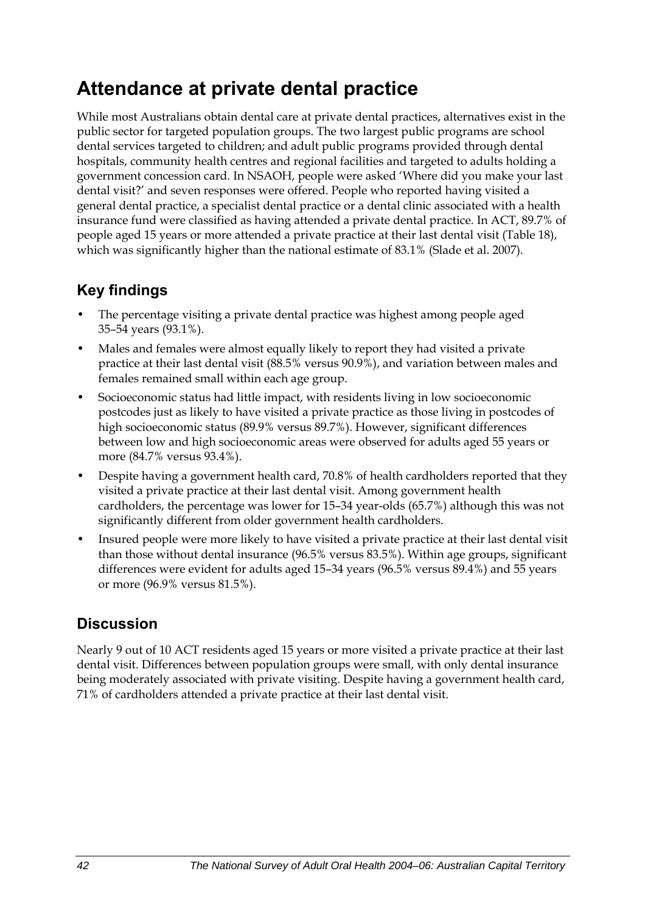## **Attendance at private dental practice**

While most Australians obtain dental care at private dental practices, alternatives exist in the public sector for targeted population groups. The two largest public programs are school dental services targeted to children; and adult public programs provided through dental hospitals, community health centres and regional facilities and targeted to adults holding a government concession card. In NSAOH, people were asked 'Where did you make your last dental visit?' and seven responses were offered. People who reported having visited a general dental practice, a specialist dental practice or a dental clinic associated with a health insurance fund were classified as having attended a private dental practice. In ACT, 89.7% of people aged 15 years or more attended a private practice at their last dental visit ([Table 18\)](#page-50-0), which was significantly higher than the national estimate of 83.1% (Slade et al. 2007).

### **Key findings**

- The percentage visiting a private dental practice was highest among people aged 35–54 years (93.1%).
- Males and females were almost equally likely to report they had visited a private practice at their last dental visit (88.5% versus 90.9%), and variation between males and females remained small within each age group.
- Socioeconomic status had little impact, with residents living in low socioeconomic postcodes just as likely to have visited a private practice as those living in postcodes of high socioeconomic status (89.9% versus 89.7%). However, significant differences between low and high socioeconomic areas were observed for adults aged 55 years or more (84.7% versus 93.4%).
- Despite having a government health card, 70.8% of health cardholders reported that they visited a private practice at their last dental visit. Among government health cardholders, the percentage was lower for 15–34 year-olds (65.7%) although this was not significantly different from older government health cardholders.
- Insured people were more likely to have visited a private practice at their last dental visit than those without dental insurance (96.5% versus 83.5%). Within age groups, significant differences were evident for adults aged 15–34 years (96.5% versus 89.4%) and 55 years or more (96.9% versus 81.5%).

## **Discussion**

Nearly 9 out of 10 ACT residents aged 15 years or more visited a private practice at their last dental visit. Differences between population groups were small, with only dental insurance being moderately associated with private visiting. Despite having a government health card, 71% of cardholders attended a private practice at their last dental visit.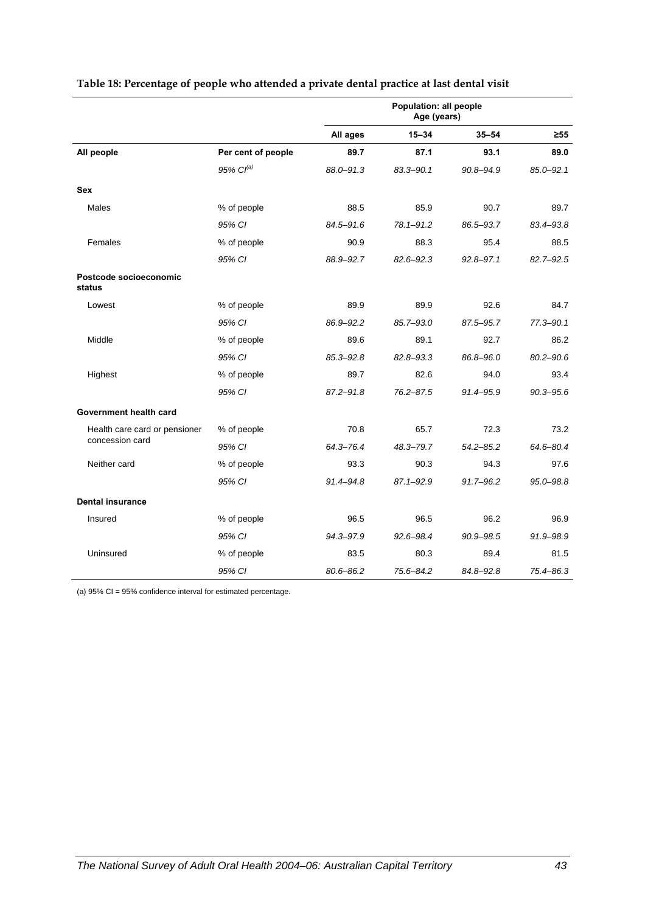|                                  |                       | Population: all people<br>Age (years) |               |               |               |
|----------------------------------|-----------------------|---------------------------------------|---------------|---------------|---------------|
|                                  |                       | All ages                              | $15 - 34$     | $35 - 54$     | $\geq 55$     |
| All people                       | Per cent of people    | 89.7                                  | 87.1          | 93.1          | 89.0          |
|                                  | 95% Cl <sup>(a)</sup> | 88.0-91.3                             | 83.3-90.1     | 90.8-94.9     | $85.0 - 92.1$ |
| <b>Sex</b>                       |                       |                                       |               |               |               |
| Males                            | % of people           | 88.5                                  | 85.9          | 90.7          | 89.7          |
|                                  | 95% CI                | 84.5-91.6                             | $78.1 - 91.2$ | 86.5-93.7     | 83.4-93.8     |
| Females                          | % of people           | 90.9                                  | 88.3          | 95.4          | 88.5          |
|                                  | 95% CI                | 88.9-92.7                             | $82.6 - 92.3$ | $92.8 - 97.1$ | 82.7-92.5     |
| Postcode socioeconomic<br>status |                       |                                       |               |               |               |
| Lowest                           | % of people           | 89.9                                  | 89.9          | 92.6          | 84.7          |
|                                  | 95% CI                | 86.9-92.2                             | 85.7-93.0     | 87.5-95.7     | $77.3 - 90.1$ |
| Middle                           | % of people           | 89.6                                  | 89.1          | 92.7          | 86.2          |
|                                  | 95% CI                | $85.3 - 92.8$                         | 82.8-93.3     | 86.8-96.0     | $80.2 - 90.6$ |
| Highest                          | % of people           | 89.7                                  | 82.6          | 94.0          | 93.4          |
|                                  | 95% CI                | $87.2 - 91.8$                         | $76.2 - 87.5$ | 91.4-95.9     | $90.3 - 95.6$ |
| Government health card           |                       |                                       |               |               |               |
| Health care card or pensioner    | % of people           | 70.8                                  | 65.7          | 72.3          | 73.2          |
| concession card                  | 95% CI                | 64.3-76.4                             | 48.3-79.7     | $54.2 - 85.2$ | 64.6-80.4     |
| Neither card                     | % of people           | 93.3                                  | 90.3          | 94.3          | 97.6          |
|                                  | 95% CI                | $91.4 - 94.8$                         | $87.1 - 92.9$ | 91.7-96.2     | 95.0-98.8     |
| <b>Dental insurance</b>          |                       |                                       |               |               |               |
| Insured                          | % of people           | 96.5                                  | 96.5          | 96.2          | 96.9          |
|                                  | 95% CI                | 94.3-97.9                             | 92.6-98.4     | 90.9-98.5     | 91.9-98.9     |
| Uninsured                        | % of people           | 83.5                                  | 80.3          | 89.4          | 81.5          |
|                                  | 95% CI                | 80.6-86.2                             | 75.6-84.2     | 84.8-92.8     | 75.4-86.3     |

#### <span id="page-50-0"></span>**Table 18: Percentage of people who attended a private dental practice at last dental visit**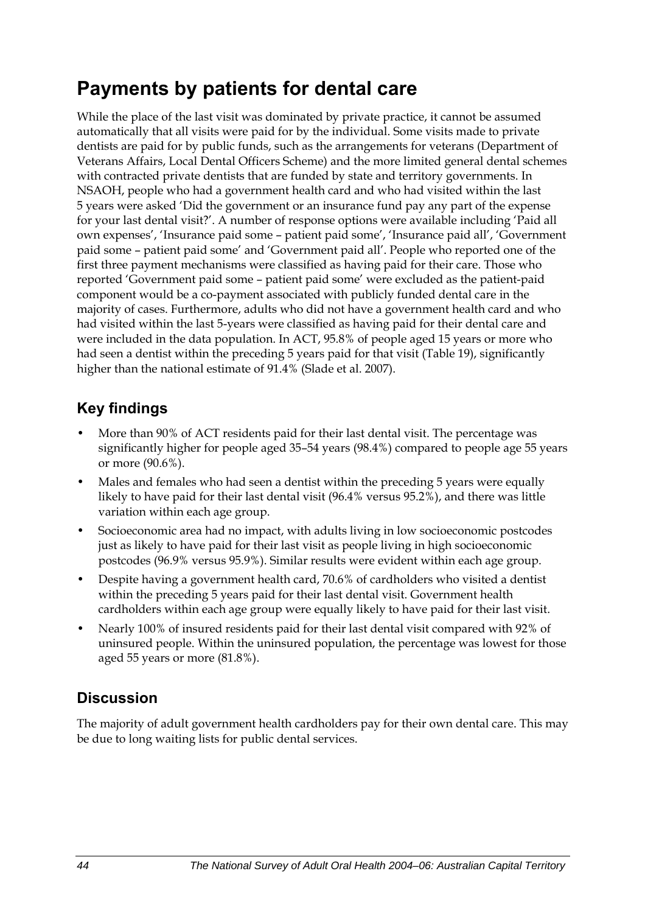## **Payments by patients for dental care**

While the place of the last visit was dominated by private practice, it cannot be assumed automatically that all visits were paid for by the individual. Some visits made to private dentists are paid for by public funds, such as the arrangements for veterans (Department of Veterans Affairs, Local Dental Officers Scheme) and the more limited general dental schemes with contracted private dentists that are funded by state and territory governments. In NSAOH, people who had a government health card and who had visited within the last 5 years were asked 'Did the government or an insurance fund pay any part of the expense for your last dental visit?'. A number of response options were available including 'Paid all own expenses', 'Insurance paid some – patient paid some', 'Insurance paid all', 'Government paid some – patient paid some' and 'Government paid all'. People who reported one of the first three payment mechanisms were classified as having paid for their care. Those who reported 'Government paid some – patient paid some' were excluded as the patient-paid component would be a co-payment associated with publicly funded dental care in the majority of cases. Furthermore, adults who did not have a government health card and who had visited within the last 5-years were classified as having paid for their dental care and were included in the data population. In ACT, 95.8% of people aged 15 years or more who had seen a dentist within the preceding 5 years paid for that visit ([Table 19\)](#page-52-0), significantly higher than the national estimate of 91.4% (Slade et al. 2007).

### **Key findings**

- More than 90% of ACT residents paid for their last dental visit. The percentage was significantly higher for people aged 35–54 years (98.4%) compared to people age 55 years or more (90.6%).
- Males and females who had seen a dentist within the preceding 5 years were equally likely to have paid for their last dental visit (96.4% versus 95.2%), and there was little variation within each age group.
- Socioeconomic area had no impact, with adults living in low socioeconomic postcodes just as likely to have paid for their last visit as people living in high socioeconomic postcodes (96.9% versus 95.9%). Similar results were evident within each age group.
- Despite having a government health card, 70.6% of cardholders who visited a dentist within the preceding 5 years paid for their last dental visit. Government health cardholders within each age group were equally likely to have paid for their last visit.
- Nearly 100% of insured residents paid for their last dental visit compared with 92% of uninsured people. Within the uninsured population, the percentage was lowest for those aged 55 years or more (81.8%).

### **Discussion**

The majority of adult government health cardholders pay for their own dental care. This may be due to long waiting lists for public dental services.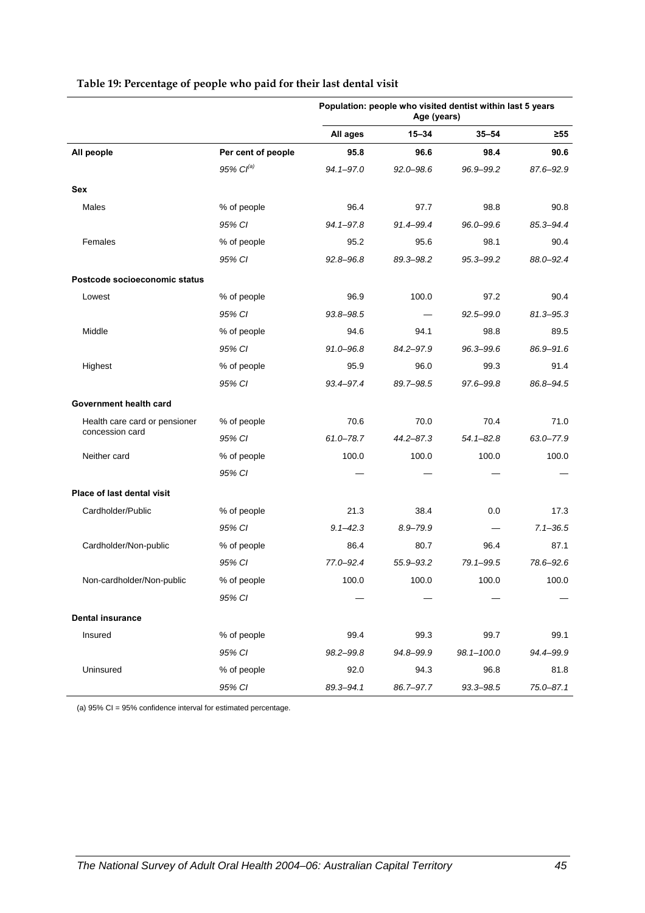<span id="page-52-0"></span>

|                               |                    | Population: people who visited dentist within last 5 years<br>Age (years) |               |                |               |
|-------------------------------|--------------------|---------------------------------------------------------------------------|---------------|----------------|---------------|
|                               |                    | All ages                                                                  | $15 - 34$     | $35 - 54$      | ≥55           |
| All people                    | Per cent of people | 95.8                                                                      | 96.6          | 98.4           | 90.6          |
|                               | $95\%$ $Cl^{(a)}$  | 94.1-97.0                                                                 | $92.0 - 98.6$ | 96.9-99.2      | 87.6-92.9     |
| Sex                           |                    |                                                                           |               |                |               |
| Males                         | % of people        | 96.4                                                                      | 97.7          | 98.8           | 90.8          |
|                               | 95% CI             | 94.1-97.8                                                                 | 91.4-99.4     | 96.0-99.6      | 85.3-94.4     |
| Females                       | % of people        | 95.2                                                                      | 95.6          | 98.1           | 90.4          |
|                               | 95% CI             | 92.8-96.8                                                                 | 89.3-98.2     | 95.3-99.2      | 88.0-92.4     |
| Postcode socioeconomic status |                    |                                                                           |               |                |               |
| Lowest                        | % of people        | 96.9                                                                      | 100.0         | 97.2           | 90.4          |
|                               | 95% CI             | 93.8-98.5                                                                 |               | $92.5 - 99.0$  | $81.3 - 95.3$ |
| Middle                        | % of people        | 94.6                                                                      | 94.1          | 98.8           | 89.5          |
|                               | 95% CI             | 91.0-96.8                                                                 | 84.2-97.9     | 96.3-99.6      | 86.9-91.6     |
| Highest                       | % of people        | 95.9                                                                      | 96.0          | 99.3           | 91.4          |
|                               | 95% CI             | 93.4-97.4                                                                 | 89.7-98.5     | 97.6-99.8      | 86.8-94.5     |
| Government health card        |                    |                                                                           |               |                |               |
| Health care card or pensioner | % of people        | 70.6                                                                      | 70.0          | 70.4           | 71.0          |
| concession card               | 95% CI             | $61.0 - 78.7$                                                             | 44.2-87.3     | $54.1 - 82.8$  | 63.0-77.9     |
| Neither card                  | % of people        | 100.0                                                                     | 100.0         | 100.0          | 100.0         |
|                               | 95% CI             |                                                                           |               |                |               |
| Place of last dental visit    |                    |                                                                           |               |                |               |
| Cardholder/Public             | % of people        | 21.3                                                                      | 38.4          | 0.0            | 17.3          |
|                               | 95% CI             | $9.1 - 42.3$                                                              | $8.9 - 79.9$  |                | $7.1 - 36.5$  |
| Cardholder/Non-public         | % of people        | 86.4                                                                      | 80.7          | 96.4           | 87.1          |
|                               | 95% CI             | 77.0-92.4                                                                 | 55.9-93.2     | 79.1-99.5      | 78.6-92.6     |
| Non-cardholder/Non-public     | % of people        | 100.0                                                                     | 100.0         | 100.0          | 100.0         |
|                               | 95% CI             |                                                                           |               |                |               |
| <b>Dental insurance</b>       |                    |                                                                           |               |                |               |
| Insured                       | % of people        | 99.4                                                                      | 99.3          | 99.7           | 99.1          |
|                               | 95% CI             | 98.2-99.8                                                                 | 94.8-99.9     | $98.1 - 100.0$ | 94.4-99.9     |
| Uninsured                     | % of people        | 92.0                                                                      | 94.3          | 96.8           | 81.8          |
|                               | 95% CI             | 89.3-94.1                                                                 | 86.7-97.7     | 93.3-98.5      | 75.0-87.1     |

#### **Table 19: Percentage of people who paid for their last dental visit**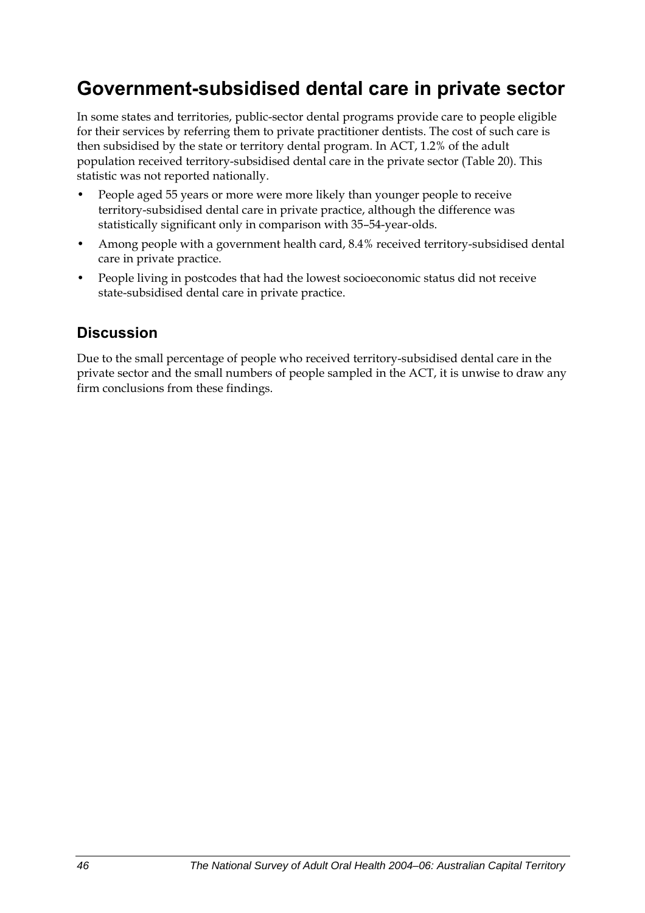## **Government-subsidised dental care in private sector**

In some states and territories, public-sector dental programs provide care to people eligible for their services by referring them to private practitioner dentists. The cost of such care is then subsidised by the state or territory dental program. In ACT, 1.2% of the adult population received territory-subsidised dental care in the private sector [\(Table 20](#page-54-0)). This statistic was not reported nationally.

- People aged 55 years or more were more likely than younger people to receive territory-subsidised dental care in private practice, although the difference was statistically significant only in comparison with 35–54-year-olds.
- Among people with a government health card, 8.4% received territory-subsidised dental care in private practice.
- People living in postcodes that had the lowest socioeconomic status did not receive state-subsidised dental care in private practice.

### **Discussion**

Due to the small percentage of people who received territory-subsidised dental care in the private sector and the small numbers of people sampled in the ACT, it is unwise to draw any firm conclusions from these findings.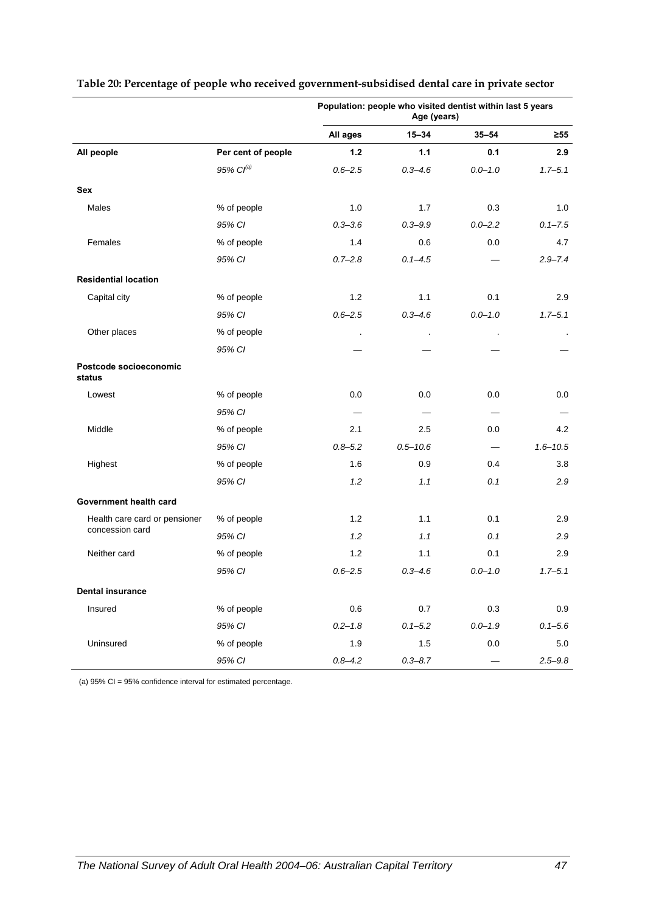|                                  |                       | Population: people who visited dentist within last 5 years<br>Age (years) |              |             |                |
|----------------------------------|-----------------------|---------------------------------------------------------------------------|--------------|-------------|----------------|
|                                  |                       | All ages                                                                  | $15 - 34$    | $35 - 54$   | $\geq 55$      |
| All people                       | Per cent of people    | 1.2                                                                       | 1.1          | 0.1         | 2.9            |
|                                  | 95% Cl <sup>(a)</sup> | $0.6 - 2.5$                                                               | $0.3 - 4.6$  | $0.0 - 1.0$ | $1.7 - 5.1$    |
| Sex                              |                       |                                                                           |              |             |                |
| Males                            | % of people           | 1.0                                                                       | 1.7          | 0.3         | 1.0            |
|                                  | 95% CI                | $0.3 - 3.6$                                                               | $0.3 - 9.9$  | $0.0 - 2.2$ | $0.1 - 7.5$    |
| Females                          | % of people           | 1.4                                                                       | 0.6          | 0.0         | 4.7            |
|                                  | 95% CI                | $0.7 - 2.8$                                                               | $0.1 - 4.5$  |             | $2.9 - 7.4$    |
| <b>Residential location</b>      |                       |                                                                           |              |             |                |
| Capital city                     | % of people           | 1.2                                                                       | 1.1          | 0.1         | 2.9            |
|                                  | 95% CI                | $0.6 - 2.5$                                                               | $0.3 - 4.6$  | $0.0 - 1.0$ | $1.7 - 5.1$    |
| Other places                     | % of people           |                                                                           | $\cdot$      | $\cdot$     | $\blacksquare$ |
|                                  | 95% CI                |                                                                           |              |             |                |
| Postcode socioeconomic<br>status |                       |                                                                           |              |             |                |
| Lowest                           | % of people           | 0.0                                                                       | 0.0          | 0.0         | 0.0            |
|                                  | 95% CI                |                                                                           |              | —           |                |
| Middle                           | % of people           | 2.1                                                                       | 2.5          | 0.0         | 4.2            |
|                                  | 95% CI                | $0.8 - 5.2$                                                               | $0.5 - 10.6$ |             | $1.6 - 10.5$   |
| Highest                          | % of people           | 1.6                                                                       | 0.9          | 0.4         | 3.8            |
|                                  | 95% CI                | 1.2                                                                       | 1.1          | 0.1         | 2.9            |
| Government health card           |                       |                                                                           |              |             |                |
| Health care card or pensioner    | % of people           | 1.2                                                                       | 1.1          | 0.1         | 2.9            |
| concession card                  | 95% CI                | 1.2                                                                       | 1.1          | 0.1         | 2.9            |
| Neither card                     | % of people           | 1.2                                                                       | 1.1          | 0.1         | 2.9            |
|                                  | 95% CI                | $0.6 - 2.5$                                                               | $0.3 - 4.6$  | $0.0 - 1.0$ | $1.7 - 5.1$    |
| <b>Dental insurance</b>          |                       |                                                                           |              |             |                |
| Insured                          | % of people           | 0.6                                                                       | 0.7          | 0.3         | 0.9            |
|                                  | 95% CI                | $0.2 - 1.8$                                                               | $0.1 - 5.2$  | $0.0 - 1.9$ | $0.1 - 5.6$    |
| Uninsured                        | % of people           | 1.9                                                                       | $1.5\,$      | $0.0\,$     | 5.0            |
|                                  | 95% CI                | $0.8 - 4.2$                                                               | $0.3 - 8.7$  |             | $2.5 - 9.8$    |

#### <span id="page-54-0"></span>**Table 20: Percentage of people who received government-subsidised dental care in private sector**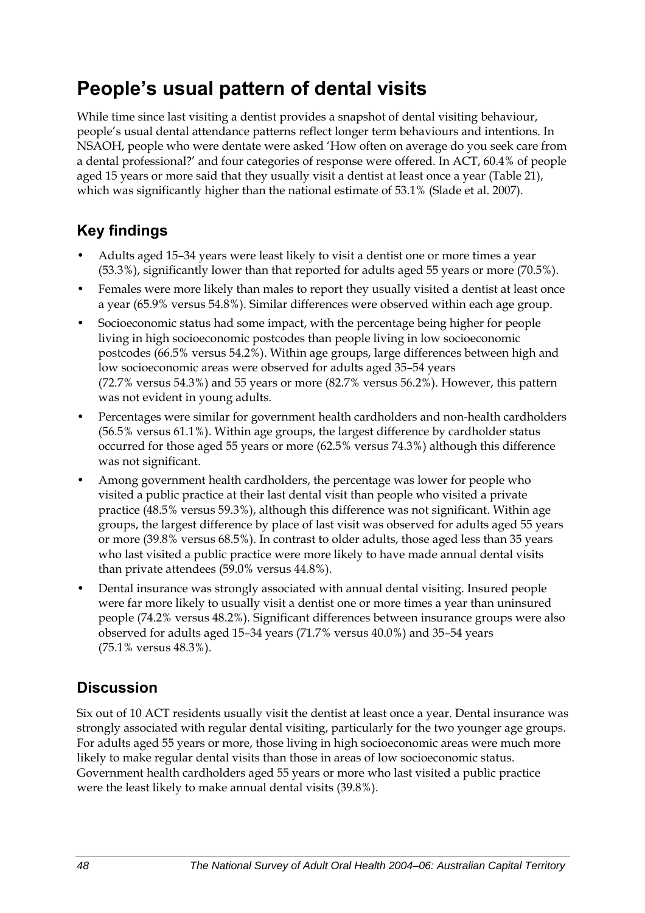## **People's usual pattern of dental visits**

While time since last visiting a dentist provides a snapshot of dental visiting behaviour, people's usual dental attendance patterns reflect longer term behaviours and intentions. In NSAOH, people who were dentate were asked 'How often on average do you seek care from a dental professional?' and four categories of response were offered. In ACT, 60.4% of people aged 15 years or more said that they usually visit a dentist at least once a year [\(Table 21\)](#page-56-0), which was significantly higher than the national estimate of 53.1% (Slade et al. 2007).

## **Key findings**

- Adults aged 15–34 years were least likely to visit a dentist one or more times a year (53.3%), significantly lower than that reported for adults aged 55 years or more (70.5%).
- Females were more likely than males to report they usually visited a dentist at least once a year (65.9% versus 54.8%). Similar differences were observed within each age group.
- Socioeconomic status had some impact, with the percentage being higher for people living in high socioeconomic postcodes than people living in low socioeconomic postcodes (66.5% versus 54.2%). Within age groups, large differences between high and low socioeconomic areas were observed for adults aged 35–54 years (72.7% versus 54.3%) and 55 years or more (82.7% versus 56.2%). However, this pattern was not evident in young adults.
- Percentages were similar for government health cardholders and non-health cardholders (56.5% versus 61.1%). Within age groups, the largest difference by cardholder status occurred for those aged 55 years or more (62.5% versus 74.3%) although this difference was not significant.
- Among government health cardholders, the percentage was lower for people who visited a public practice at their last dental visit than people who visited a private practice (48.5% versus 59.3%), although this difference was not significant. Within age groups, the largest difference by place of last visit was observed for adults aged 55 years or more (39.8% versus 68.5%). In contrast to older adults, those aged less than 35 years who last visited a public practice were more likely to have made annual dental visits than private attendees (59.0% versus 44.8%).
- Dental insurance was strongly associated with annual dental visiting. Insured people were far more likely to usually visit a dentist one or more times a year than uninsured people (74.2% versus 48.2%). Significant differences between insurance groups were also observed for adults aged 15–34 years (71.7% versus 40.0%) and 35–54 years (75.1% versus 48.3%).

## **Discussion**

Six out of 10 ACT residents usually visit the dentist at least once a year. Dental insurance was strongly associated with regular dental visiting, particularly for the two younger age groups. For adults aged 55 years or more, those living in high socioeconomic areas were much more likely to make regular dental visits than those in areas of low socioeconomic status. Government health cardholders aged 55 years or more who last visited a public practice were the least likely to make annual dental visits (39.8%).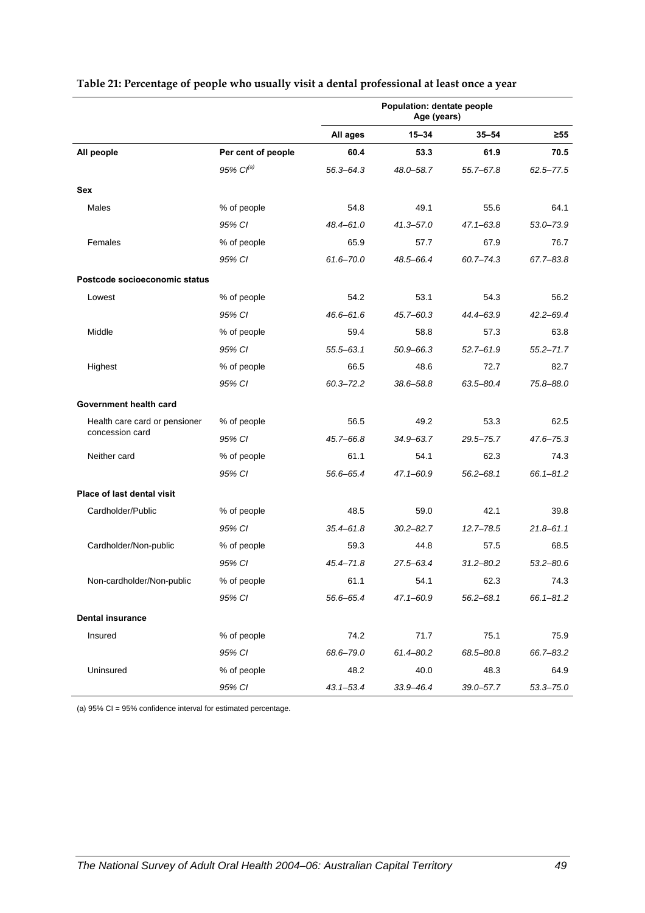|                                   |                    | Population: dentate people<br>Age (years) |               |               |               |  |
|-----------------------------------|--------------------|-------------------------------------------|---------------|---------------|---------------|--|
|                                   |                    | All ages                                  | $15 - 34$     | $35 - 54$     | $\geq 55$     |  |
| All people                        | Per cent of people | 60.4                                      | 53.3          | 61.9          | 70.5          |  |
|                                   | $95\%$ $Cl^{(a)}$  | $56.3 - 64.3$                             | 48.0-58.7     | 55.7-67.8     | 62.5-77.5     |  |
| Sex                               |                    |                                           |               |               |               |  |
| Males                             | % of people        | 54.8                                      | 49.1          | 55.6          | 64.1          |  |
|                                   | 95% CI             | 48.4-61.0                                 | $41.3 - 57.0$ | $47.1 - 63.8$ | 53.0-73.9     |  |
| Females                           | % of people        | 65.9                                      | 57.7          | 67.9          | 76.7          |  |
|                                   | 95% CI             | $61.6 - 70.0$                             | 48.5-66.4     | $60.7 - 74.3$ | 67.7-83.8     |  |
| Postcode socioeconomic status     |                    |                                           |               |               |               |  |
| Lowest                            | % of people        | 54.2                                      | 53.1          | 54.3          | 56.2          |  |
|                                   | 95% CI             | $46.6 - 61.6$                             | $45.7 - 60.3$ | 44.4-63.9     | $42.2 - 69.4$ |  |
| Middle                            | % of people        | 59.4                                      | 58.8          | 57.3          | 63.8          |  |
|                                   | 95% CI             | $55.5 - 63.1$                             | $50.9 - 66.3$ | $52.7 - 61.9$ | $55.2 - 71.7$ |  |
| Highest                           | % of people        | 66.5                                      | 48.6          | 72.7          | 82.7          |  |
|                                   | 95% CI             | $60.3 - 72.2$                             | 38.6-58.8     | 63.5-80.4     | 75.8-88.0     |  |
| Government health card            |                    |                                           |               |               |               |  |
| Health care card or pensioner     | % of people        | 56.5                                      | 49.2          | 53.3          | 62.5          |  |
| concession card                   | 95% CI             | 45.7-66.8                                 | 34.9-63.7     | $29.5 - 75.7$ | $47.6 - 75.3$ |  |
| Neither card                      | % of people        | 61.1                                      | 54.1          | 62.3          | 74.3          |  |
|                                   | 95% CI             | 56.6-65.4                                 | $47.1 - 60.9$ | $56.2 - 68.1$ | $66.1 - 81.2$ |  |
| <b>Place of last dental visit</b> |                    |                                           |               |               |               |  |
| Cardholder/Public                 | % of people        | 48.5                                      | 59.0          | 42.1          | 39.8          |  |
|                                   | 95% CI             | $35.4 - 61.8$                             | $30.2 - 82.7$ | $12.7 - 78.5$ | $21.8 - 61.1$ |  |
| Cardholder/Non-public             | % of people        | 59.3                                      | 44.8          | 57.5          | 68.5          |  |
|                                   | 95% CI             | $45.4 - 71.8$                             | 27.5-63.4     | $31.2 - 80.2$ | $53.2 - 80.6$ |  |
| Non-cardholder/Non-public         | % of people        | 61.1                                      | 54.1          | 62.3          | 74.3          |  |
|                                   | 95% CI             | 56.6-65.4                                 | $47.1 - 60.9$ | $56.2 - 68.1$ | 66.1-81.2     |  |
| <b>Dental insurance</b>           |                    |                                           |               |               |               |  |
| Insured                           | % of people        | 74.2                                      | 71.7          | 75.1          | 75.9          |  |
|                                   | 95% CI             | 68.6-79.0                                 | $61.4 - 80.2$ | 68.5-80.8     | 66.7-83.2     |  |
| Uninsured                         | % of people        | 48.2                                      | 40.0          | 48.3          | 64.9          |  |
|                                   | 95% CI             | $43.1 - 53.4$                             | $33.9 - 46.4$ | 39.0-57.7     | $53.3 - 75.0$ |  |

#### <span id="page-56-0"></span>**Table 21: Percentage of people who usually visit a dental professional at least once a year**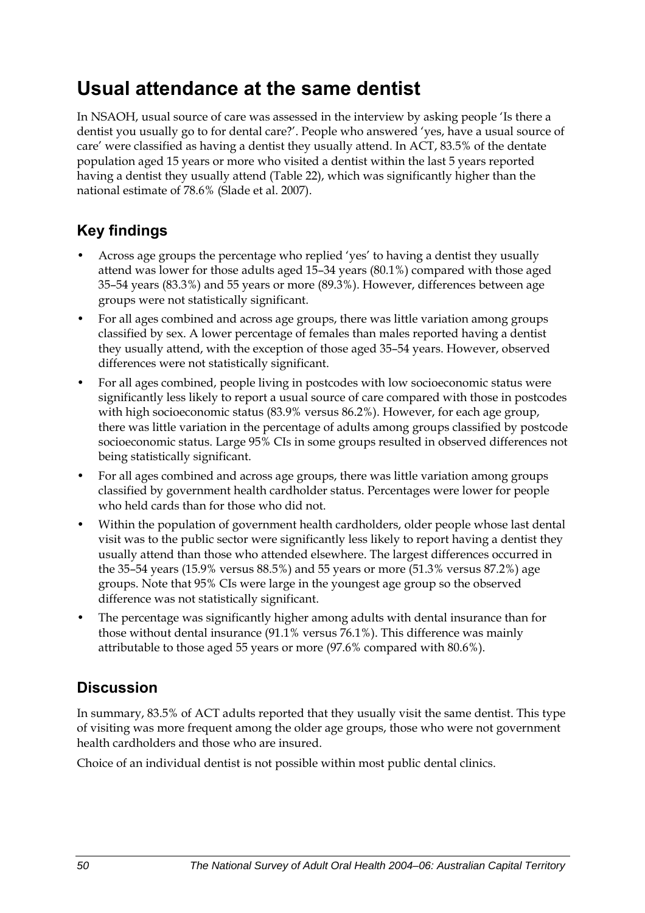## **Usual attendance at the same dentist**

In NSAOH, usual source of care was assessed in the interview by asking people 'Is there a dentist you usually go to for dental care?'. People who answered 'yes, have a usual source of care' were classified as having a dentist they usually attend. In ACT, 83.5% of the dentate population aged 15 years or more who visited a dentist within the last 5 years reported having a dentist they usually attend [\(Table 22\)](#page-58-0), which was significantly higher than the national estimate of 78.6% (Slade et al. 2007).

## **Key findings**

- Across age groups the percentage who replied 'yes' to having a dentist they usually attend was lower for those adults aged 15–34 years (80.1%) compared with those aged 35–54 years (83.3%) and 55 years or more (89.3%). However, differences between age groups were not statistically significant.
- For all ages combined and across age groups, there was little variation among groups classified by sex. A lower percentage of females than males reported having a dentist they usually attend, with the exception of those aged 35–54 years. However, observed differences were not statistically significant.
- For all ages combined, people living in postcodes with low socioeconomic status were significantly less likely to report a usual source of care compared with those in postcodes with high socioeconomic status (83.9% versus 86.2%). However, for each age group, there was little variation in the percentage of adults among groups classified by postcode socioeconomic status. Large 95% CIs in some groups resulted in observed differences not being statistically significant.
- For all ages combined and across age groups, there was little variation among groups classified by government health cardholder status. Percentages were lower for people who held cards than for those who did not.
- Within the population of government health cardholders, older people whose last dental visit was to the public sector were significantly less likely to report having a dentist they usually attend than those who attended elsewhere. The largest differences occurred in the 35–54 years (15.9% versus 88.5%) and 55 years or more (51.3% versus 87.2%) age groups. Note that 95% CIs were large in the youngest age group so the observed difference was not statistically significant.
- The percentage was significantly higher among adults with dental insurance than for those without dental insurance (91.1% versus 76.1%). This difference was mainly attributable to those aged 55 years or more (97.6% compared with 80.6%).

## **Discussion**

In summary, 83.5% of ACT adults reported that they usually visit the same dentist. This type of visiting was more frequent among the older age groups, those who were not government health cardholders and those who are insured.

Choice of an individual dentist is not possible within most public dental clinics.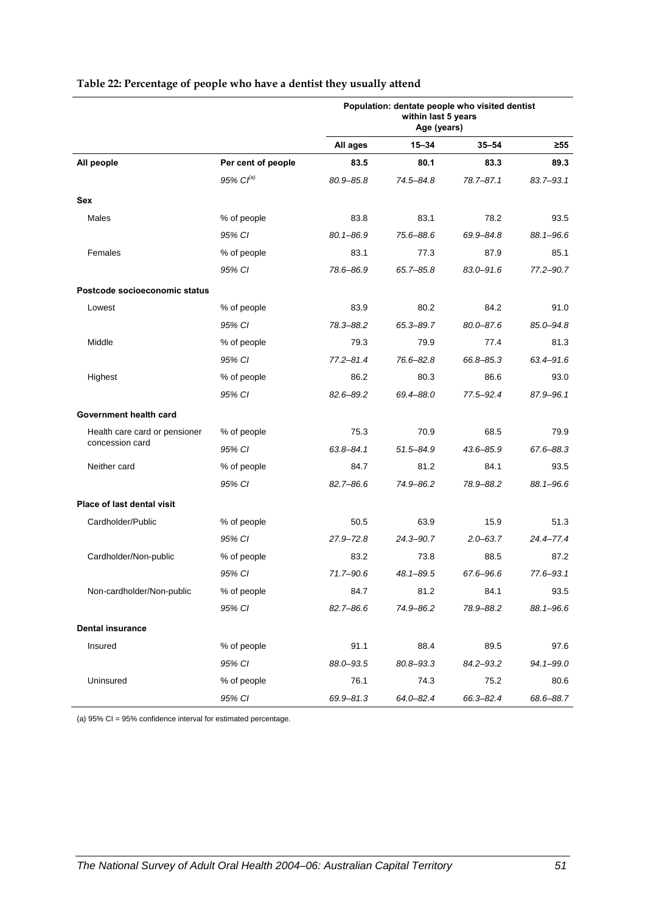|                               |                    | Population: dentate people who visited dentist<br>within last 5 years<br>Age (years) |               |               |           |
|-------------------------------|--------------------|--------------------------------------------------------------------------------------|---------------|---------------|-----------|
|                               |                    | All ages                                                                             | $15 - 34$     | $35 - 54$     | $\geq 55$ |
| All people                    | Per cent of people | 83.5                                                                                 | 80.1          | 83.3          | 89.3      |
|                               | 95% $Cl^{(a)}$     | $80.9 - 85.8$                                                                        | 74.5-84.8     | $78.7 - 87.1$ | 83.7-93.1 |
| Sex                           |                    |                                                                                      |               |               |           |
| Males                         | % of people        | 83.8                                                                                 | 83.1          | 78.2          | 93.5      |
|                               | 95% CI             | $80.1 - 86.9$                                                                        | 75.6-88.6     | 69.9-84.8     | 88.1-96.6 |
| Females                       | % of people        | 83.1                                                                                 | 77.3          | 87.9          | 85.1      |
|                               | 95% CI             | 78.6-86.9                                                                            | 65.7–85.8     | $83.0 - 91.6$ | 77.2-90.7 |
| Postcode socioeconomic status |                    |                                                                                      |               |               |           |
| Lowest                        | % of people        | 83.9                                                                                 | 80.2          | 84.2          | 91.0      |
|                               | 95% CI             | 78.3-88.2                                                                            | 65.3-89.7     | $80.0 - 87.6$ | 85.0-94.8 |
| Middle                        | % of people        | 79.3                                                                                 | 79.9          | 77.4          | 81.3      |
|                               | 95% CI             | $77.2 - 81.4$                                                                        | 76.6-82.8     | 66.8-85.3     | 63.4-91.6 |
| Highest                       | % of people        | 86.2                                                                                 | 80.3          | 86.6          | 93.0      |
|                               | 95% CI             | 82.6-89.2                                                                            | 69.4-88.0     | 77.5-92.4     | 87.9-96.1 |
| Government health card        |                    |                                                                                      |               |               |           |
| Health care card or pensioner | % of people        | 75.3                                                                                 | 70.9          | 68.5          | 79.9      |
| concession card               | 95% CI             | $63.8 - 84.1$                                                                        | $51.5 - 84.9$ | $43.6 - 85.9$ | 67.6-88.3 |
| Neither card                  | % of people        | 84.7                                                                                 | 81.2          | 84.1          | 93.5      |
|                               | 95% CI             | $82.7 - 86.6$                                                                        | 74.9-86.2     | 78.9-88.2     | 88.1-96.6 |
| Place of last dental visit    |                    |                                                                                      |               |               |           |
| Cardholder/Public             | % of people        | 50.5                                                                                 | 63.9          | 15.9          | 51.3      |
|                               | 95% CI             | $27.9 - 72.8$                                                                        | 24.3-90.7     | $2.0 - 63.7$  | 24.4-77.4 |
| Cardholder/Non-public         | % of people        | 83.2                                                                                 | 73.8          | 88.5          | 87.2      |
|                               | 95% CI             | 71.7-90.6                                                                            | 48.1-89.5     | 67.6-96.6     | 77.6-93.1 |
| Non-cardholder/Non-public     | % of people        | 84.7                                                                                 | 81.2          | 84.1          | 93.5      |
|                               | 95% CI             | 82.7-86.6                                                                            | 74.9-86.2     | 78.9-88.2     | 88.1-96.6 |
| <b>Dental insurance</b>       |                    |                                                                                      |               |               |           |
| Insured                       | % of people        | 91.1                                                                                 | 88.4          | 89.5          | 97.6      |
|                               | 95% CI             | 88.0-93.5                                                                            | 80.8-93.3     | 84.2-93.2     | 94.1-99.0 |
| Uninsured                     | % of people        | 76.1                                                                                 | 74.3          | 75.2          | 80.6      |
|                               | 95% CI             | 69.9-81.3                                                                            | 64.0-82.4     | 66.3-82.4     | 68.6-88.7 |

#### <span id="page-58-0"></span>**Table 22: Percentage of people who have a dentist they usually attend**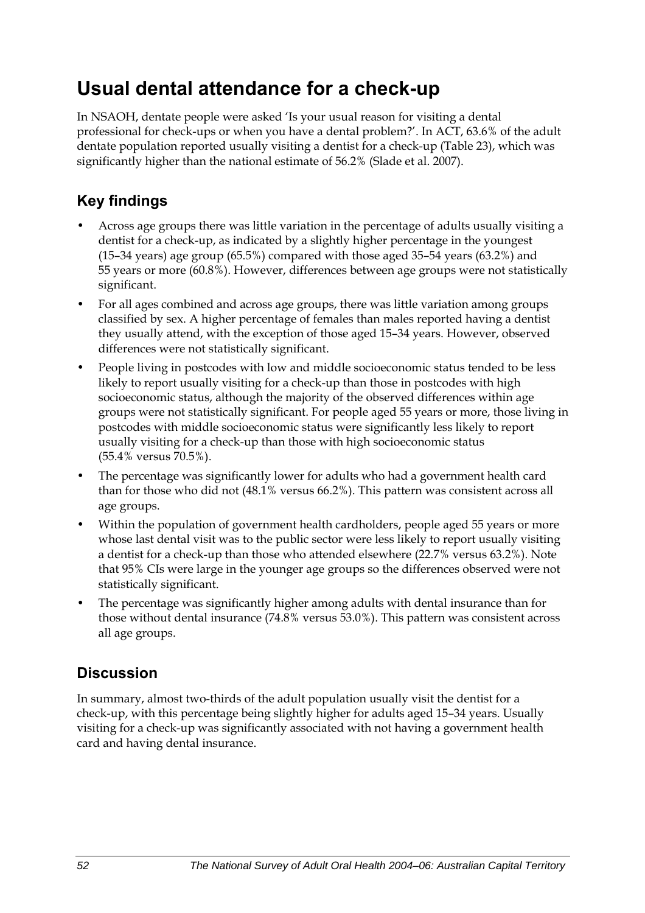## **Usual dental attendance for a check-up**

In NSAOH, dentate people were asked 'Is your usual reason for visiting a dental professional for check-ups or when you have a dental problem?'. In ACT, 63.6% of the adult dentate population reported usually visiting a dentist for a check-up ([Table 23](#page-60-0)), which was significantly higher than the national estimate of 56.2% (Slade et al. 2007).

### **Key findings**

- Across age groups there was little variation in the percentage of adults usually visiting a dentist for a check-up, as indicated by a slightly higher percentage in the youngest (15–34 years) age group (65.5%) compared with those aged 35–54 years (63.2%) and 55 years or more (60.8%). However, differences between age groups were not statistically significant.
- For all ages combined and across age groups, there was little variation among groups classified by sex. A higher percentage of females than males reported having a dentist they usually attend, with the exception of those aged 15–34 years. However, observed differences were not statistically significant.
- People living in postcodes with low and middle socioeconomic status tended to be less likely to report usually visiting for a check-up than those in postcodes with high socioeconomic status, although the majority of the observed differences within age groups were not statistically significant. For people aged 55 years or more, those living in postcodes with middle socioeconomic status were significantly less likely to report usually visiting for a check-up than those with high socioeconomic status (55.4% versus 70.5%).
- The percentage was significantly lower for adults who had a government health card than for those who did not (48.1% versus 66.2%). This pattern was consistent across all age groups.
- Within the population of government health cardholders, people aged 55 years or more whose last dental visit was to the public sector were less likely to report usually visiting a dentist for a check-up than those who attended elsewhere (22.7% versus 63.2%). Note that 95% CIs were large in the younger age groups so the differences observed were not statistically significant.
- The percentage was significantly higher among adults with dental insurance than for those without dental insurance (74.8% versus 53.0%). This pattern was consistent across all age groups.

### **Discussion**

In summary, almost two-thirds of the adult population usually visit the dentist for a check-up, with this percentage being slightly higher for adults aged 15–34 years. Usually visiting for a check-up was significantly associated with not having a government health card and having dental insurance.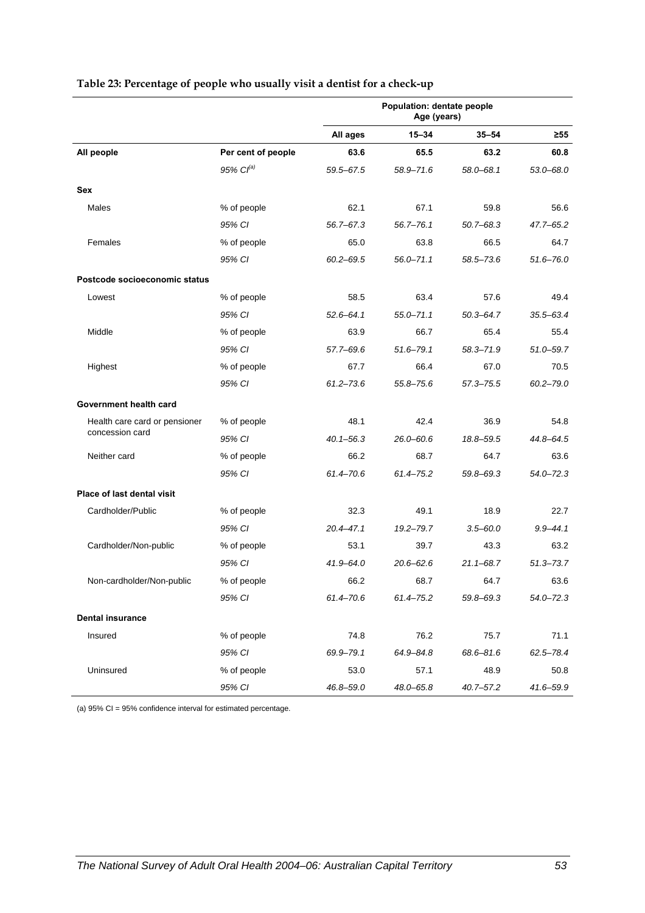|                                                                  |                    | Population: dentate people<br>Age (years) |               |               |               |
|------------------------------------------------------------------|--------------------|-------------------------------------------|---------------|---------------|---------------|
|                                                                  |                    | All ages                                  | $15 - 34$     | $35 - 54$     | ≥55           |
| All people                                                       | Per cent of people | 63.6                                      | 65.5          | 63.2          | 60.8          |
|                                                                  | 95% $Cl^{(a)}$     | 59.5-67.5                                 | 58.9-71.6     | 58.0-68.1     | $53.0 - 68.0$ |
| Sex                                                              |                    |                                           |               |               |               |
| Males                                                            | % of people        | 62.1                                      | 67.1          | 59.8          | 56.6          |
|                                                                  | 95% CI             | $56.7 - 67.3$                             | $56.7 - 76.1$ | $50.7 - 68.3$ | 47.7-65.2     |
| Females                                                          | % of people        | 65.0                                      | 63.8          | 66.5          | 64.7          |
|                                                                  | 95% CI             | $60.2 - 69.5$                             | $56.0 - 71.1$ | 58.5-73.6     | $51.6 - 76.0$ |
| Postcode socioeconomic status                                    |                    |                                           |               |               |               |
| Lowest                                                           | % of people        | 58.5                                      | 63.4          | 57.6          | 49.4          |
|                                                                  | 95% CI             | $52.6 - 64.1$                             | $55.0 - 71.1$ | $50.3 - 64.7$ | 35.5–63.4     |
| Middle                                                           | % of people        | 63.9                                      | 66.7          | 65.4          | 55.4          |
|                                                                  | 95% CI             | 57.7-69.6                                 | $51.6 - 79.1$ | 58.3-71.9     | $51.0 - 59.7$ |
| Highest                                                          | % of people        | 67.7                                      | 66.4          | 67.0          | 70.5          |
|                                                                  | 95% CI             | $61.2 - 73.6$                             | $55.8 - 75.6$ | 57.3-75.5     | $60.2 - 79.0$ |
| Government health card                                           |                    |                                           |               |               |               |
| Health care card or pensioner<br>concession card<br>Neither card | % of people        | 48.1                                      | 42.4          | 36.9          | 54.8          |
|                                                                  | 95% CI             | $40.1 - 56.3$                             | $26.0 - 60.6$ | 18.8-59.5     | 44.8-64.5     |
|                                                                  | % of people        | 66.2                                      | 68.7          | 64.7          | 63.6          |
|                                                                  | 95% CI             | 61.4-70.6                                 | $61.4 - 75.2$ | 59.8-69.3     | $54.0 - 72.3$ |
| Place of last dental visit                                       |                    |                                           |               |               |               |
| Cardholder/Public                                                | % of people        | 32.3                                      | 49.1          | 18.9          | 22.7          |
|                                                                  | 95% CI             | $20.4 - 47.1$                             | $19.2 - 79.7$ | $3.5 - 60.0$  | $9.9 - 44.1$  |
| Cardholder/Non-public                                            | % of people        | 53.1                                      | 39.7          | 43.3          | 63.2          |
|                                                                  | 95% CI             | $41.9 - 64.0$                             | $20.6 - 62.6$ | $21.1 - 68.7$ | $51.3 - 73.7$ |
| Non-cardholder/Non-public                                        | % of people        | 66.2                                      | 68.7          | 64.7          | 63.6          |
|                                                                  | 95% CI             | $61.4 - 70.6$                             | $61.4 - 75.2$ | 59.8-69.3     | $54.0 - 72.3$ |
| <b>Dental insurance</b>                                          |                    |                                           |               |               |               |
| Insured                                                          | % of people        | 74.8                                      | 76.2          | 75.7          | 71.1          |
|                                                                  | 95% CI             | 69.9-79.1                                 | 64.9-84.8     | 68.6-81.6     | $62.5 - 78.4$ |
| Uninsured                                                        | % of people        | 53.0                                      | 57.1          | 48.9          | 50.8          |
|                                                                  | 95% CI             | 46.8-59.0                                 | 48.0-65.8     | $40.7 - 57.2$ | 41.6-59.9     |

#### <span id="page-60-0"></span>**Table 23: Percentage of people who usually visit a dentist for a check-up**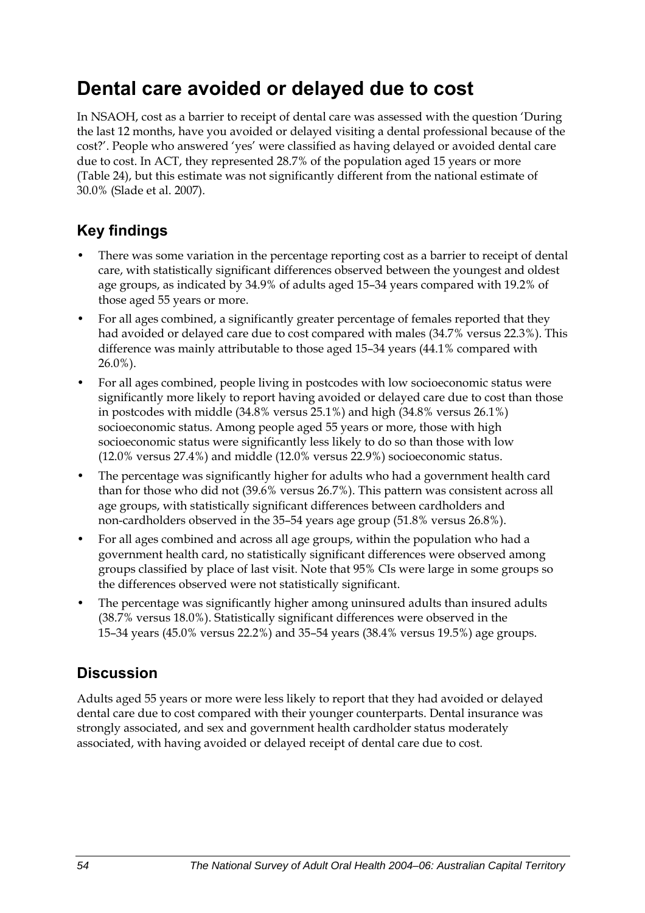## **Dental care avoided or delayed due to cost**

In NSAOH, cost as a barrier to receipt of dental care was assessed with the question 'During the last 12 months, have you avoided or delayed visiting a dental professional because of the cost?'. People who answered 'yes' were classified as having delayed or avoided dental care due to cost. In ACT, they represented 28.7% of the population aged 15 years or more (Table 24), but this estimate was not significantly different from the national estimate of 30.0% (Slade et al. 2007).

### **Key findings**

- There was some variation in the percentage reporting cost as a barrier to receipt of dental care, with statistically significant differences observed between the youngest and oldest age groups, as indicated by 34.9% of adults aged 15–34 years compared with 19.2% of those aged 55 years or more.
- For all ages combined, a significantly greater percentage of females reported that they had avoided or delayed care due to cost compared with males (34.7% versus 22.3%). This difference was mainly attributable to those aged 15–34 years (44.1% compared with  $26.0\%$ ).
- For all ages combined, people living in postcodes with low socioeconomic status were significantly more likely to report having avoided or delayed care due to cost than those in postcodes with middle (34.8% versus 25.1%) and high (34.8% versus 26.1%) socioeconomic status. Among people aged 55 years or more, those with high socioeconomic status were significantly less likely to do so than those with low (12.0% versus 27.4%) and middle (12.0% versus 22.9%) socioeconomic status.
- The percentage was significantly higher for adults who had a government health card than for those who did not (39.6% versus 26.7%). This pattern was consistent across all age groups, with statistically significant differences between cardholders and non-cardholders observed in the 35–54 years age group (51.8% versus 26.8%).
- For all ages combined and across all age groups, within the population who had a government health card, no statistically significant differences were observed among groups classified by place of last visit. Note that 95% CIs were large in some groups so the differences observed were not statistically significant.
- The percentage was significantly higher among uninsured adults than insured adults (38.7% versus 18.0%). Statistically significant differences were observed in the 15–34 years (45.0% versus 22.2%) and 35–54 years (38.4% versus 19.5%) age groups.

### **Discussion**

Adults aged 55 years or more were less likely to report that they had avoided or delayed dental care due to cost compared with their younger counterparts. Dental insurance was strongly associated, and sex and government health cardholder status moderately associated, with having avoided or delayed receipt of dental care due to cost.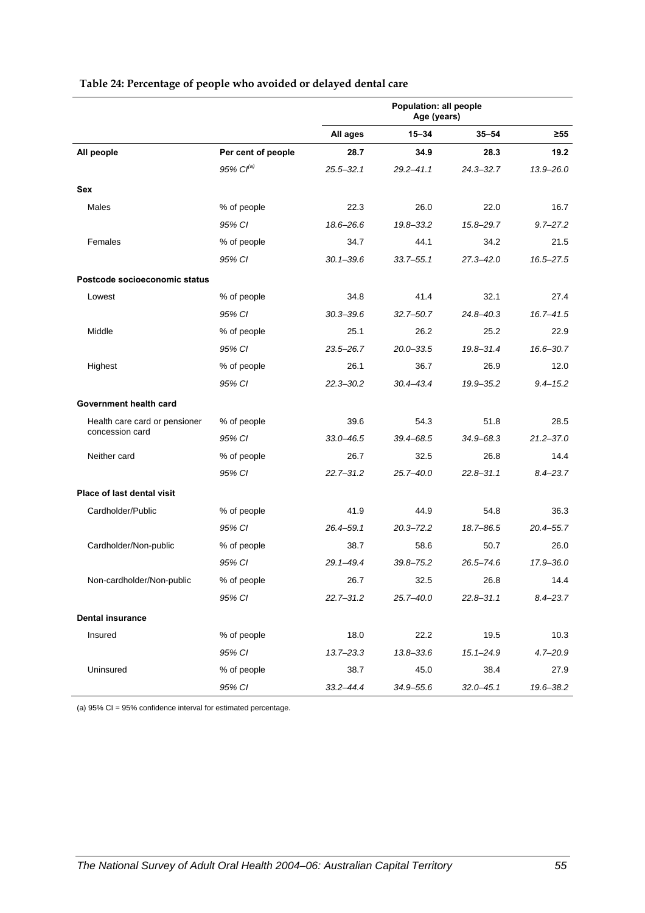|                               |                       | Population: all people<br>Age (years) |               |               |               |
|-------------------------------|-----------------------|---------------------------------------|---------------|---------------|---------------|
|                               |                       | All ages                              | $15 - 34$     | $35 - 54$     | ≥55           |
| All people                    | Per cent of people    | 28.7                                  | 34.9          | 28.3          | 19.2          |
|                               | 95% Cl <sup>(a)</sup> | $25.5 - 32.1$                         | $29.2 - 41.1$ | $24.3 - 32.7$ | $13.9 - 26.0$ |
| <b>Sex</b>                    |                       |                                       |               |               |               |
| Males                         | % of people           | 22.3                                  | 26.0          | 22.0          | 16.7          |
|                               | 95% CI                | 18.6-26.6                             | 19.8-33.2     | 15.8-29.7     | $9.7 - 27.2$  |
| Females                       | % of people           | 34.7                                  | 44.1          | 34.2          | 21.5          |
|                               | 95% CI                | $30.1 - 39.6$                         | $33.7 - 55.1$ | $27.3 - 42.0$ | 16.5-27.5     |
| Postcode socioeconomic status |                       |                                       |               |               |               |
| Lowest                        | % of people           | 34.8                                  | 41.4          | 32.1          | 27.4          |
|                               | 95% CI                | $30.3 - 39.6$                         | $32.7 - 50.7$ | $24.8 - 40.3$ | $16.7 - 41.5$ |
| Middle                        | % of people           | 25.1                                  | 26.2          | 25.2          | 22.9          |
|                               | 95% CI                | 23.5-26.7                             | 20.0-33.5     | $19.8 - 31.4$ | $16.6 - 30.7$ |
| Highest                       | % of people           | 26.1                                  | 36.7          | 26.9          | 12.0          |
|                               | 95% CI                | $22.3 - 30.2$                         | $30.4 - 43.4$ | 19.9-35.2     | $9.4 - 15.2$  |
| Government health card        |                       |                                       |               |               |               |
| Health care card or pensioner | % of people           | 39.6                                  | 54.3          | 51.8          | 28.5          |
| concession card               | 95% CI                | $33.0 - 46.5$                         | 39.4-68.5     | $34.9 - 68.3$ | $21.2 - 37.0$ |
| Neither card                  | % of people           | 26.7                                  | 32.5          | 26.8          | 14.4          |
|                               | 95% CI                | $22.7 - 31.2$                         | 25.7–40.0     | $22.8 - 31.1$ | $8.4 - 23.7$  |
| Place of last dental visit    |                       |                                       |               |               |               |
| Cardholder/Public             | % of people           | 41.9                                  | 44.9          | 54.8          | 36.3          |
|                               | 95% CI                | $26.4 - 59.1$                         | $20.3 - 72.2$ | 18.7-86.5     | $20.4 - 55.7$ |
| Cardholder/Non-public         | % of people           | 38.7                                  | 58.6          | 50.7          | 26.0          |
|                               | 95% CI                | $29.1 - 49.4$                         | $39.8 - 75.2$ | $26.5 - 74.6$ | 17.9-36.0     |
| Non-cardholder/Non-public     | % of people           | 26.7                                  | 32.5          | 26.8          | 14.4          |
|                               | 95% CI                | $22.7 - 31.2$                         | 25.7-40.0     | $22.8 - 31.1$ | $8.4 - 23.7$  |
| <b>Dental insurance</b>       |                       |                                       |               |               |               |
| Insured                       | % of people           | 18.0                                  | 22.2          | 19.5          | 10.3          |
|                               | 95% CI                | $13.7 - 23.3$                         | 13.8-33.6     | $15.1 - 24.9$ | $4.7 - 20.9$  |
| Uninsured                     | % of people           | 38.7                                  | 45.0          | 38.4          | 27.9          |
|                               | 95% CI                | $33.2 - 44.4$                         | 34.9-55.6     | $32.0 - 45.1$ | 19.6-38.2     |

#### **Table 24: Percentage of people who avoided or delayed dental care**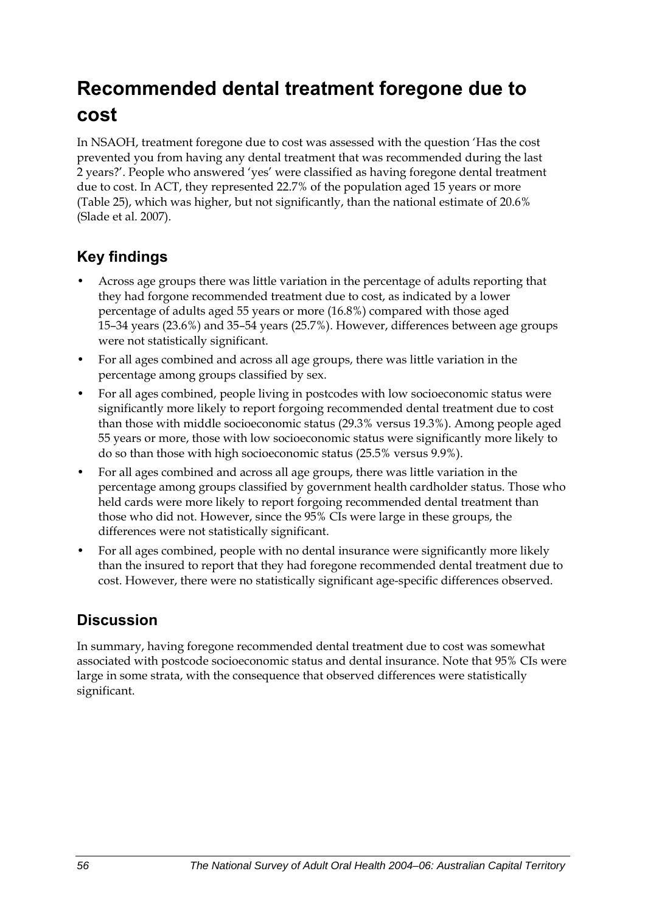## **Recommended dental treatment foregone due to cost**

In NSAOH, treatment foregone due to cost was assessed with the question 'Has the cost prevented you from having any dental treatment that was recommended during the last 2 years?'. People who answered 'yes' were classified as having foregone dental treatment due to cost. In ACT, they represented 22.7% of the population aged 15 years or more ([Table 25](#page-64-0)), which was higher, but not significantly, than the national estimate of 20.6% (Slade et al. 2007).

### **Key findings**

- Across age groups there was little variation in the percentage of adults reporting that they had forgone recommended treatment due to cost, as indicated by a lower percentage of adults aged 55 years or more (16.8%) compared with those aged 15–34 years (23.6%) and 35–54 years (25.7%). However, differences between age groups were not statistically significant.
- For all ages combined and across all age groups, there was little variation in the percentage among groups classified by sex.
- For all ages combined, people living in postcodes with low socioeconomic status were significantly more likely to report forgoing recommended dental treatment due to cost than those with middle socioeconomic status (29.3% versus 19.3%). Among people aged 55 years or more, those with low socioeconomic status were significantly more likely to do so than those with high socioeconomic status (25.5% versus 9.9%).
- For all ages combined and across all age groups, there was little variation in the percentage among groups classified by government health cardholder status. Those who held cards were more likely to report forgoing recommended dental treatment than those who did not. However, since the 95% CIs were large in these groups, the differences were not statistically significant.
- For all ages combined, people with no dental insurance were significantly more likely than the insured to report that they had foregone recommended dental treatment due to cost. However, there were no statistically significant age-specific differences observed.

### **Discussion**

In summary, having foregone recommended dental treatment due to cost was somewhat associated with postcode socioeconomic status and dental insurance. Note that 95% CIs were large in some strata, with the consequence that observed differences were statistically significant.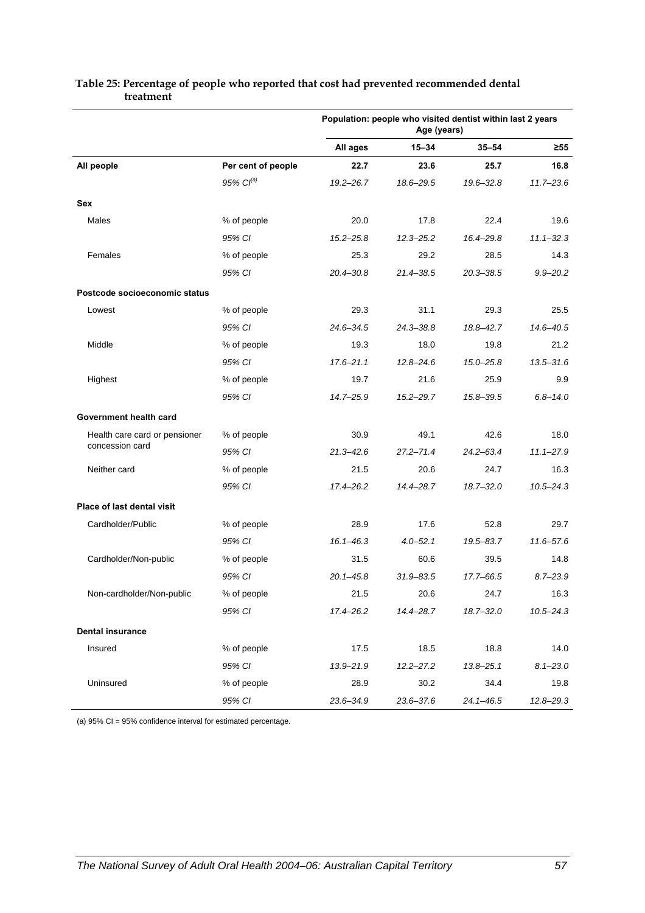|                               |                    | Population: people who visited dentist within last 2 years<br>Age (years) |               |               |               |
|-------------------------------|--------------------|---------------------------------------------------------------------------|---------------|---------------|---------------|
|                               |                    | All ages                                                                  | $15 - 34$     | $35 - 54$     | ≥55           |
| All people                    | Per cent of people | 22.7                                                                      | 23.6          | 25.7          | 16.8          |
|                               | 95% $Cl^{(a)}$     | $19.2 - 26.7$                                                             | 18.6-29.5     | $19.6 - 32.8$ | $11.7 - 23.6$ |
| Sex                           |                    |                                                                           |               |               |               |
| Males                         | % of people        | 20.0                                                                      | 17.8          | 22.4          | 19.6          |
|                               | 95% CI             | $15.2 - 25.8$                                                             | $12.3 - 25.2$ | 16.4-29.8     | $11.1 - 32.3$ |
| Females                       | % of people        | 25.3                                                                      | 29.2          | 28.5          | 14.3          |
|                               | 95% CI             | $20.4 - 30.8$                                                             | 21.4-38.5     | $20.3 - 38.5$ | $9.9 - 20.2$  |
| Postcode socioeconomic status |                    |                                                                           |               |               |               |
| Lowest                        | % of people        | 29.3                                                                      | 31.1          | 29.3          | 25.5          |
|                               | 95% CI             | $24.6 - 34.5$                                                             | $24.3 - 38.8$ | 18.8-42.7     | 14.6-40.5     |
| Middle                        | % of people        | 19.3                                                                      | 18.0          | 19.8          | 21.2          |
|                               | 95% CI             | $17.6 - 21.1$                                                             | $12.8 - 24.6$ | $15.0 - 25.8$ | $13.5 - 31.6$ |
| Highest                       | % of people        | 19.7                                                                      | 21.6          | 25.9          | 9.9           |
|                               | 95% CI             | 14.7-25.9                                                                 | $15.2 - 29.7$ | 15.8-39.5     | $6.8 - 14.0$  |
| Government health card        |                    |                                                                           |               |               |               |
| Health care card or pensioner | % of people        | 30.9                                                                      | 49.1          | 42.6          | 18.0          |
| concession card               | 95% CI             | $21.3 - 42.6$                                                             | $27.2 - 71.4$ | $24.2 - 63.4$ | $11.1 - 27.9$ |
| Neither card                  | % of people        | 21.5                                                                      | 20.6          | 24.7          | 16.3          |
|                               | 95% CI             | $17.4 - 26.2$                                                             | $14.4 - 28.7$ | $18.7 - 32.0$ | $10.5 - 24.3$ |
| Place of last dental visit    |                    |                                                                           |               |               |               |
| Cardholder/Public             | % of people        | 28.9                                                                      | 17.6          | 52.8          | 29.7          |
|                               | 95% CI             | $16.1 - 46.3$                                                             | $4.0 - 52.1$  | $19.5 - 83.7$ | $11.6 - 57.6$ |
| Cardholder/Non-public         | % of people        | 31.5                                                                      | 60.6          | 39.5          | 14.8          |
|                               | 95% CI             | $20.1 - 45.8$                                                             | $31.9 - 83.5$ | 17.7-66.5     | $8.7 - 23.9$  |
| Non-cardholder/Non-public     | % of people        | 21.5                                                                      | 20.6          | 24.7          | 16.3          |
|                               | 95% CI             | 17.4-26.2                                                                 | 14.4-28.7     | $18.7 - 32.0$ | $10.5 - 24.3$ |
| <b>Dental insurance</b>       |                    |                                                                           |               |               |               |
| Insured                       | % of people        | 17.5                                                                      | 18.5          | 18.8          | 14.0          |
|                               | 95% CI             | $13.9 - 21.9$                                                             | $12.2 - 27.2$ | $13.8 - 25.1$ | $8.1 - 23.0$  |
| Uninsured                     | % of people        | 28.9                                                                      | 30.2          | 34.4          | 19.8          |
|                               | 95% CI             | 23.6-34.9                                                                 | 23.6-37.6     | $24.1 - 46.5$ | $12.8 - 29.3$ |

#### <span id="page-64-0"></span>**Table 25: Percentage of people who reported that cost had prevented recommended dental treatment**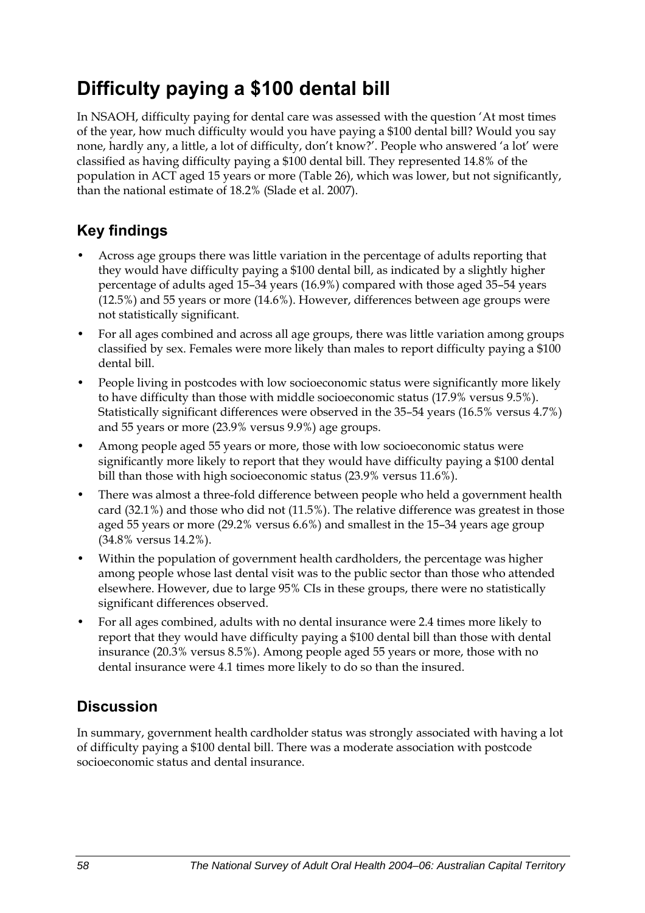## **Difficulty paying a \$100 dental bill**

In NSAOH, difficulty paying for dental care was assessed with the question 'At most times of the year, how much difficulty would you have paying a \$100 dental bill? Would you say none, hardly any, a little, a lot of difficulty, don't know?'. People who answered 'a lot' were classified as having difficulty paying a \$100 dental bill. They represented 14.8% of the population in ACT aged 15 years or more [\(Table 26\)](#page-66-0), which was lower, but not significantly, than the national estimate of 18.2% (Slade et al. 2007).

## **Key findings**

- Across age groups there was little variation in the percentage of adults reporting that they would have difficulty paying a \$100 dental bill, as indicated by a slightly higher percentage of adults aged 15–34 years (16.9%) compared with those aged 35–54 years (12.5%) and 55 years or more (14.6%). However, differences between age groups were not statistically significant.
- For all ages combined and across all age groups, there was little variation among groups classified by sex. Females were more likely than males to report difficulty paying a \$100 dental bill.
- People living in postcodes with low socioeconomic status were significantly more likely to have difficulty than those with middle socioeconomic status (17.9% versus 9.5%). Statistically significant differences were observed in the 35–54 years (16.5% versus 4.7%) and 55 years or more (23.9% versus 9.9%) age groups.
- Among people aged 55 years or more, those with low socioeconomic status were significantly more likely to report that they would have difficulty paying a \$100 dental bill than those with high socioeconomic status (23.9% versus 11.6%).
- There was almost a three-fold difference between people who held a government health card (32.1%) and those who did not (11.5%). The relative difference was greatest in those aged 55 years or more (29.2% versus 6.6%) and smallest in the 15–34 years age group (34.8% versus 14.2%).
- Within the population of government health cardholders, the percentage was higher among people whose last dental visit was to the public sector than those who attended elsewhere. However, due to large 95% CIs in these groups, there were no statistically significant differences observed.
- For all ages combined, adults with no dental insurance were 2.4 times more likely to report that they would have difficulty paying a \$100 dental bill than those with dental insurance (20.3% versus 8.5%). Among people aged 55 years or more, those with no dental insurance were 4.1 times more likely to do so than the insured.

## **Discussion**

In summary, government health cardholder status was strongly associated with having a lot of difficulty paying a \$100 dental bill. There was a moderate association with postcode socioeconomic status and dental insurance.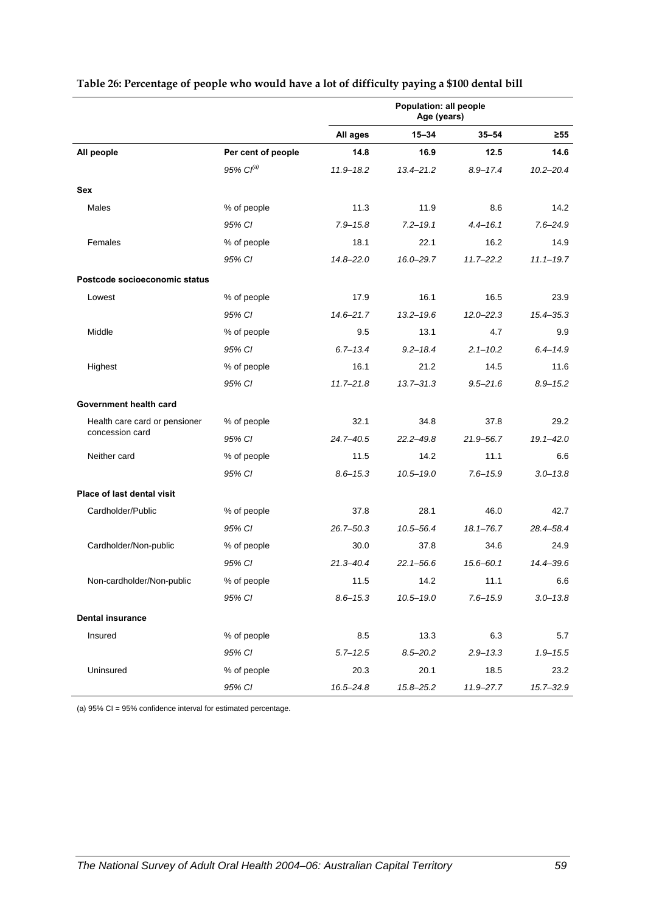|                               |                       | Population: all people<br>Age (years) |               |               |               |
|-------------------------------|-----------------------|---------------------------------------|---------------|---------------|---------------|
|                               |                       | All ages                              | $15 - 34$     | $35 - 54$     | $\geq 55$     |
| All people                    | Per cent of people    | 14.8                                  | 16.9          | 12.5          | 14.6          |
|                               | 95% Cl <sup>(a)</sup> | $11.9 - 18.2$                         | $13.4 - 21.2$ | $8.9 - 17.4$  | $10.2 - 20.4$ |
| Sex                           |                       |                                       |               |               |               |
| Males                         | % of people           | 11.3                                  | 11.9          | 8.6           | 14.2          |
|                               | 95% CI                | $7.9 - 15.8$                          | $7.2 - 19.1$  | $4.4 - 16.1$  | $7.6 - 24.9$  |
| Females                       | % of people           | 18.1                                  | 22.1          | 16.2          | 14.9          |
|                               | 95% CI                | $14.8 - 22.0$                         | 16.0-29.7     | $11.7 - 22.2$ | $11.1 - 19.7$ |
| Postcode socioeconomic status |                       |                                       |               |               |               |
| Lowest                        | % of people           | 17.9                                  | 16.1          | 16.5          | 23.9          |
|                               | 95% CI                | $14.6 - 21.7$                         | $13.2 - 19.6$ | $12.0 - 22.3$ | $15.4 - 35.3$ |
| Middle                        | % of people           | 9.5                                   | 13.1          | 4.7           | 9.9           |
|                               | 95% CI                | $6.7 - 13.4$                          | $9.2 - 18.4$  | $2.1 - 10.2$  | $6.4 - 14.9$  |
| Highest                       | % of people           | 16.1                                  | 21.2          | 14.5          | 11.6          |
|                               | 95% CI                | $11.7 - 21.8$                         | $13.7 - 31.3$ | $9.5 - 21.6$  | $8.9 - 15.2$  |
| Government health card        |                       |                                       |               |               |               |
| Health care card or pensioner | % of people           | 32.1                                  | 34.8          | 37.8          | 29.2          |
| concession card               | 95% CI                | $24.7 - 40.5$                         | $22.2 - 49.8$ | 21.9-56.7     | $19.1 - 42.0$ |
| Neither card                  | % of people           | 11.5                                  | 14.2          | 11.1          | 6.6           |
|                               | 95% CI                | $8.6 - 15.3$                          | $10.5 - 19.0$ | $7.6 - 15.9$  | $3.0 - 13.8$  |
| Place of last dental visit    |                       |                                       |               |               |               |
| Cardholder/Public             | % of people           | 37.8                                  | 28.1          | 46.0          | 42.7          |
|                               | 95% CI                | $26.7 - 50.3$                         | 10.5-56.4     | $18.1 - 76.7$ | 28.4-58.4     |
| Cardholder/Non-public         | % of people           | 30.0                                  | 37.8          | 34.6          | 24.9          |
|                               | 95% CI                | $21.3 - 40.4$                         | $22.1 - 56.6$ | $15.6 - 60.1$ | 14.4-39.6     |
| Non-cardholder/Non-public     | % of people           | 11.5                                  | 14.2          | 11.1          | 6.6           |
|                               | 95% CI                | $8.6 - 15.3$                          | $10.5 - 19.0$ | $7.6 - 15.9$  | $3.0 - 13.8$  |
| <b>Dental insurance</b>       |                       |                                       |               |               |               |
| Insured                       | % of people           | 8.5                                   | 13.3          | 6.3           | 5.7           |
|                               | 95% CI                | $5.7 - 12.5$                          | $8.5 - 20.2$  | $2.9 - 13.3$  | $1.9 - 15.5$  |
| Uninsured                     | % of people           | 20.3                                  | 20.1          | 18.5          | 23.2          |
|                               | 95% CI                | $16.5 - 24.8$                         | 15.8-25.2     | $11.9 - 27.7$ | 15.7-32.9     |

#### <span id="page-66-0"></span>**Table 26: Percentage of people who would have a lot of difficulty paying a \$100 dental bill**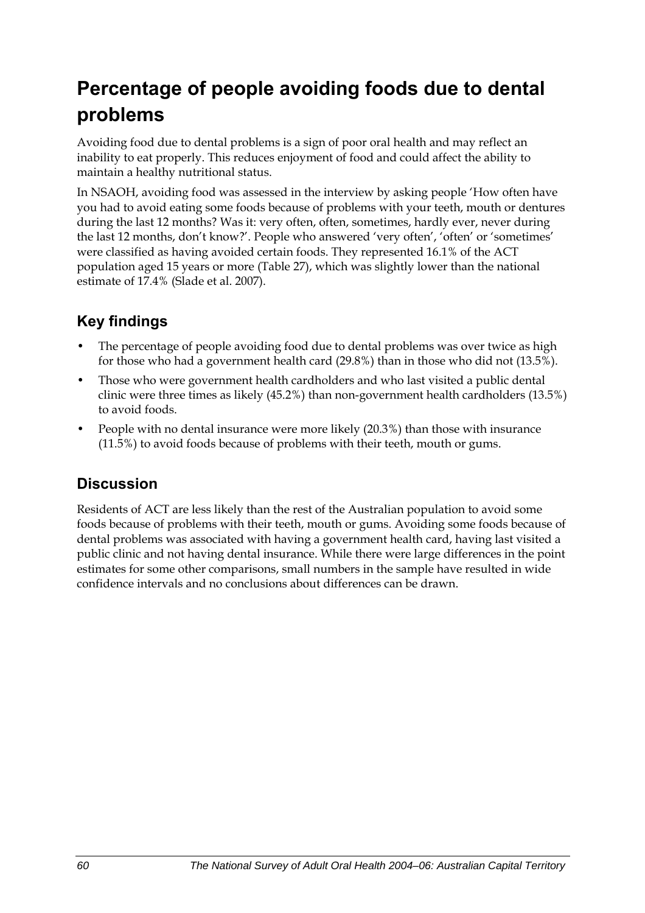## **Percentage of people avoiding foods due to dental problems**

Avoiding food due to dental problems is a sign of poor oral health and may reflect an inability to eat properly. This reduces enjoyment of food and could affect the ability to maintain a healthy nutritional status.

In NSAOH, avoiding food was assessed in the interview by asking people 'How often have you had to avoid eating some foods because of problems with your teeth, mouth or dentures during the last 12 months? Was it: very often, often, sometimes, hardly ever, never during the last 12 months, don't know?'. People who answered 'very often', 'often' or 'sometimes' were classified as having avoided certain foods. They represented 16.1% of the ACT population aged 15 years or more [\(Table 27\)](#page-68-0), which was slightly lower than the national estimate of 17.4% (Slade et al. 2007).

## **Key findings**

- The percentage of people avoiding food due to dental problems was over twice as high for those who had a government health card (29.8%) than in those who did not (13.5%).
- Those who were government health cardholders and who last visited a public dental clinic were three times as likely (45.2%) than non-government health cardholders (13.5%) to avoid foods.
- People with no dental insurance were more likely (20.3%) than those with insurance (11.5%) to avoid foods because of problems with their teeth, mouth or gums.

### **Discussion**

Residents of ACT are less likely than the rest of the Australian population to avoid some foods because of problems with their teeth, mouth or gums. Avoiding some foods because of dental problems was associated with having a government health card, having last visited a public clinic and not having dental insurance. While there were large differences in the point estimates for some other comparisons, small numbers in the sample have resulted in wide confidence intervals and no conclusions about differences can be drawn.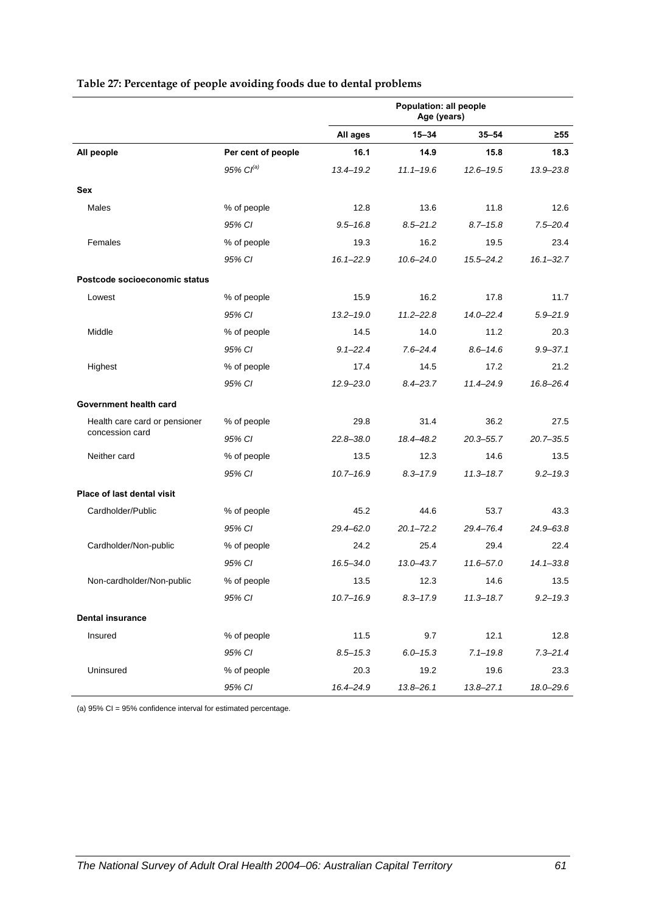|                               |                    | Population: all people<br>Age (years) |               |               |               |
|-------------------------------|--------------------|---------------------------------------|---------------|---------------|---------------|
|                               |                    | All ages                              | $15 - 34$     | $35 - 54$     | $\geq 55$     |
| All people                    | Per cent of people | 16.1                                  | 14.9          | 15.8          | 18.3          |
|                               | $95\%$ $Cl^{(a)}$  | $13.4 - 19.2$                         | $11.1 - 19.6$ | $12.6 - 19.5$ | $13.9 - 23.8$ |
| Sex                           |                    |                                       |               |               |               |
| Males                         | % of people        | 12.8                                  | 13.6          | 11.8          | 12.6          |
|                               | 95% CI             | $9.5 - 16.8$                          | $8.5 - 21.2$  | $8.7 - 15.8$  | $7.5 - 20.4$  |
| Females                       | % of people        | 19.3                                  | 16.2          | 19.5          | 23.4          |
|                               | 95% CI             | $16.1 - 22.9$                         | $10.6 - 24.0$ | $15.5 - 24.2$ | $16.1 - 32.7$ |
| Postcode socioeconomic status |                    |                                       |               |               |               |
| Lowest                        | % of people        | 15.9                                  | 16.2          | 17.8          | 11.7          |
|                               | 95% CI             | $13.2 - 19.0$                         | $11.2 - 22.8$ | $14.0 - 22.4$ | $5.9 - 21.9$  |
| Middle                        | % of people        | 14.5                                  | 14.0          | 11.2          | 20.3          |
|                               | 95% CI             | $9.1 - 22.4$                          | $7.6 - 24.4$  | $8.6 - 14.6$  | $9.9 - 37.1$  |
| Highest                       | % of people        | 17.4                                  | 14.5          | 17.2          | 21.2          |
|                               | 95% CI             | $12.9 - 23.0$                         | $8.4 - 23.7$  | 11.4-24.9     | 16.8-26.4     |
| Government health card        |                    |                                       |               |               |               |
| Health care card or pensioner | % of people        | 29.8                                  | 31.4          | 36.2          | 27.5          |
| concession card               | 95% CI             | $22.8 - 38.0$                         | 18.4-48.2     | $20.3 - 55.7$ | $20.7 - 35.5$ |
| Neither card                  | % of people        | 13.5                                  | 12.3          | 14.6          | 13.5          |
|                               | 95% CI             | $10.7 - 16.9$                         | $8.3 - 17.9$  | $11.3 - 18.7$ | $9.2 - 19.3$  |
| Place of last dental visit    |                    |                                       |               |               |               |
| Cardholder/Public             | % of people        | 45.2                                  | 44.6          | 53.7          | 43.3          |
|                               | 95% CI             | $29.4 - 62.0$                         | $20.1 - 72.2$ | 29.4-76.4     | 24.9-63.8     |
| Cardholder/Non-public         | % of people        | 24.2                                  | 25.4          | 29.4          | 22.4          |
|                               | 95% CI             | $16.5 - 34.0$                         | $13.0 - 43.7$ | $11.6 - 57.0$ | $14.1 - 33.8$ |
| Non-cardholder/Non-public     | % of people        | 13.5                                  | 12.3          | 14.6          | 13.5          |
|                               | 95% CI             | $10.7 - 16.9$                         | $8.3 - 17.9$  | $11.3 - 18.7$ | $9.2 - 19.3$  |
| <b>Dental insurance</b>       |                    |                                       |               |               |               |
| Insured                       | % of people        | 11.5                                  | 9.7           | 12.1          | 12.8          |
|                               | 95% CI             | $8.5 - 15.3$                          | $6.0 - 15.3$  | $7.1 - 19.8$  | $7.3 - 21.4$  |
| Uninsured                     | % of people        | 20.3                                  | 19.2          | 19.6          | 23.3          |
|                               | 95% CI             | 16.4-24.9                             | $13.8 - 26.1$ | $13.8 - 27.1$ | 18.0-29.6     |

#### <span id="page-68-0"></span>**Table 27: Percentage of people avoiding foods due to dental problems**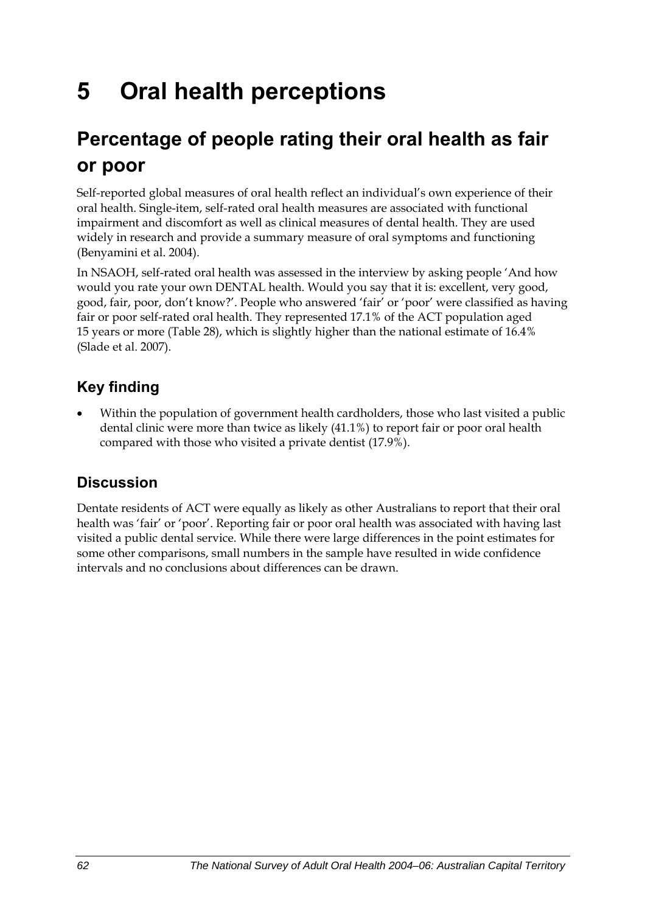# **5 Oral health perceptions**

## **Percentage of people rating their oral health as fair or poor**

Self-reported global measures of oral health reflect an individual's own experience of their oral health. Single-item, self-rated oral health measures are associated with functional impairment and discomfort as well as clinical measures of dental health. They are used widely in research and provide a summary measure of oral symptoms and functioning (Benyamini et al. 2004).

In NSAOH, self-rated oral health was assessed in the interview by asking people 'And how would you rate your own DENTAL health. Would you say that it is: excellent, very good, good, fair, poor, don't know?'. People who answered 'fair' or 'poor' were classified as having fair or poor self-rated oral health. They represented 17.1% of the ACT population aged 15 years or more [\(Table 28\)](#page-70-0), which is slightly higher than the national estimate of 16.4% (Slade et al. 2007).

## **Key finding**

• Within the population of government health cardholders, those who last visited a public dental clinic were more than twice as likely (41.1%) to report fair or poor oral health compared with those who visited a private dentist (17.9%).

### **Discussion**

Dentate residents of ACT were equally as likely as other Australians to report that their oral health was 'fair' or 'poor'. Reporting fair or poor oral health was associated with having last visited a public dental service. While there were large differences in the point estimates for some other comparisons, small numbers in the sample have resulted in wide confidence intervals and no conclusions about differences can be drawn.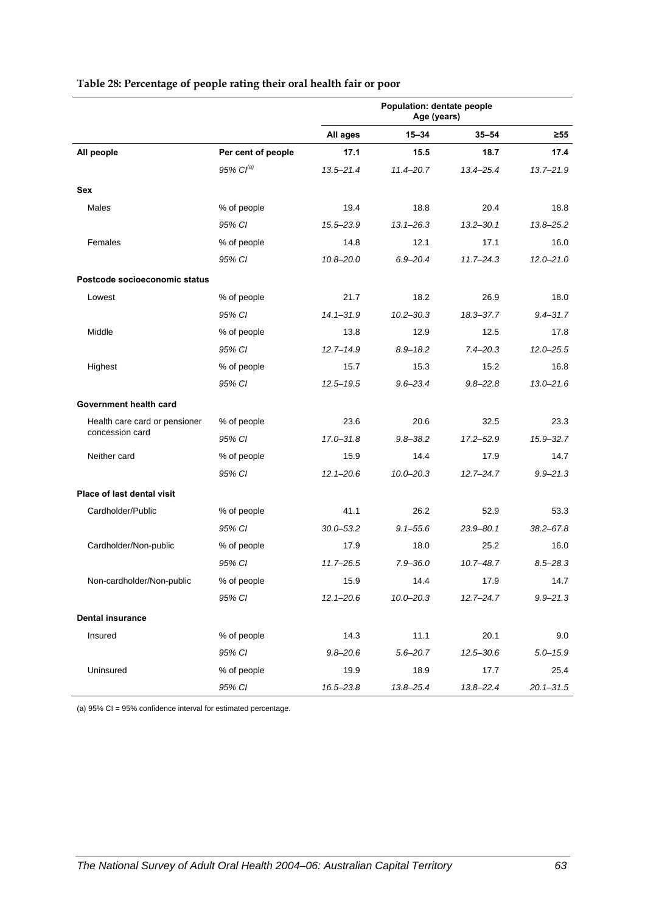<span id="page-70-0"></span>

|                               |                       | Population: dentate people<br>Age (years) |               |               |               |
|-------------------------------|-----------------------|-------------------------------------------|---------------|---------------|---------------|
|                               |                       | All ages                                  | $15 - 34$     | $35 - 54$     | $\geq 55$     |
| All people                    | Per cent of people    | 17.1                                      | 15.5          | 18.7          | 17.4          |
|                               | 95% Cl <sup>(a)</sup> | $13.5 - 21.4$                             | $11.4 - 20.7$ | $13.4 - 25.4$ | $13.7 - 21.9$ |
| Sex                           |                       |                                           |               |               |               |
| Males                         | % of people           | 19.4                                      | 18.8          | 20.4          | 18.8          |
|                               | 95% CI                | 15.5-23.9                                 | $13.1 - 26.3$ | $13.2 - 30.1$ | $13.8 - 25.2$ |
| Females                       | % of people           | 14.8                                      | 12.1          | 17.1          | 16.0          |
|                               | 95% CI                | $10.8 - 20.0$                             | $6.9 - 20.4$  | $11.7 - 24.3$ | $12.0 - 21.0$ |
| Postcode socioeconomic status |                       |                                           |               |               |               |
| Lowest                        | % of people           | 21.7                                      | 18.2          | 26.9          | 18.0          |
|                               | 95% CI                | $14.1 - 31.9$                             | $10.2 - 30.3$ | 18.3-37.7     | $9.4 - 31.7$  |
| Middle                        | % of people           | 13.8                                      | 12.9          | 12.5          | 17.8          |
|                               | 95% CI                | $12.7 - 14.9$                             | $8.9 - 18.2$  | $7.4 - 20.3$  | $12.0 - 25.5$ |
| Highest                       | % of people           | 15.7                                      | 15.3          | 15.2          | 16.8          |
|                               | 95% CI                | $12.5 - 19.5$                             | $9.6 - 23.4$  | $9.8 - 22.8$  | $13.0 - 21.6$ |
| Government health card        |                       |                                           |               |               |               |
| Health care card or pensioner | % of people           | 23.6                                      | 20.6          | 32.5          | 23.3          |
| concession card               | 95% CI                | $17.0 - 31.8$                             | $9.8 - 38.2$  | $17.2 - 52.9$ | $15.9 - 32.7$ |
| Neither card                  | % of people           | 15.9                                      | 14.4          | 17.9          | 14.7          |
|                               | 95% CI                | $12.1 - 20.6$                             | $10.0 - 20.3$ | $12.7 - 24.7$ | $9.9 - 21.3$  |
| Place of last dental visit    |                       |                                           |               |               |               |
| Cardholder/Public             | % of people           | 41.1                                      | 26.2          | 52.9          | 53.3          |
|                               | 95% CI                | $30.0 - 53.2$                             | $9.1 - 55.6$  | $23.9 - 80.1$ | $38.2 - 67.8$ |
| Cardholder/Non-public         | % of people           | 17.9                                      | 18.0          | 25.2          | 16.0          |
|                               | 95% CI                | $11.7 - 26.5$                             | $7.9 - 36.0$  | $10.7 - 48.7$ | $8.5 - 28.3$  |
| Non-cardholder/Non-public     | % of people           | 15.9                                      | 14.4          | 17.9          | 14.7          |
|                               | 95% CI                | $12.1 - 20.6$                             | $10.0 - 20.3$ | $12.7 - 24.7$ | $9.9 - 21.3$  |
| <b>Dental insurance</b>       |                       |                                           |               |               |               |
| Insured                       | % of people           | 14.3                                      | 11.1          | 20.1          | 9.0           |
|                               | 95% CI                | $9.8 - 20.6$                              | $5.6 - 20.7$  | $12.5 - 30.6$ | $5.0 - 15.9$  |
| Uninsured                     | % of people           | 19.9                                      | 18.9          | 17.7          | 25.4          |
|                               | 95% CI                | 16.5-23.8                                 | 13.8-25.4     | 13.8-22.4     | $20.1 - 31.5$ |

#### **Table 28: Percentage of people rating their oral health fair or poor**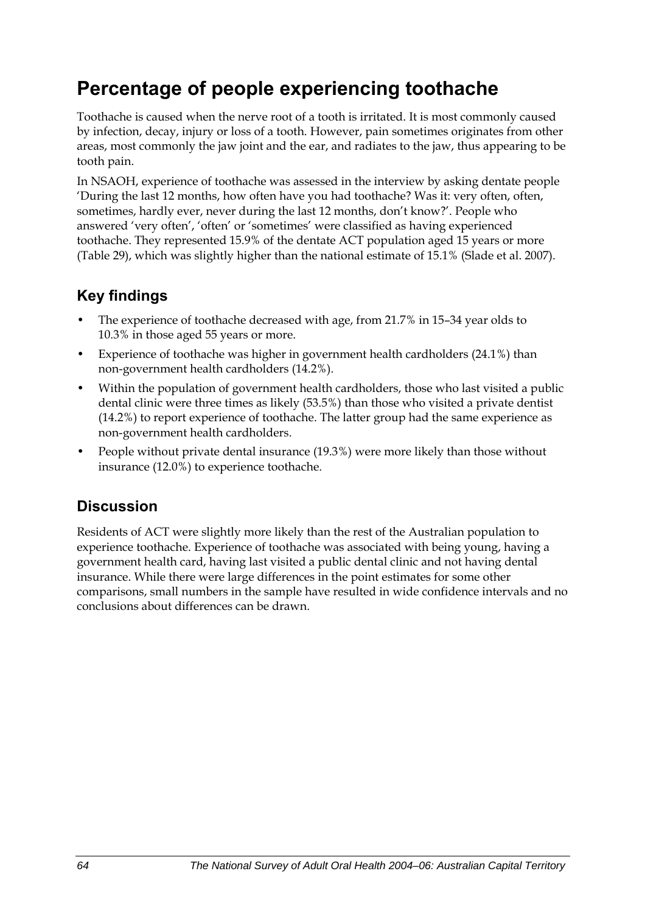## **Percentage of people experiencing toothache**

Toothache is caused when the nerve root of a tooth is irritated. It is most commonly caused by infection, decay, injury or loss of a tooth. However, pain sometimes originates from other areas, most commonly the jaw joint and the ear, and radiates to the jaw, thus appearing to be tooth pain.

In NSAOH, experience of toothache was assessed in the interview by asking dentate people 'During the last 12 months, how often have you had toothache? Was it: very often, often, sometimes, hardly ever, never during the last 12 months, don't know?'. People who answered 'very often', 'often' or 'sometimes' were classified as having experienced toothache. They represented 15.9% of the dentate ACT population aged 15 years or more ([Table 29](#page-72-0)), which was slightly higher than the national estimate of 15.1% (Slade et al. 2007).

### **Key findings**

- The experience of toothache decreased with age, from 21.7% in 15-34 year olds to 10.3% in those aged 55 years or more.
- Experience of toothache was higher in government health cardholders (24.1%) than non-government health cardholders (14.2%).
- Within the population of government health cardholders, those who last visited a public dental clinic were three times as likely (53.5%) than those who visited a private dentist (14.2%) to report experience of toothache. The latter group had the same experience as non-government health cardholders.
- People without private dental insurance (19.3%) were more likely than those without insurance (12.0%) to experience toothache.

### **Discussion**

Residents of ACT were slightly more likely than the rest of the Australian population to experience toothache. Experience of toothache was associated with being young, having a government health card, having last visited a public dental clinic and not having dental insurance. While there were large differences in the point estimates for some other comparisons, small numbers in the sample have resulted in wide confidence intervals and no conclusions about differences can be drawn.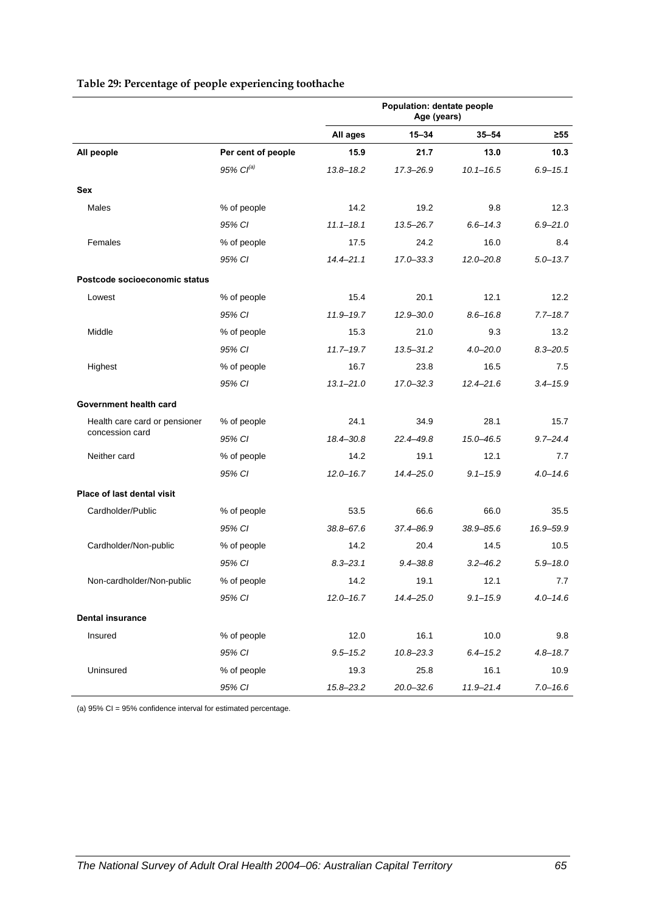<span id="page-72-0"></span>

| Table 29: Percentage of people experiencing toothache |  |  |
|-------------------------------------------------------|--|--|
|-------------------------------------------------------|--|--|

|                               |                       | Population: dentate people<br>Age (years) |               |               |              |
|-------------------------------|-----------------------|-------------------------------------------|---------------|---------------|--------------|
|                               |                       | All ages                                  | $15 - 34$     | $35 - 54$     | $\geq 55$    |
| All people                    | Per cent of people    | 15.9                                      | 21.7          | 13.0          | 10.3         |
|                               | 95% Cl <sup>(a)</sup> | $13.8 - 18.2$                             | 17.3-26.9     | $10.1 - 16.5$ | $6.9 - 15.1$ |
| Sex                           |                       |                                           |               |               |              |
| Males                         | % of people           | 14.2                                      | 19.2          | 9.8           | 12.3         |
|                               | 95% CI                | $11.1 - 18.1$                             | $13.5 - 26.7$ | $6.6 - 14.3$  | $6.9 - 21.0$ |
| Females                       | % of people           | 17.5                                      | 24.2          | 16.0          | 8.4          |
|                               | 95% CI                | $14.4 - 21.1$                             | $17.0 - 33.3$ | $12.0 - 20.8$ | $5.0 - 13.7$ |
| Postcode socioeconomic status |                       |                                           |               |               |              |
| Lowest                        | % of people           | 15.4                                      | 20.1          | 12.1          | 12.2         |
|                               | 95% CI                | $11.9 - 19.7$                             | $12.9 - 30.0$ | $8.6 - 16.8$  | $7.7 - 18.7$ |
| Middle                        | % of people           | 15.3                                      | 21.0          | 9.3           | 13.2         |
|                               | 95% CI                | $11.7 - 19.7$                             | $13.5 - 31.2$ | $4.0 - 20.0$  | $8.3 - 20.5$ |
| Highest                       | % of people           | 16.7                                      | 23.8          | 16.5          | 7.5          |
|                               | 95% CI                | $13.1 - 21.0$                             | $17.0 - 32.3$ | $12.4 - 21.6$ | $3.4 - 15.9$ |
| Government health card        |                       |                                           |               |               |              |
| Health care card or pensioner | % of people           | 24.1                                      | 34.9          | 28.1          | 15.7         |
| concession card               | 95% CI                | 18.4-30.8                                 | 22.4-49.8     | 15.0-46.5     | $9.7 - 24.4$ |
| Neither card                  | % of people           | 14.2                                      | 19.1          | 12.1          | 7.7          |
|                               | 95% CI                | $12.0 - 16.7$                             | $14.4 - 25.0$ | $9.1 - 15.9$  | $4.0 - 14.6$ |
| Place of last dental visit    |                       |                                           |               |               |              |
| Cardholder/Public             | % of people           | 53.5                                      | 66.6          | 66.0          | 35.5         |
|                               | 95% CI                | $38.8 - 67.6$                             | 37.4-86.9     | $38.9 - 85.6$ | 16.9-59.9    |
| Cardholder/Non-public         | % of people           | 14.2                                      | 20.4          | 14.5          | 10.5         |
|                               | 95% CI                | $8.3 - 23.1$                              | $9.4 - 38.8$  | $3.2 - 46.2$  | $5.9 - 18.0$ |
| Non-cardholder/Non-public     | % of people           | 14.2                                      | 19.1          | 12.1          | 7.7          |
|                               | 95% CI                | $12.0 - 16.7$                             | $14.4 - 25.0$ | $9.1 - 15.9$  | $4.0 - 14.6$ |
| <b>Dental insurance</b>       |                       |                                           |               |               |              |
| Insured                       | % of people           | 12.0                                      | 16.1          | 10.0          | 9.8          |
|                               | 95% CI                | $9.5 - 15.2$                              | $10.8 - 23.3$ | $6.4 - 15.2$  | $4.8 - 18.7$ |
| Uninsured                     | % of people           | 19.3                                      | 25.8          | 16.1          | 10.9         |
|                               | 95% CI                | 15.8-23.2                                 | $20.0 - 32.6$ | $11.9 - 21.4$ | $7.0 - 16.6$ |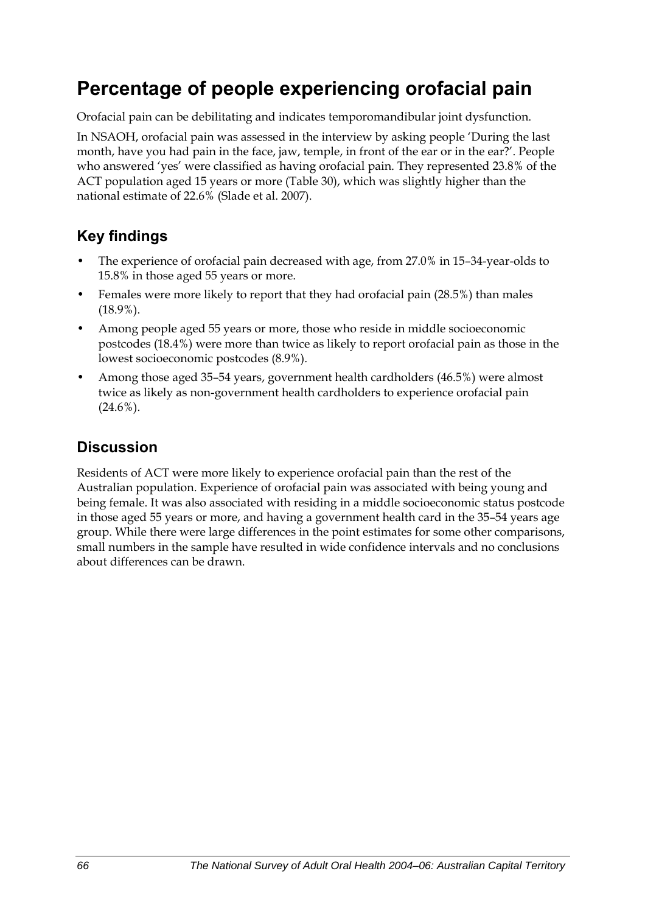## **Percentage of people experiencing orofacial pain**

Orofacial pain can be debilitating and indicates temporomandibular joint dysfunction.

In NSAOH, orofacial pain was assessed in the interview by asking people 'During the last month, have you had pain in the face, jaw, temple, in front of the ear or in the ear?'. People who answered 'yes' were classified as having orofacial pain. They represented 23.8% of the ACT population aged 15 years or more ([Table 30](#page-74-0)), which was slightly higher than the national estimate of 22.6% (Slade et al. 2007).

### **Key findings**

- The experience of orofacial pain decreased with age, from 27.0% in 15-34-year-olds to 15.8% in those aged 55 years or more.
- Females were more likely to report that they had orofacial pain (28.5%) than males (18.9%).
- Among people aged 55 years or more, those who reside in middle socioeconomic postcodes (18.4%) were more than twice as likely to report orofacial pain as those in the lowest socioeconomic postcodes (8.9%).
- Among those aged 35–54 years, government health cardholders (46.5%) were almost twice as likely as non-government health cardholders to experience orofacial pain  $(24.6\%)$ .

### **Discussion**

Residents of ACT were more likely to experience orofacial pain than the rest of the Australian population. Experience of orofacial pain was associated with being young and being female. It was also associated with residing in a middle socioeconomic status postcode in those aged 55 years or more, and having a government health card in the 35–54 years age group. While there were large differences in the point estimates for some other comparisons, small numbers in the sample have resulted in wide confidence intervals and no conclusions about differences can be drawn.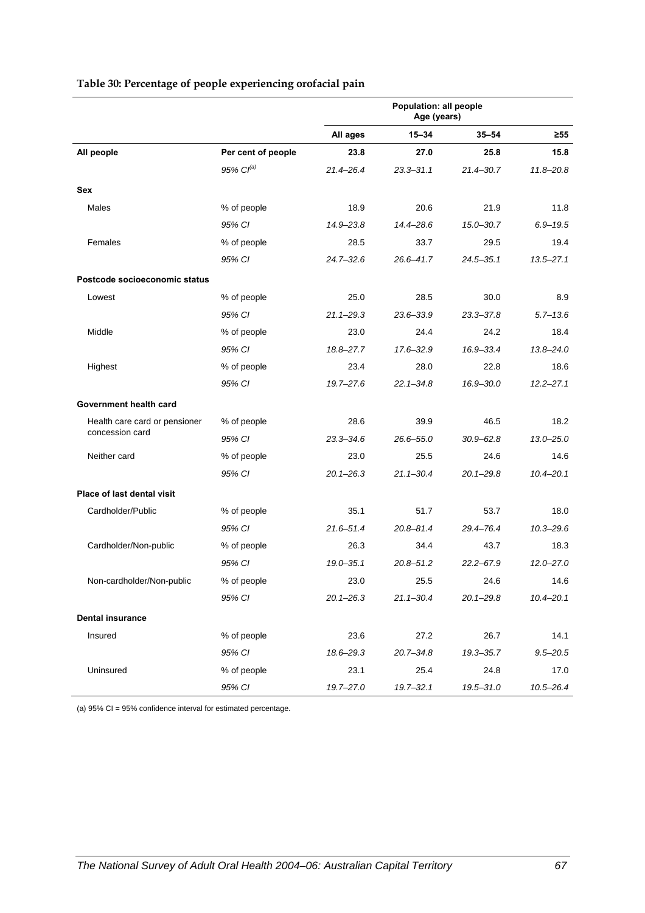<span id="page-74-0"></span>

|                                   |                       | Population: all people<br>Age (years) |               |               |               |
|-----------------------------------|-----------------------|---------------------------------------|---------------|---------------|---------------|
|                                   |                       | All ages                              | $15 - 34$     | $35 - 54$     | $\geq 55$     |
| All people                        | Per cent of people    | 23.8                                  | 27.0          | 25.8          | 15.8          |
|                                   | 95% Cl <sup>(a)</sup> | $21.4 - 26.4$                         | $23.3 - 31.1$ | $21.4 - 30.7$ | $11.8 - 20.8$ |
| Sex                               |                       |                                       |               |               |               |
| Males                             | % of people           | 18.9                                  | 20.6          | 21.9          | 11.8          |
|                                   | 95% CI                | 14.9-23.8                             | 14.4-28.6     | 15.0-30.7     | $6.9 - 19.5$  |
| Females                           | % of people           | 28.5                                  | 33.7          | 29.5          | 19.4          |
|                                   | 95% CI                | $24.7 - 32.6$                         | $26.6 - 41.7$ | 24.5-35.1     | $13.5 - 27.1$ |
| Postcode socioeconomic status     |                       |                                       |               |               |               |
| Lowest                            | % of people           | 25.0                                  | 28.5          | 30.0          | 8.9           |
|                                   | 95% CI                | $21.1 - 29.3$                         | 23.6-33.9     | 23.3-37.8     | $5.7 - 13.6$  |
| Middle                            | % of people           | 23.0                                  | 24.4          | 24.2          | 18.4          |
|                                   | 95% CI                | 18.8-27.7                             | 17.6-32.9     | 16.9-33.4     | $13.8 - 24.0$ |
| Highest                           | % of people           | 23.4                                  | 28.0          | 22.8          | 18.6          |
|                                   | 95% CI                | $19.7 - 27.6$                         | $22.1 - 34.8$ | 16.9-30.0     | $12.2 - 27.1$ |
| Government health card            |                       |                                       |               |               |               |
| Health care card or pensioner     | % of people           | 28.6                                  | 39.9          | 46.5          | 18.2          |
| concession card                   | 95% CI                | $23.3 - 34.6$                         | $26.6 - 55.0$ | $30.9 - 62.8$ | $13.0 - 25.0$ |
| Neither card                      | % of people           | 23.0                                  | 25.5          | 24.6          | 14.6          |
|                                   | 95% CI                | $20.1 - 26.3$                         | $21.1 - 30.4$ | $20.1 - 29.8$ | $10.4 - 20.1$ |
| <b>Place of last dental visit</b> |                       |                                       |               |               |               |
| Cardholder/Public                 | % of people           | 35.1                                  | 51.7          | 53.7          | 18.0          |
|                                   | 95% CI                | $21.6 - 51.4$                         | $20.8 - 81.4$ | 29.4-76.4     | $10.3 - 29.6$ |
| Cardholder/Non-public             | % of people           | 26.3                                  | 34.4          | 43.7          | 18.3          |
|                                   | 95% CI                | $19.0 - 35.1$                         | $20.8 - 51.2$ | $22.2 - 67.9$ | $12.0 - 27.0$ |
| Non-cardholder/Non-public         | % of people           | 23.0                                  | 25.5          | 24.6          | 14.6          |
|                                   | 95% CI                | $20.1 - 26.3$                         | $21.1 - 30.4$ | $20.1 - 29.8$ | $10.4 - 20.1$ |
| <b>Dental insurance</b>           |                       |                                       |               |               |               |
| Insured                           | % of people           | 23.6                                  | 27.2          | 26.7          | 14.1          |
|                                   | 95% CI                | 18.6-29.3                             | $20.7 - 34.8$ | 19.3-35.7     | $9.5 - 20.5$  |
| Uninsured                         | % of people           | 23.1                                  | 25.4          | 24.8          | 17.0          |
|                                   | 95% CI                | 19.7-27.0                             | $19.7 - 32.1$ | 19.5-31.0     | $10.5 - 26.4$ |

#### <span id="page-74-1"></span>**Table 30: Percentage of people experiencing orofacial pain**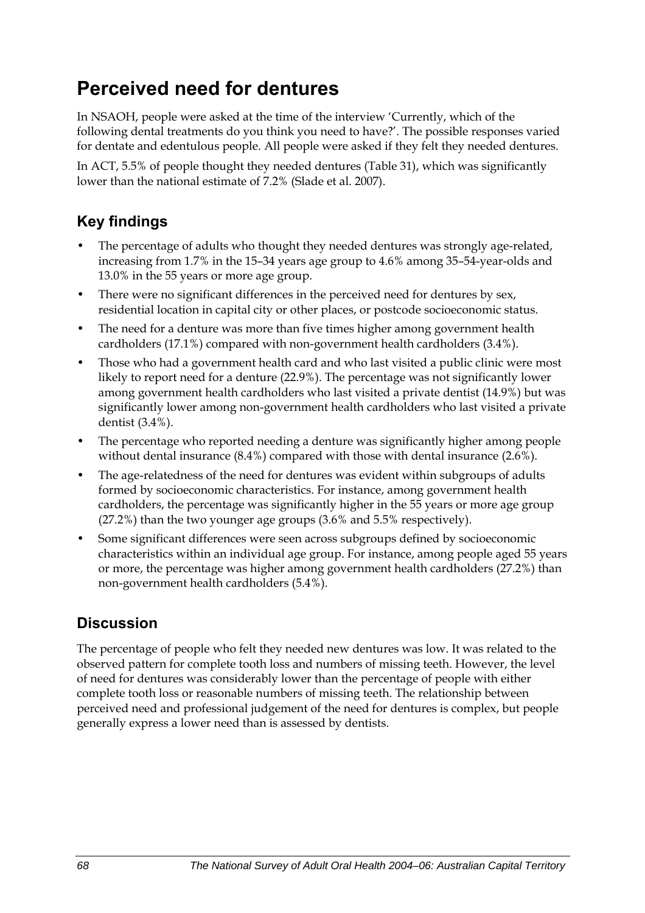## **Perceived need for dentures**

In NSAOH, people were asked at the time of the interview 'Currently, which of the following dental treatments do you think you need to have?'. The possible responses varied for dentate and edentulous people. All people were asked if they felt they needed dentures.

In ACT, 5.5% of people thought they needed dentures ([Table 31](#page-76-0)), which was significantly lower than the national estimate of 7.2% (Slade et al. 2007).

## **Key findings**

- The percentage of adults who thought they needed dentures was strongly age-related, increasing from 1.7% in the 15–34 years age group to 4.6% among 35–54-year-olds and 13.0% in the 55 years or more age group.
- There were no significant differences in the perceived need for dentures by sex, residential location in capital city or other places, or postcode socioeconomic status.
- The need for a denture was more than five times higher among government health cardholders (17.1%) compared with non-government health cardholders (3.4%).
- Those who had a government health card and who last visited a public clinic were most likely to report need for a denture (22.9%). The percentage was not significantly lower among government health cardholders who last visited a private dentist (14.9%) but was significantly lower among non-government health cardholders who last visited a private dentist (3.4%).
- The percentage who reported needing a denture was significantly higher among people without dental insurance (8.4%) compared with those with dental insurance (2.6%).
- The age-relatedness of the need for dentures was evident within subgroups of adults formed by socioeconomic characteristics. For instance, among government health cardholders, the percentage was significantly higher in the 55 years or more age group (27.2%) than the two younger age groups (3.6% and 5.5% respectively).
- Some significant differences were seen across subgroups defined by socioeconomic characteristics within an individual age group. For instance, among people aged 55 years or more, the percentage was higher among government health cardholders (27.2%) than non-government health cardholders (5.4%).

## **Discussion**

The percentage of people who felt they needed new dentures was low. It was related to the observed pattern for complete tooth loss and numbers of missing teeth. However, the level of need for dentures was considerably lower than the percentage of people with either complete tooth loss or reasonable numbers of missing teeth. The relationship between perceived need and professional judgement of the need for dentures is complex, but people generally express a lower need than is assessed by dentists.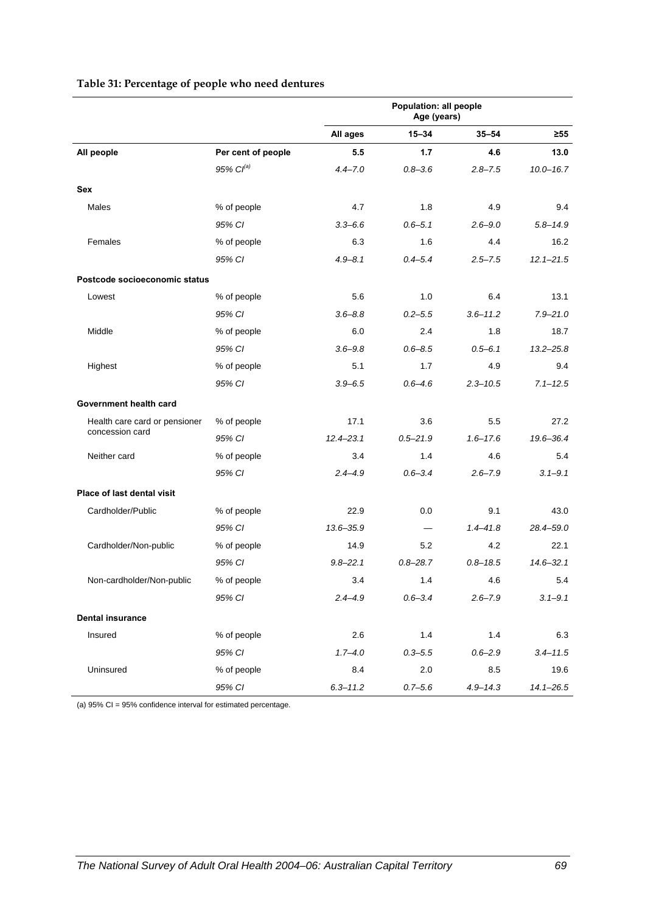<span id="page-76-0"></span>

|                               |                       | Population: all people<br>Age (years) |                          |              |               |
|-------------------------------|-----------------------|---------------------------------------|--------------------------|--------------|---------------|
|                               |                       | All ages                              | $15 - 34$                | $35 - 54$    | ≥55           |
| All people                    | Per cent of people    | 5.5                                   | 1.7                      | 4.6          | 13.0          |
|                               | 95% Cl <sup>(a)</sup> | $4.4 - 7.0$                           | $0.8 - 3.6$              | $2.8 - 7.5$  | $10.0 - 16.7$ |
| Sex                           |                       |                                       |                          |              |               |
| Males                         | % of people           | 4.7                                   | 1.8                      | 4.9          | 9.4           |
|                               | 95% CI                | $3.3 - 6.6$                           | $0.6 - 5.1$              | $2.6 - 9.0$  | $5.8 - 14.9$  |
| Females                       | % of people           | 6.3                                   | 1.6                      | 4.4          | 16.2          |
|                               | 95% CI                | $4.9 - 8.1$                           | $0.4 - 5.4$              | $2.5 - 7.5$  | $12.1 - 21.5$ |
| Postcode socioeconomic status |                       |                                       |                          |              |               |
| Lowest                        | % of people           | 5.6                                   | 1.0                      | 6.4          | 13.1          |
|                               | 95% CI                | $3.6 - 8.8$                           | $0.2 - 5.5$              | $3.6 - 11.2$ | $7.9 - 21.0$  |
| Middle                        | % of people           | 6.0                                   | 2.4                      | 1.8          | 18.7          |
|                               | 95% CI                | $3.6 - 9.8$                           | $0.6 - 8.5$              | $0.5 - 6.1$  | $13.2 - 25.8$ |
| Highest                       | % of people           | 5.1                                   | 1.7                      | 4.9          | 9.4           |
|                               | 95% CI                | $3.9 - 6.5$                           | $0.6 - 4.6$              | $2.3 - 10.5$ | $7.1 - 12.5$  |
| Government health card        |                       |                                       |                          |              |               |
| Health care card or pensioner | % of people           | 17.1                                  | 3.6                      | 5.5          | 27.2          |
| concession card               | 95% CI                | $12.4 - 23.1$                         | $0.5 - 21.9$             | $1.6 - 17.6$ | 19.6-36.4     |
| Neither card                  | % of people           | 3.4                                   | 1.4                      | 4.6          | 5.4           |
|                               | 95% CI                | $2.4 - 4.9$                           | $0.6 - 3.4$              | $2.6 - 7.9$  | $3.1 - 9.1$   |
| Place of last dental visit    |                       |                                       |                          |              |               |
| Cardholder/Public             | % of people           | 22.9                                  | 0.0                      | 9.1          | 43.0          |
|                               | 95% CI                | $13.6 - 35.9$                         | $\overline{\phantom{0}}$ | $1.4 - 41.8$ | 28.4-59.0     |
| Cardholder/Non-public         | % of people           | 14.9                                  | 5.2                      | 4.2          | 22.1          |
|                               | 95% CI                | $9.8 - 22.1$                          | $0.8 - 28.7$             | $0.8 - 18.5$ | $14.6 - 32.1$ |
| Non-cardholder/Non-public     | % of people           | 3.4                                   | 1.4                      | 4.6          | 5.4           |
|                               | 95% CI                | $2.4 - 4.9$                           | $0.6 - 3.4$              | $2.6 - 7.9$  | $3.1 - 9.1$   |
| <b>Dental insurance</b>       |                       |                                       |                          |              |               |
| Insured                       | % of people           | 2.6                                   | 1.4                      | 1.4          | 6.3           |
|                               | 95% CI                | $1.7 - 4.0$                           | $0.3 - 5.5$              | $0.6 - 2.9$  | $3.4 - 11.5$  |
| Uninsured                     | % of people           | 8.4                                   | 2.0                      | 8.5          | 19.6          |
|                               | 95% CI                | $6.3 - 11.2$                          | $0.7 - 5.6$              | $4.9 - 14.3$ | $14.1 - 26.5$ |

#### <span id="page-76-1"></span>**Table 31: Percentage of people who need dentures**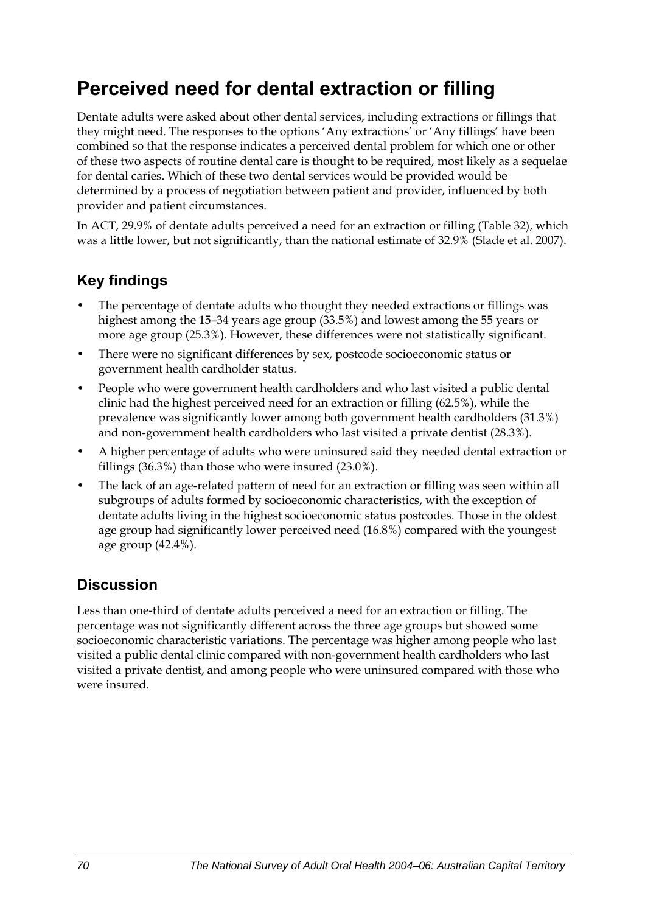## **Perceived need for dental extraction or filling**

Dentate adults were asked about other dental services, including extractions or fillings that they might need. The responses to the options 'Any extractions' or 'Any fillings' have been combined so that the response indicates a perceived dental problem for which one or other of these two aspects of routine dental care is thought to be required, most likely as a sequelae for dental caries. Which of these two dental services would be provided would be determined by a process of negotiation between patient and provider, influenced by both provider and patient circumstances.

In ACT, 29.9% of dentate adults perceived a need for an extraction or filling [\(Table 32\)](#page-78-0), which was a little lower, but not significantly, than the national estimate of 32.9% (Slade et al. 2007).

### **Key findings**

- The percentage of dentate adults who thought they needed extractions or fillings was highest among the 15–34 years age group (33.5%) and lowest among the 55 years or more age group (25.3%). However, these differences were not statistically significant.
- There were no significant differences by sex, postcode socioeconomic status or government health cardholder status.
- People who were government health cardholders and who last visited a public dental clinic had the highest perceived need for an extraction or filling (62.5%), while the prevalence was significantly lower among both government health cardholders (31.3%) and non-government health cardholders who last visited a private dentist (28.3%).
- A higher percentage of adults who were uninsured said they needed dental extraction or fillings (36.3%) than those who were insured (23.0%).
- The lack of an age-related pattern of need for an extraction or filling was seen within all subgroups of adults formed by socioeconomic characteristics, with the exception of dentate adults living in the highest socioeconomic status postcodes. Those in the oldest age group had significantly lower perceived need (16.8%) compared with the youngest age group (42.4%).

### **Discussion**

Less than one-third of dentate adults perceived a need for an extraction or filling. The percentage was not significantly different across the three age groups but showed some socioeconomic characteristic variations. The percentage was higher among people who last visited a public dental clinic compared with non-government health cardholders who last visited a private dentist, and among people who were uninsured compared with those who were insured.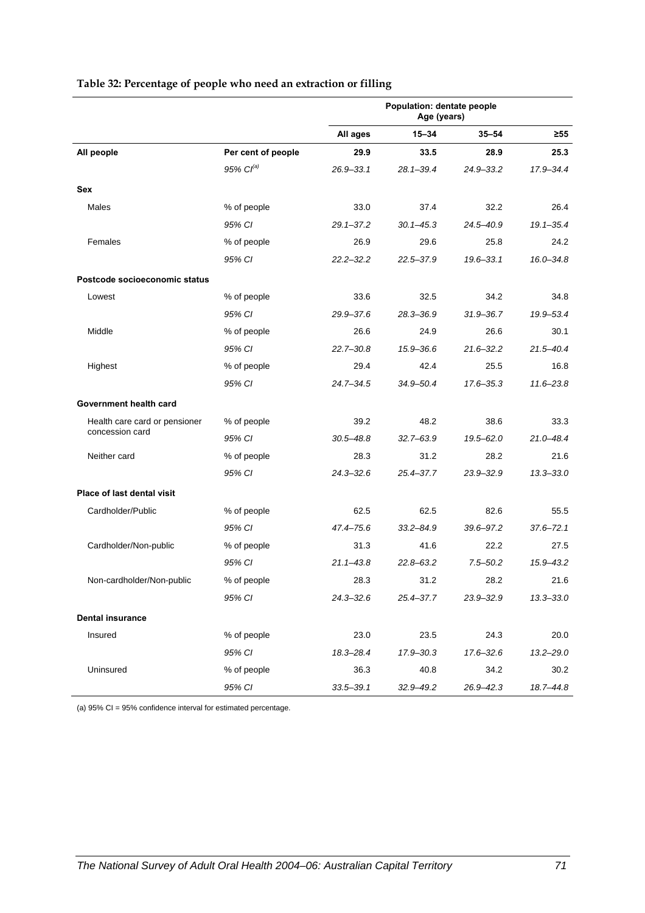<span id="page-78-0"></span>

|                               |                       | Population: dentate people<br>Age (years) |               |               |               |
|-------------------------------|-----------------------|-------------------------------------------|---------------|---------------|---------------|
|                               |                       | All ages                                  | $15 - 34$     | $35 - 54$     | ≥55           |
| All people                    | Per cent of people    | 29.9                                      | 33.5          | 28.9          | 25.3          |
|                               | 95% Cl <sup>(a)</sup> | 26.9-33.1                                 | 28.1-39.4     | $24.9 - 33.2$ | 17.9-34.4     |
| Sex                           |                       |                                           |               |               |               |
| Males                         | % of people           | 33.0                                      | 37.4          | 32.2          | 26.4          |
|                               | 95% CI                | $29.1 - 37.2$                             | $30.1 - 45.3$ | 24.5-40.9     | $19.1 - 35.4$ |
| Females                       | % of people           | 26.9                                      | 29.6          | 25.8          | 24.2          |
|                               | 95% CI                | $22.2 - 32.2$                             | 22.5-37.9     | 19.6-33.1     | $16.0 - 34.8$ |
| Postcode socioeconomic status |                       |                                           |               |               |               |
| Lowest                        | % of people           | 33.6                                      | 32.5          | 34.2          | 34.8          |
|                               | 95% CI                | $29.9 - 37.6$                             | $28.3 - 36.9$ | $31.9 - 36.7$ | 19.9-53.4     |
| Middle                        | % of people           | 26.6                                      | 24.9          | 26.6          | 30.1          |
|                               | 95% CI                | $22.7 - 30.8$                             | 15.9-36.6     | $21.6 - 32.2$ | $21.5 - 40.4$ |
| Highest                       | % of people           | 29.4                                      | 42.4          | 25.5          | 16.8          |
|                               | 95% CI                | $24.7 - 34.5$                             | 34.9-50.4     | 17.6-35.3     | $11.6 - 23.8$ |
| Government health card        |                       |                                           |               |               |               |
| Health care card or pensioner | % of people           | 39.2                                      | 48.2          | 38.6          | 33.3          |
| concession card               | 95% CI                | $30.5 - 48.8$                             | $32.7 - 63.9$ | $19.5 - 62.0$ | 21.0-48.4     |
| Neither card                  | % of people           | 28.3                                      | 31.2          | 28.2          | 21.6          |
|                               | 95% CI                | $24.3 - 32.6$                             | 25.4-37.7     | $23.9 - 32.9$ | $13.3 - 33.0$ |
| Place of last dental visit    |                       |                                           |               |               |               |
| Cardholder/Public             | % of people           | 62.5                                      | 62.5          | 82.6          | 55.5          |
|                               | 95% CI                | 47.4-75.6                                 | $33.2 - 84.9$ | 39.6-97.2     | $37.6 - 72.1$ |
| Cardholder/Non-public         | % of people           | 31.3                                      | 41.6          | 22.2          | 27.5          |
|                               | 95% CI                | $21.1 - 43.8$                             | $22.8 - 63.2$ | $7.5 - 50.2$  | 15.9-43.2     |
| Non-cardholder/Non-public     | % of people           | 28.3                                      | 31.2          | 28.2          | 21.6          |
|                               | 95% CI                | 24.3–32.6                                 | 25.4-37.7     | $23.9 - 32.9$ | $13.3 - 33.0$ |
| <b>Dental insurance</b>       |                       |                                           |               |               |               |
| Insured                       | % of people           | 23.0                                      | 23.5          | 24.3          | 20.0          |
|                               | 95% CI                | 18.3-28.4                                 | 17.9-30.3     | $17.6 - 32.6$ | $13.2 - 29.0$ |
| Uninsured                     | % of people           | 36.3                                      | 40.8          | 34.2          | 30.2          |
|                               | 95% CI                | $33.5 - 39.1$                             | 32.9-49.2     | 26.9-42.3     | 18.7-44.8     |

#### <span id="page-78-1"></span>**Table 32: Percentage of people who need an extraction or filling**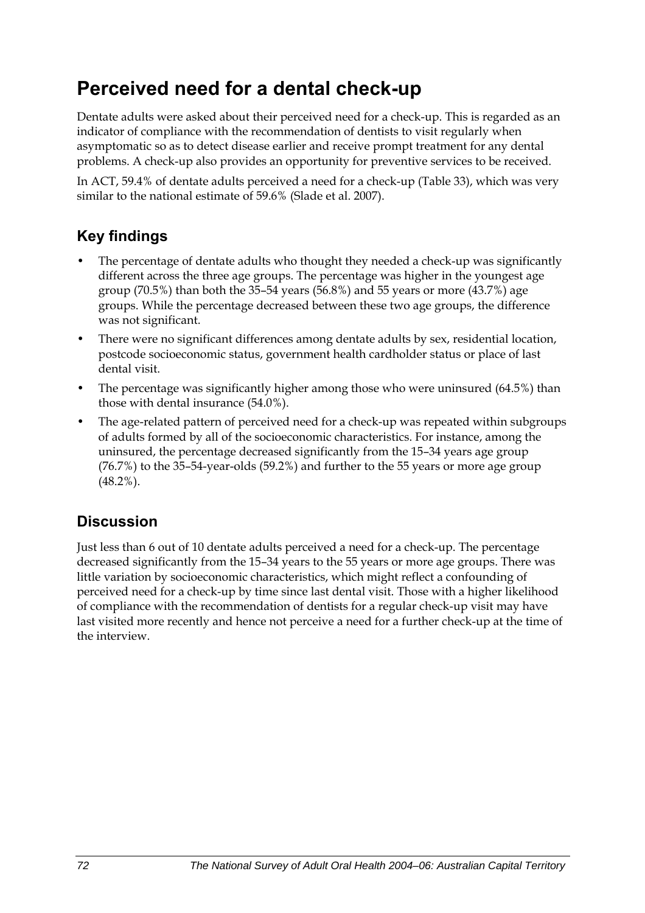## **Perceived need for a dental check-up**

Dentate adults were asked about their perceived need for a check-up. This is regarded as an indicator of compliance with the recommendation of dentists to visit regularly when asymptomatic so as to detect disease earlier and receive prompt treatment for any dental problems. A check-up also provides an opportunity for preventive services to be received.

In ACT, 59.4% of dentate adults perceived a need for a check-up [\(Table 33\)](#page-80-0), which was very similar to the national estimate of 59.6% (Slade et al. 2007).

### **Key findings**

- The percentage of dentate adults who thought they needed a check-up was significantly different across the three age groups. The percentage was higher in the youngest age group (70.5%) than both the 35–54 years (56.8%) and 55 years or more (43.7%) age groups. While the percentage decreased between these two age groups, the difference was not significant.
- There were no significant differences among dentate adults by sex, residential location, postcode socioeconomic status, government health cardholder status or place of last dental visit.
- The percentage was significantly higher among those who were uninsured (64.5%) than those with dental insurance (54.0%).
- The age-related pattern of perceived need for a check-up was repeated within subgroups of adults formed by all of the socioeconomic characteristics. For instance, among the uninsured, the percentage decreased significantly from the 15–34 years age group (76.7%) to the 35–54-year-olds (59.2%) and further to the 55 years or more age group (48.2%).

### **Discussion**

Just less than 6 out of 10 dentate adults perceived a need for a check-up. The percentage decreased significantly from the 15–34 years to the 55 years or more age groups. There was little variation by socioeconomic characteristics, which might reflect a confounding of perceived need for a check-up by time since last dental visit. Those with a higher likelihood of compliance with the recommendation of dentists for a regular check-up visit may have last visited more recently and hence not perceive a need for a further check-up at the time of the interview.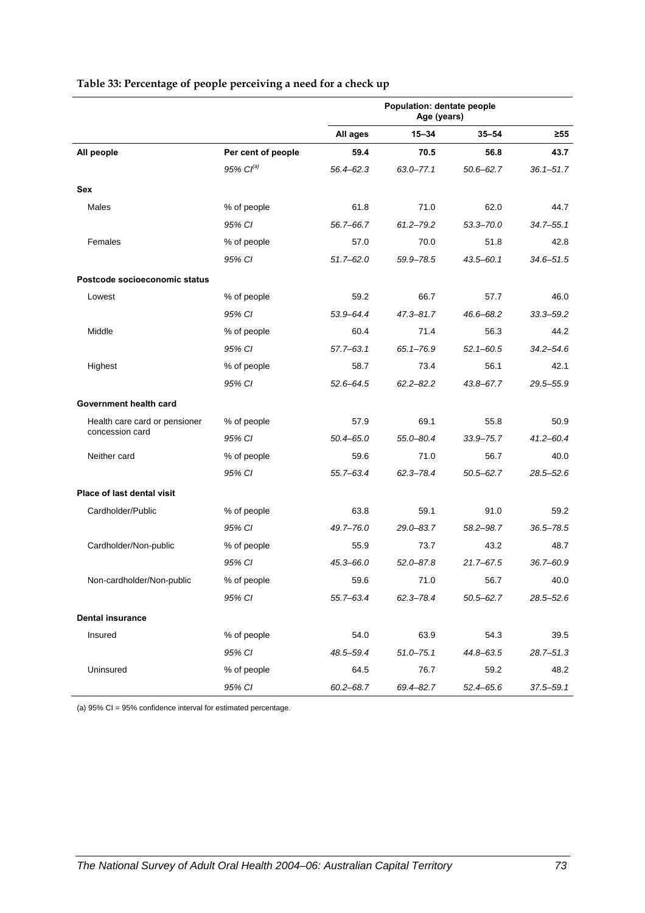|                               |                    | Population: dentate people<br>Age (years) |               |               |               |
|-------------------------------|--------------------|-------------------------------------------|---------------|---------------|---------------|
|                               |                    | All ages                                  | $15 - 34$     | $35 - 54$     | ≥55           |
| All people                    | Per cent of people | 59.4                                      | 70.5          | 56.8          | 43.7          |
|                               | $95\%$ $Cl^{(a)}$  | $56.4 - 62.3$                             | $63.0 - 77.1$ | $50.6 - 62.7$ | $36.1 - 51.7$ |
| Sex                           |                    |                                           |               |               |               |
| Males                         | % of people        | 61.8                                      | 71.0          | 62.0          | 44.7          |
|                               | 95% CI             | 56.7-66.7                                 | $61.2 - 79.2$ | $53.3 - 70.0$ | $34.7 - 55.1$ |
| Females                       | % of people        | 57.0                                      | 70.0          | 51.8          | 42.8          |
|                               | 95% CI             | $51.7 - 62.0$                             | 59.9-78.5     | 43.5-60.1     | 34.6–51.5     |
| Postcode socioeconomic status |                    |                                           |               |               |               |
| Lowest                        | % of people        | 59.2                                      | 66.7          | 57.7          | 46.0          |
|                               | 95% CI             | 53.9-64.4                                 | $47.3 - 81.7$ | 46.6-68.2     | $33.3 - 59.2$ |
| Middle                        | % of people        | 60.4                                      | 71.4          | 56.3          | 44.2          |
|                               | 95% CI             | $57.7 - 63.1$                             | $65.1 - 76.9$ | $52.1 - 60.5$ | $34.2 - 54.6$ |
| Highest                       | % of people        | 58.7                                      | 73.4          | 56.1          | 42.1          |
|                               | 95% CI             | $52.6 - 64.5$                             | $62.2 - 82.2$ | 43.8-67.7     | 29.5-55.9     |
| Government health card        |                    |                                           |               |               |               |
| Health care card or pensioner | % of people        | 57.9                                      | 69.1          | 55.8          | 50.9          |
| concession card               | 95% CI             | $50.4 - 65.0$                             | 55.0-80.4     | $33.9 - 75.7$ | $41.2 - 60.4$ |
| Neither card                  | % of people        | 59.6                                      | 71.0          | 56.7          | 40.0          |
|                               | 95% CI             | 55.7-63.4                                 | $62.3 - 78.4$ | $50.5 - 62.7$ | $28.5 - 52.6$ |
| Place of last dental visit    |                    |                                           |               |               |               |
| Cardholder/Public             | % of people        | 63.8                                      | 59.1          | 91.0          | 59.2          |
|                               | 95% CI             | 49.7-76.0                                 | 29.0-83.7     | 58.2-98.7     | $36.5 - 78.5$ |
| Cardholder/Non-public         | % of people        | 55.9                                      | 73.7          | 43.2          | 48.7          |
|                               | 95% CI             | 45.3-66.0                                 | $52.0 - 87.8$ | $21.7 - 67.5$ | $36.7 - 60.9$ |
| Non-cardholder/Non-public     | % of people        | 59.6                                      | 71.0          | 56.7          | 40.0          |
|                               | 95% CI             | 55.7–63.4                                 | 62.3-78.4     | $50.5 - 62.7$ | $28.5 - 52.6$ |
| <b>Dental insurance</b>       |                    |                                           |               |               |               |
| Insured                       | % of people        | 54.0                                      | 63.9          | 54.3          | 39.5          |
|                               | 95% CI             | 48.5-59.4                                 | $51.0 - 75.1$ | 44.8-63.5     | $28.7 - 51.3$ |
| Uninsured                     | % of people        | 64.5                                      | 76.7          | 59.2          | 48.2          |
|                               | 95% CI             | $60.2 - 68.7$                             | 69.4-82.7     | $52.4 - 65.6$ | $37.5 - 59.1$ |

#### <span id="page-80-1"></span><span id="page-80-0"></span>**Table 33: Percentage of people perceiving a need for a check up**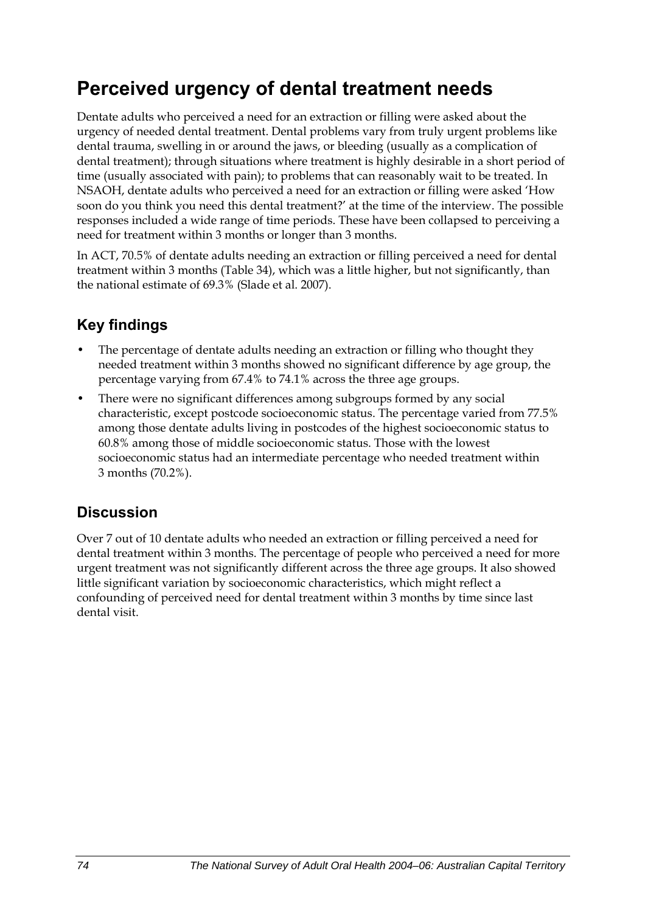## **Perceived urgency of dental treatment needs**

Dentate adults who perceived a need for an extraction or filling were asked about the urgency of needed dental treatment. Dental problems vary from truly urgent problems like dental trauma, swelling in or around the jaws, or bleeding (usually as a complication of dental treatment); through situations where treatment is highly desirable in a short period of time (usually associated with pain); to problems that can reasonably wait to be treated. In NSAOH, dentate adults who perceived a need for an extraction or filling were asked 'How soon do you think you need this dental treatment?' at the time of the interview. The possible responses included a wide range of time periods. These have been collapsed to perceiving a need for treatment within 3 months or longer than 3 months.

In ACT, 70.5% of dentate adults needing an extraction or filling perceived a need for dental treatment within 3 months [\(Table 34\)](#page-82-0), which was a little higher, but not significantly, than the national estimate of 69.3% (Slade et al. 2007).

## **Key findings**

- The percentage of dentate adults needing an extraction or filling who thought they needed treatment within 3 months showed no significant difference by age group, the percentage varying from 67.4% to 74.1% across the three age groups.
- There were no significant differences among subgroups formed by any social characteristic, except postcode socioeconomic status. The percentage varied from 77.5% among those dentate adults living in postcodes of the highest socioeconomic status to 60.8% among those of middle socioeconomic status. Those with the lowest socioeconomic status had an intermediate percentage who needed treatment within 3 months (70.2%).

## **Discussion**

Over 7 out of 10 dentate adults who needed an extraction or filling perceived a need for dental treatment within 3 months. The percentage of people who perceived a need for more urgent treatment was not significantly different across the three age groups. It also showed little significant variation by socioeconomic characteristics, which might reflect a confounding of perceived need for dental treatment within 3 months by time since last dental visit.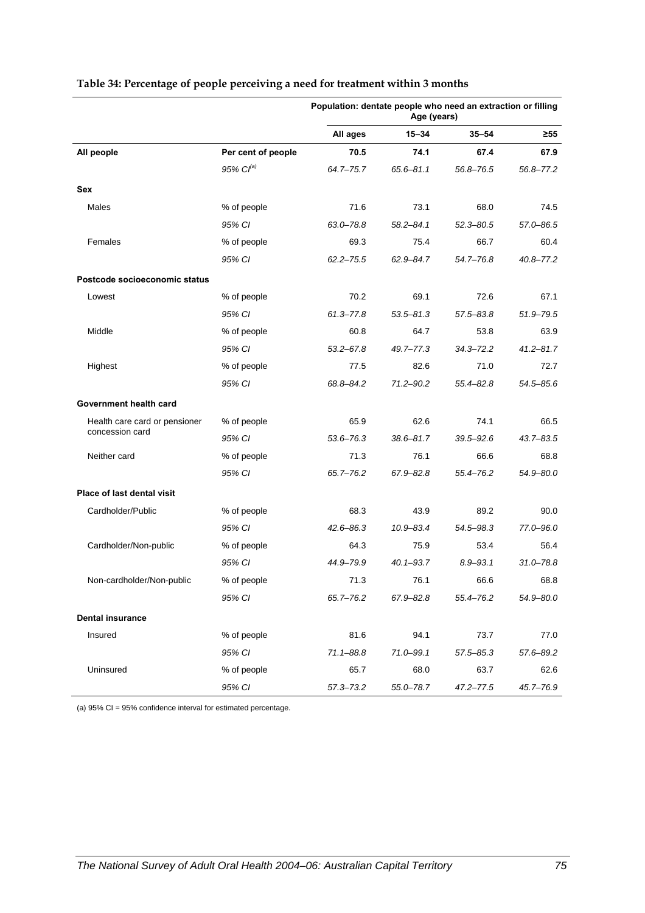|                               |                    |               | Population: dentate people who need an extraction or filling<br>Age (years) |               |               |  |
|-------------------------------|--------------------|---------------|-----------------------------------------------------------------------------|---------------|---------------|--|
|                               |                    | All ages      | 15-34                                                                       | $35 - 54$     | ≥55           |  |
| All people                    | Per cent of people | 70.5          | 74.1                                                                        | 67.4          | 67.9          |  |
|                               | 95% $Cl^{(a)}$     | 64.7-75.7     | $65.6 - 81.1$                                                               | 56.8-76.5     | 56.8–77.2     |  |
| <b>Sex</b>                    |                    |               |                                                                             |               |               |  |
| Males                         | % of people        | 71.6          | 73.1                                                                        | 68.0          | 74.5          |  |
|                               | 95% CI             | $63.0 - 78.8$ | $58.2 - 84.1$                                                               | $52.3 - 80.5$ | 57.0-86.5     |  |
| Females                       | % of people        | 69.3          | 75.4                                                                        | 66.7          | 60.4          |  |
|                               | 95% CI             | $62.2 - 75.5$ | $62.9 - 84.7$                                                               | 54.7-76.8     | 40.8-77.2     |  |
| Postcode socioeconomic status |                    |               |                                                                             |               |               |  |
| Lowest                        | % of people        | 70.2          | 69.1                                                                        | 72.6          | 67.1          |  |
|                               | 95% CI             | $61.3 - 77.8$ | $53.5 - 81.3$                                                               | 57.5-83.8     | 51.9-79.5     |  |
| Middle                        | % of people        | 60.8          | 64.7                                                                        | 53.8          | 63.9          |  |
|                               | 95% CI             | $53.2 - 67.8$ | 49.7-77.3                                                                   | 34.3-72.2     | $41.2 - 81.7$ |  |
| Highest                       | % of people        | 77.5          | 82.6                                                                        | 71.0          | 72.7          |  |
|                               | 95% CI             | 68.8-84.2     | $71.2 - 90.2$                                                               | 55.4-82.8     | 54.5–85.6     |  |
| Government health card        |                    |               |                                                                             |               |               |  |
| Health care card or pensioner | % of people        | 65.9          | 62.6                                                                        | 74.1          | 66.5          |  |
| concession card               | 95% CI             | $53.6 - 76.3$ | $38.6 - 81.7$                                                               | 39.5-92.6     | 43.7-83.5     |  |
| Neither card                  | % of people        | 71.3          | 76.1                                                                        | 66.6          | 68.8          |  |
|                               | 95% CI             | 65.7-76.2     | 67.9-82.8                                                                   | 55.4–76.2     | 54.9-80.0     |  |
| Place of last dental visit    |                    |               |                                                                             |               |               |  |
| Cardholder/Public             | % of people        | 68.3          | 43.9                                                                        | 89.2          | 90.0          |  |
|                               | 95% CI             | $42.6 - 86.3$ | $10.9 - 83.4$                                                               | 54.5–98.3     | 77.0-96.0     |  |
| Cardholder/Non-public         | % of people        | 64.3          | 75.9                                                                        | 53.4          | 56.4          |  |
|                               | 95% CI             | 44.9-79.9     | $40.1 - 93.7$                                                               | $8.9 - 93.1$  | $31.0 - 78.8$ |  |
| Non-cardholder/Non-public     | % of people        | 71.3          | 76.1                                                                        | 66.6          | 68.8          |  |
|                               | 95% CI             | 65.7-76.2     | 67.9-82.8                                                                   | 55.4–76.2     | 54.9-80.0     |  |
| <b>Dental insurance</b>       |                    |               |                                                                             |               |               |  |
| Insured                       | % of people        | 81.6          | 94.1                                                                        | 73.7          | 77.0          |  |
|                               | 95% CI             | $71.1 - 88.8$ | $71.0 - 99.1$                                                               | $57.5 - 85.3$ | 57.6-89.2     |  |
| Uninsured                     | % of people        | 65.7          | 68.0                                                                        | 63.7          | 62.6          |  |
|                               | 95% CI             | 57.3-73.2     | 55.0-78.7                                                                   | $47.2 - 77.5$ | 45.7-76.9     |  |

#### <span id="page-82-1"></span><span id="page-82-0"></span>**Table 34: Percentage of people perceiving a need for treatment within 3 months**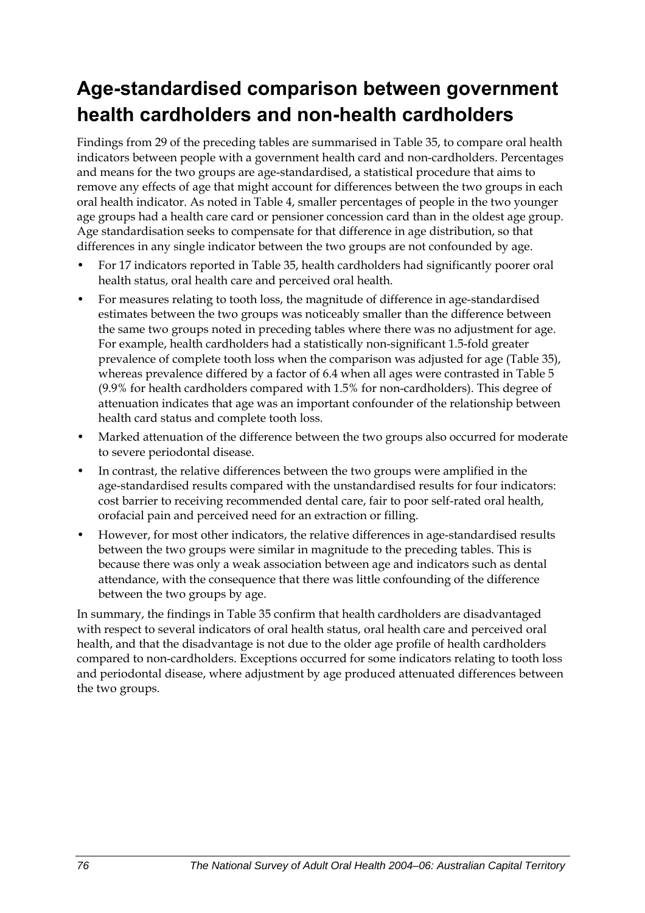## **Age-standardised comparison between government health cardholders and non-health cardholders**

Findings from 29 of the preceding tables are summarised in [Table 35,](#page-84-0) to compare oral health indicators between people with a government health card and non-cardholders. Percentages and means for the two groups are age-standardised, a statistical procedure that aims to remove any effects of age that might account for differences between the two groups in each oral health indicator. As noted in Table 4, smaller percentages of people in the two younger age groups had a health care card or pensioner concession card than in the oldest age group. Age standardisation seeks to compensate for that difference in age distribution, so that differences in any single indicator between the two groups are not confounded by age.

- For 17 indicators reported in [Table 35,](#page-84-0) health cardholders had significantly poorer oral health status, oral health care and perceived oral health.
- For measures relating to tooth loss, the magnitude of difference in age-standardised estimates between the two groups was noticeably smaller than the difference between the same two groups noted in preceding tables where there was no adjustment for age. For example, health cardholders had a statistically non-significant 1.5-fold greater prevalence of complete tooth loss when the comparison was adjusted for age [\(Table 35](#page-84-0)), whereas prevalence differed by a factor of 6.4 when all ages were contrasted in Table 5 (9.9% for health cardholders compared with 1.5% for non-cardholders). This degree of attenuation indicates that age was an important confounder of the relationship between health card status and complete tooth loss.
- Marked attenuation of the difference between the two groups also occurred for moderate to severe periodontal disease.
- In contrast, the relative differences between the two groups were amplified in the age-standardised results compared with the unstandardised results for four indicators: cost barrier to receiving recommended dental care, fair to poor self-rated oral health, orofacial pain and perceived need for an extraction or filling.
- However, for most other indicators, the relative differences in age-standardised results between the two groups were similar in magnitude to the preceding tables. This is because there was only a weak association between age and indicators such as dental attendance, with the consequence that there was little confounding of the difference between the two groups by age.

In summary, the findings in [Table 35](#page-84-0) confirm that health cardholders are disadvantaged with respect to several indicators of oral health status, oral health care and perceived oral health, and that the disadvantage is not due to the older age profile of health cardholders compared to non-cardholders. Exceptions occurred for some indicators relating to tooth loss and periodontal disease, where adjustment by age produced attenuated differences between the two groups.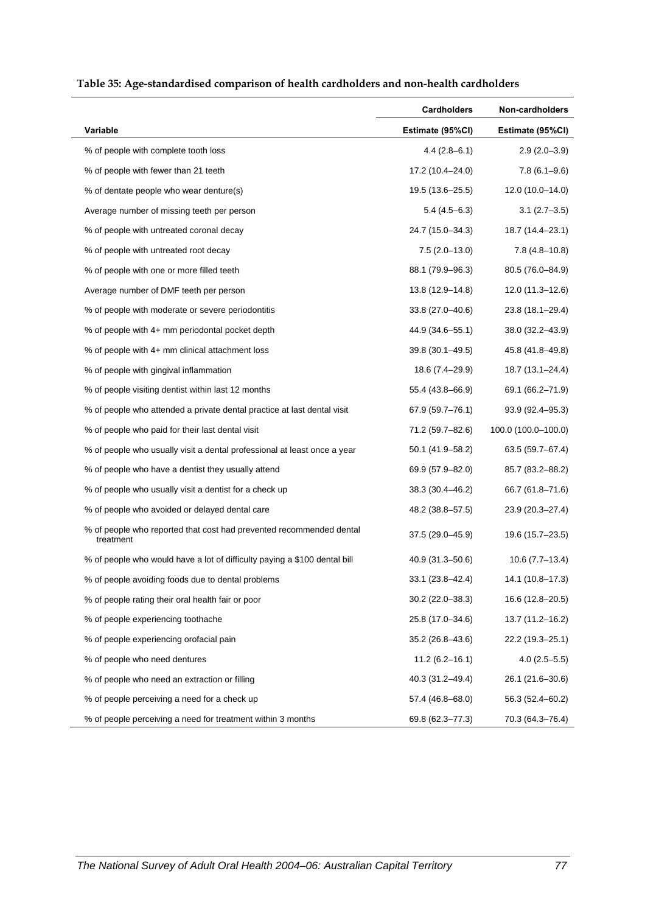<span id="page-84-0"></span>

|                                                                                  | <b>Cardholders</b>  | Non-cardholders     |
|----------------------------------------------------------------------------------|---------------------|---------------------|
| Variable                                                                         | Estimate (95%CI)    | Estimate (95%CI)    |
| % of people with complete tooth loss                                             | $4.4(2.8-6.1)$      | $2.9(2.0-3.9)$      |
| % of people with fewer than 21 teeth                                             | 17.2 (10.4–24.0)    | $7.8(6.1 - 9.6)$    |
| % of dentate people who wear denture(s)                                          | 19.5 (13.6–25.5)    | $12.0(10.0-14.0)$   |
| Average number of missing teeth per person                                       | $5.4(4.5-6.3)$      | 3.1 (2.7–3.5)       |
| % of people with untreated coronal decay                                         | 24.7 (15.0–34.3)    | 18.7 (14.4–23.1)    |
| % of people with untreated root decay                                            | $7.5(2.0-13.0)$     | $7.8(4.8 - 10.8)$   |
| % of people with one or more filled teeth                                        | 88.1 (79.9–96.3)    | 80.5 (76.0–84.9)    |
| Average number of DMF teeth per person                                           | 13.8 (12.9–14.8)    | 12.0 (11.3–12.6)    |
| % of people with moderate or severe periodontitis                                | 33.8 (27.0–40.6)    | 23.8 (18.1–29.4)    |
| % of people with 4+ mm periodontal pocket depth                                  | 44.9 (34.6–55.1)    | 38.0 (32.2-43.9)    |
| % of people with 4+ mm clinical attachment loss                                  | 39.8 (30.1–49.5)    | 45.8 (41.8–49.8)    |
| % of people with gingival inflammation                                           | 18.6 (7.4-29.9)     | 18.7 (13.1-24.4)    |
| % of people visiting dentist within last 12 months                               | 55.4 (43.8-66.9)    | 69.1 (66.2-71.9)    |
| % of people who attended a private dental practice at last dental visit          | 67.9 (59.7-76.1)    | $93.9(92.4 - 95.3)$ |
| % of people who paid for their last dental visit                                 | 71.2 (59.7-82.6)    | 100.0 (100.0-100.0) |
| % of people who usually visit a dental professional at least once a year         | 50.1 (41.9–58.2)    | 63.5 (59.7-67.4)    |
| % of people who have a dentist they usually attend                               | 69.9 (57.9-82.0)    | 85.7 (83.2-88.2)    |
| % of people who usually visit a dentist for a check up                           | 38.3 (30.4-46.2)    | 66.7 (61.8–71.6)    |
| % of people who avoided or delayed dental care                                   | 48.2 (38.8–57.5)    | 23.9 (20.3–27.4)    |
| % of people who reported that cost had prevented recommended dental<br>treatment | 37.5 (29.0–45.9)    | 19.6 (15.7-23.5)    |
| % of people who would have a lot of difficulty paying a \$100 dental bill        | $40.9(31.3 - 50.6)$ | $10.6(7.7-13.4)$    |
| % of people avoiding foods due to dental problems                                | 33.1 (23.8–42.4)    | 14.1 (10.8–17.3)    |
| % of people rating their oral health fair or poor                                | $30.2(22.0 - 38.3)$ | 16.6 (12.8-20.5)    |
| % of people experiencing toothache                                               | 25.8 (17.0-34.6)    | 13.7 (11.2-16.2)    |
| % of people experiencing orofacial pain                                          | 35.2 (26.8-43.6)    | 22.2 (19.3-25.1)    |
| % of people who need dentures                                                    | $11.2(6.2 - 16.1)$  | $4.0(2.5-5.5)$      |
| % of people who need an extraction or filling                                    | 40.3 (31.2-49.4)    | 26.1 (21.6-30.6)    |
| % of people perceiving a need for a check up                                     | 57.4 (46.8-68.0)    | 56.3 (52.4-60.2)    |
| % of people perceiving a need for treatment within 3 months                      | 69.8 (62.3-77.3)    | 70.3 (64.3-76.4)    |

#### <span id="page-84-1"></span>**Table 35: Age-standardised comparison of health cardholders and non-health cardholders**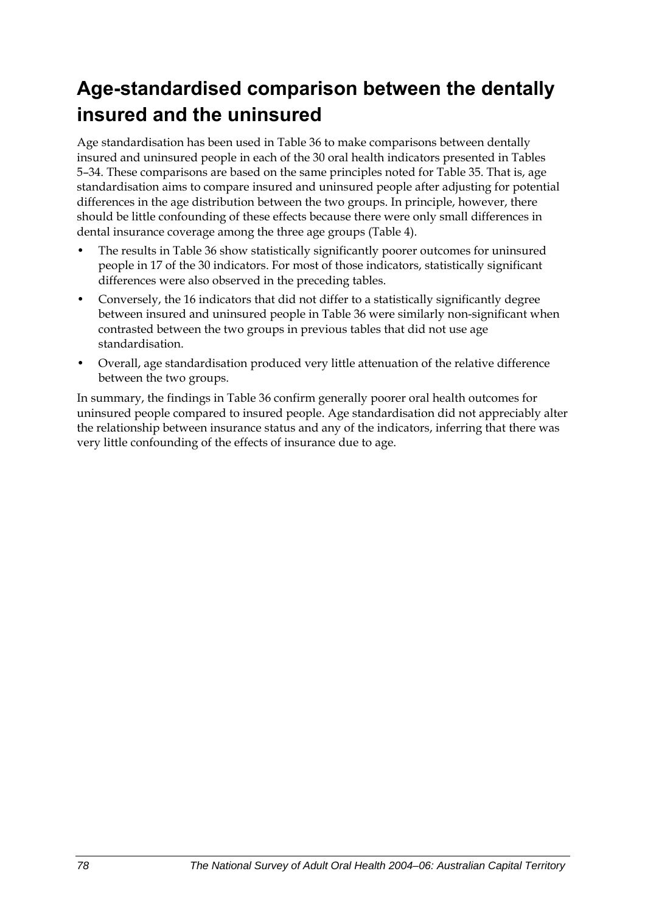## **Age-standardised comparison between the dentally insured and the uninsured**

Age standardisation has been used in [Table 36](#page-86-0) to make comparisons between dentally insured and uninsured people in each of the 30 oral health indicators presented in Tables 5–34. These comparisons are based on the same principles noted for [Table 35](#page-84-0). That is, age standardisation aims to compare insured and uninsured people after adjusting for potential differences in the age distribution between the two groups. In principle, however, there should be little confounding of these effects because there were only small differences in dental insurance coverage among the three age groups (Table 4).

- The results in [Table 36](#page-86-0) show statistically significantly poorer outcomes for uninsured people in 17 of the 30 indicators. For most of those indicators, statistically significant differences were also observed in the preceding tables.
- Conversely, the 16 indicators that did not differ to a statistically significantly degree between insured and uninsured people in [Table 36](#page-86-0) were similarly non-significant when contrasted between the two groups in previous tables that did not use age standardisation.
- Overall, age standardisation produced very little attenuation of the relative difference between the two groups.

In summary, the findings in [Table 36](#page-86-0) confirm generally poorer oral health outcomes for uninsured people compared to insured people. Age standardisation did not appreciably alter the relationship between insurance status and any of the indicators, inferring that there was very little confounding of the effects of insurance due to age.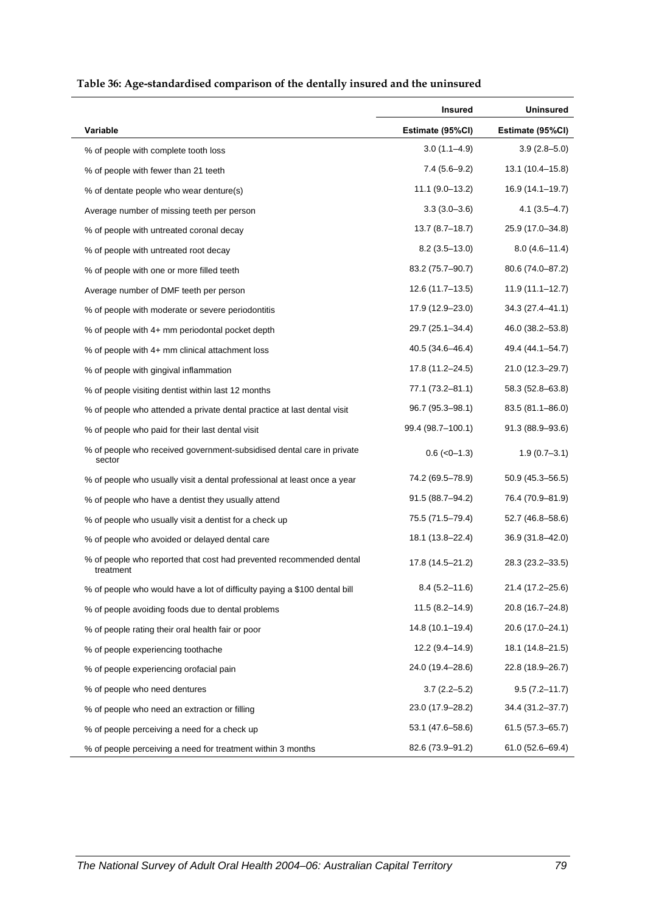<span id="page-86-0"></span>

|                                                                                  | <b>Insured</b>      | <b>Uninsured</b>    |
|----------------------------------------------------------------------------------|---------------------|---------------------|
| Variable                                                                         | Estimate (95%CI)    | Estimate (95%CI)    |
| % of people with complete tooth loss                                             | $3.0(1.1 - 4.9)$    | $3.9(2.8 - 5.0)$    |
| % of people with fewer than 21 teeth                                             | $7.4(5.6-9.2)$      | 13.1 (10.4-15.8)    |
| % of dentate people who wear denture(s)                                          | $11.1 (9.0 - 13.2)$ | 16.9 (14.1-19.7)    |
| Average number of missing teeth per person                                       | $3.3(3.0 - 3.6)$    | $4.1(3.5 - 4.7)$    |
| % of people with untreated coronal decay                                         | $13.7(8.7 - 18.7)$  | 25.9 (17.0-34.8)    |
| % of people with untreated root decay                                            | $8.2(3.5-13.0)$     | $8.0(4.6 - 11.4)$   |
| % of people with one or more filled teeth                                        | 83.2 (75.7-90.7)    | 80.6 (74.0–87.2)    |
| Average number of DMF teeth per person                                           | 12.6 (11.7–13.5)    | 11.9 (11.1–12.7)    |
| % of people with moderate or severe periodontitis                                | 17.9 (12.9-23.0)    | 34.3 (27.4–41.1)    |
| % of people with 4+ mm periodontal pocket depth                                  | 29.7 (25.1-34.4)    | 46.0 (38.2-53.8)    |
| % of people with 4+ mm clinical attachment loss                                  | 40.5 (34.6-46.4)    | 49.4 (44.1-54.7)    |
| % of people with gingival inflammation                                           | 17.8 (11.2-24.5)    | 21.0 (12.3-29.7)    |
| % of people visiting dentist within last 12 months                               | 77.1 (73.2–81.1)    | 58.3 (52.8–63.8)    |
| % of people who attended a private dental practice at last dental visit          | 96.7 (95.3-98.1)    | 83.5 (81.1-86.0)    |
| % of people who paid for their last dental visit                                 | 99.4 (98.7–100.1)   | 91.3 (88.9-93.6)    |
| % of people who received government-subsidised dental care in private<br>sector  | $0.6$ ( $<0$ -1.3)  | $1.9(0.7 - 3.1)$    |
| % of people who usually visit a dental professional at least once a year         | 74.2 (69.5-78.9)    | 50.9 (45.3-56.5)    |
| % of people who have a dentist they usually attend                               | 91.5 (88.7-94.2)    | 76.4 (70.9-81.9)    |
| % of people who usually visit a dentist for a check up                           | 75.5 (71.5-79.4)    | 52.7 (46.8-58.6)    |
| % of people who avoided or delayed dental care                                   | 18.1 (13.8-22.4)    | 36.9 (31.8–42.0)    |
| % of people who reported that cost had prevented recommended dental<br>treatment | 17.8 (14.5–21.2)    | 28.3 (23.2-33.5)    |
| % of people who would have a lot of difficulty paying a \$100 dental bill        | $8.4(5.2 - 11.6)$   | 21.4 (17.2-25.6)    |
| % of people avoiding foods due to dental problems                                | $11.5(8.2 - 14.9)$  | 20.8 (16.7-24.8)    |
| % of people rating their oral health fair or poor                                | $14.8(10.1 - 19.4)$ | 20.6 (17.0-24.1)    |
| % of people experiencing toothache                                               | $12.2(9.4 - 14.9)$  | 18.1 (14.8-21.5)    |
| % of people experiencing orofacial pain                                          | 24.0 (19.4-28.6)    | 22.8 (18.9-26.7)    |
| % of people who need dentures                                                    | $3.7(2.2 - 5.2)$    | $9.5(7.2 - 11.7)$   |
| % of people who need an extraction or filling                                    | 23.0 (17.9-28.2)    | 34.4 (31.2-37.7)    |
| % of people perceiving a need for a check up                                     | 53.1 (47.6-58.6)    | $61.5(57.3 - 65.7)$ |
| % of people perceiving a need for treatment within 3 months                      | 82.6 (73.9-91.2)    | 61.0 (52.6-69.4)    |

#### <span id="page-86-1"></span>**Table 36: Age-standardised comparison of the dentally insured and the uninsured**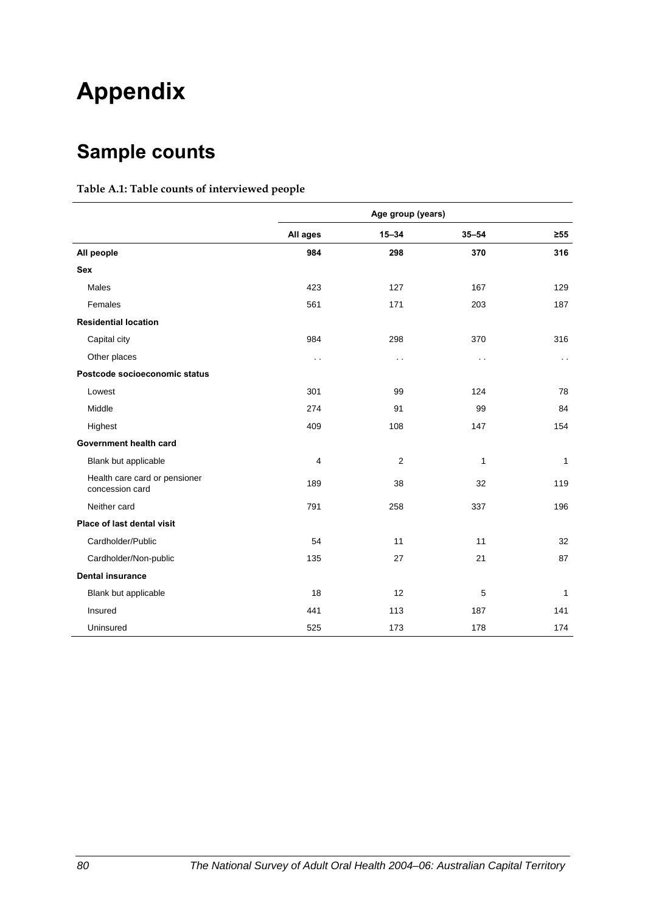# **Appendix**

## **Sample counts**

#### **Table A.1: Table counts of interviewed people**

|                                                  | Age group (years)    |                      |              |              |
|--------------------------------------------------|----------------------|----------------------|--------------|--------------|
|                                                  | All ages             | $15 - 34$            | $35 - 54$    | $\geq 55$    |
| All people                                       | 984                  | 298                  | 370          | 316          |
| <b>Sex</b>                                       |                      |                      |              |              |
| <b>Males</b>                                     | 423                  | 127                  | 167          | 129          |
| Females                                          | 561                  | 171                  | 203          | 187          |
| <b>Residential location</b>                      |                      |                      |              |              |
| Capital city                                     | 984                  | 298                  | 370          | 316          |
| Other places                                     | $\ddot{\phantom{0}}$ | $\ddot{\phantom{0}}$ | $\sim$ .     | $\sim$       |
| Postcode socioeconomic status                    |                      |                      |              |              |
| Lowest                                           | 301                  | 99                   | 124          | 78           |
| Middle                                           | 274                  | 91                   | 99           | 84           |
| Highest                                          | 409                  | 108                  | 147          | 154          |
| Government health card                           |                      |                      |              |              |
| Blank but applicable                             | $\overline{4}$       | $\overline{2}$       | $\mathbf{1}$ | $\mathbf{1}$ |
| Health care card or pensioner<br>concession card | 189                  | 38                   | 32           | 119          |
| Neither card                                     | 791                  | 258                  | 337          | 196          |
| Place of last dental visit                       |                      |                      |              |              |
| Cardholder/Public                                | 54                   | 11                   | 11           | 32           |
| Cardholder/Non-public                            | 135                  | 27                   | 21           | 87           |
| <b>Dental insurance</b>                          |                      |                      |              |              |
| Blank but applicable                             | 18                   | 12                   | 5            | $\mathbf{1}$ |
| Insured                                          | 441                  | 113                  | 187          | 141          |
| Uninsured                                        | 525                  | 173                  | 178          | 174          |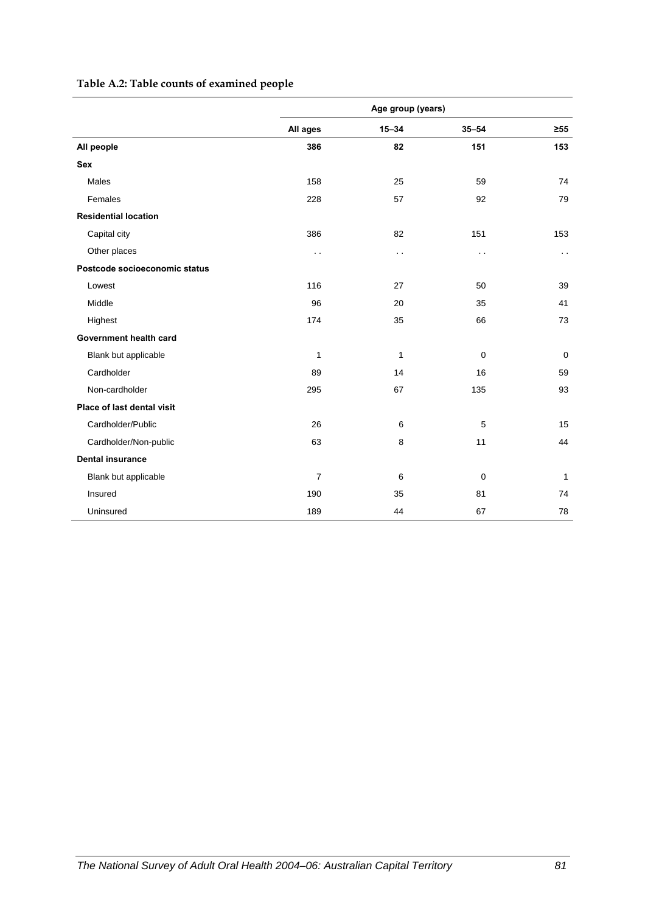#### **Table A.2: Table counts of examined people**

|                               | Age group (years) |                      |               |             |
|-------------------------------|-------------------|----------------------|---------------|-------------|
|                               | All ages          | $15 - 34$            | $35 - 54$     | $\geq 55$   |
| All people                    | 386               | 82                   | 151           | 153         |
| Sex                           |                   |                      |               |             |
| Males                         | 158               | 25                   | 59            | 74          |
| Females                       | 228               | 57                   | 92            | 79          |
| <b>Residential location</b>   |                   |                      |               |             |
| Capital city                  | 386               | 82                   | 151           | 153         |
| Other places                  | $\sim$ $\sim$     | $\ddot{\phantom{0}}$ | $\sim$ $\sim$ | $\sim$      |
| Postcode socioeconomic status |                   |                      |               |             |
| Lowest                        | 116               | 27                   | 50            | 39          |
| Middle                        | 96                | 20                   | 35            | 41          |
| Highest                       | 174               | 35                   | 66            | 73          |
| Government health card        |                   |                      |               |             |
| Blank but applicable          | $\mathbf{1}$      | 1                    | $\mathbf 0$   | $\mathbf 0$ |
| Cardholder                    | 89                | 14                   | 16            | 59          |
| Non-cardholder                | 295               | 67                   | 135           | 93          |
| Place of last dental visit    |                   |                      |               |             |
| Cardholder/Public             | 26                | 6                    | 5             | 15          |
| Cardholder/Non-public         | 63                | 8                    | 11            | 44          |
| <b>Dental insurance</b>       |                   |                      |               |             |
| Blank but applicable          | $\overline{7}$    | 6                    | $\mathbf 0$   | 1           |
| Insured                       | 190               | 35                   | 81            | 74          |
| Uninsured                     | 189               | 44                   | 67            | 78          |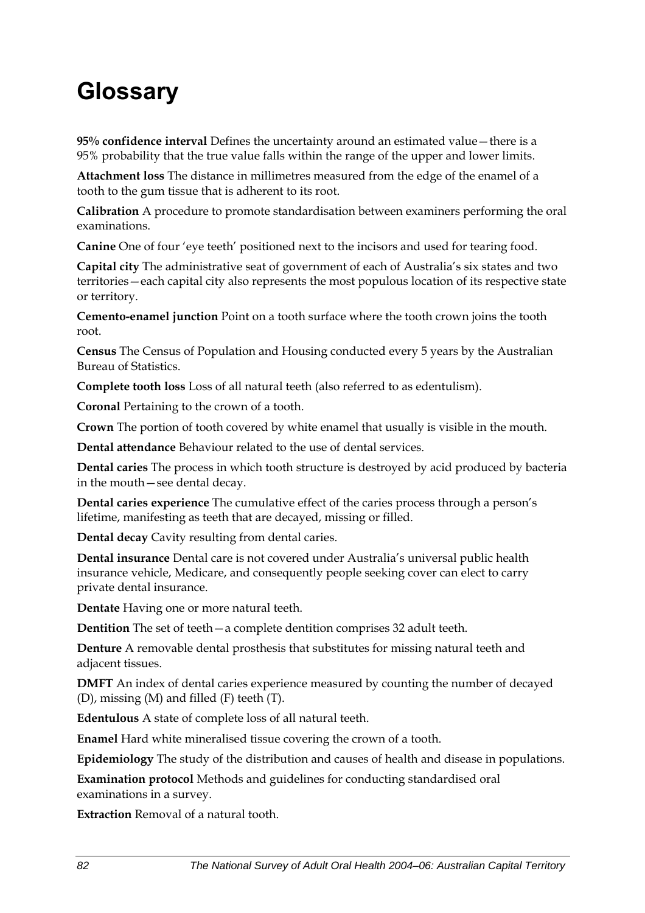# **Glossary**

**95% confidence interval** Defines the uncertainty around an estimated value—there is a 95% probability that the true value falls within the range of the upper and lower limits.

**Attachment loss** The distance in millimetres measured from the edge of the enamel of a tooth to the gum tissue that is adherent to its root.

**Calibration** A procedure to promote standardisation between examiners performing the oral examinations.

**Canine** One of four 'eye teeth' positioned next to the incisors and used for tearing food.

**Capital city** The administrative seat of government of each of Australia's six states and two territories—each capital city also represents the most populous location of its respective state or territory.

**Cemento-enamel junction** Point on a tooth surface where the tooth crown joins the tooth root.

**Census** The Census of Population and Housing conducted every 5 years by the Australian Bureau of Statistics.

**Complete tooth loss** Loss of all natural teeth (also referred to as edentulism).

**Coronal** Pertaining to the crown of a tooth.

**Crown** The portion of tooth covered by white enamel that usually is visible in the mouth.

**Dental attendance** Behaviour related to the use of dental services.

**Dental caries** The process in which tooth structure is destroyed by acid produced by bacteria in the mouth—see dental decay.

**Dental caries experience** The cumulative effect of the caries process through a person's lifetime, manifesting as teeth that are decayed, missing or filled.

**Dental decay** Cavity resulting from dental caries.

**Dental insurance** Dental care is not covered under Australia's universal public health insurance vehicle, Medicare, and consequently people seeking cover can elect to carry private dental insurance.

**Dentate** Having one or more natural teeth.

**Dentition** The set of teeth—a complete dentition comprises 32 adult teeth.

**Denture** A removable dental prosthesis that substitutes for missing natural teeth and adjacent tissues.

**DMFT** An index of dental caries experience measured by counting the number of decayed (D), missing (M) and filled (F) teeth (T).

**Edentulous** A state of complete loss of all natural teeth.

**Enamel** Hard white mineralised tissue covering the crown of a tooth.

**Epidemiology** The study of the distribution and causes of health and disease in populations.

**Examination protocol** Methods and guidelines for conducting standardised oral examinations in a survey.

**Extraction** Removal of a natural tooth.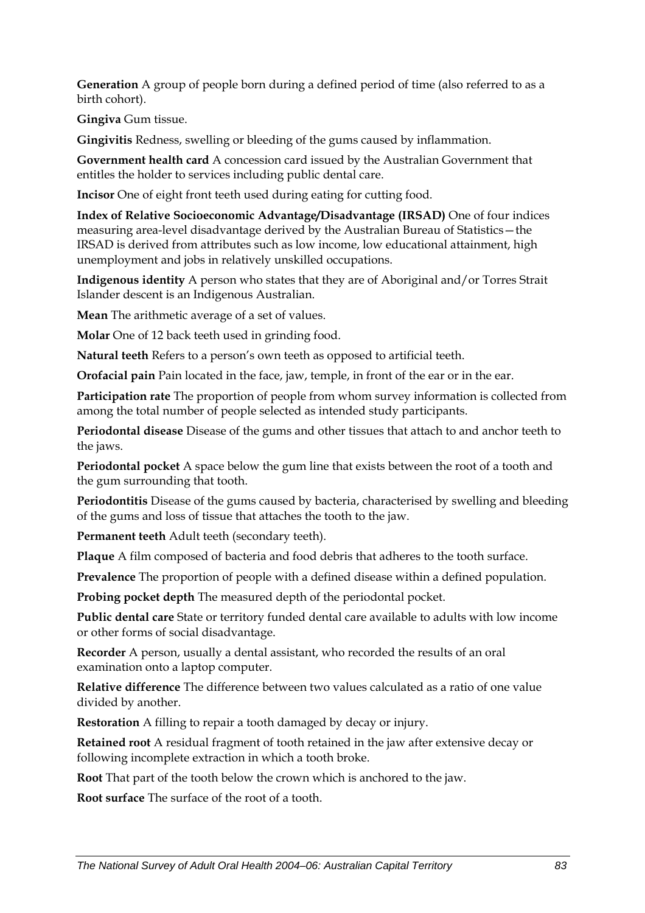**Generation** A group of people born during a defined period of time (also referred to as a birth cohort).

**Gingiva** Gum tissue.

**Gingivitis** Redness, swelling or bleeding of the gums caused by inflammation.

**Government health card** A concession card issued by the Australian Government that entitles the holder to services including public dental care.

**Incisor** One of eight front teeth used during eating for cutting food.

**Index of Relative Socioeconomic Advantage/Disadvantage (IRSAD)** One of four indices measuring area-level disadvantage derived by the Australian Bureau of Statistics—the IRSAD is derived from attributes such as low income, low educational attainment, high unemployment and jobs in relatively unskilled occupations.

**Indigenous identity** A person who states that they are of Aboriginal and/or Torres Strait Islander descent is an Indigenous Australian.

**Mean** The arithmetic average of a set of values.

**Molar** One of 12 back teeth used in grinding food.

**Natural teeth** Refers to a person's own teeth as opposed to artificial teeth.

**Orofacial pain** Pain located in the face, jaw, temple, in front of the ear or in the ear.

**Participation rate** The proportion of people from whom survey information is collected from among the total number of people selected as intended study participants.

**Periodontal disease** Disease of the gums and other tissues that attach to and anchor teeth to the jaws.

**Periodontal pocket** A space below the gum line that exists between the root of a tooth and the gum surrounding that tooth.

**Periodontitis** Disease of the gums caused by bacteria, characterised by swelling and bleeding of the gums and loss of tissue that attaches the tooth to the jaw.

**Permanent teeth** Adult teeth (secondary teeth).

**Plaque** A film composed of bacteria and food debris that adheres to the tooth surface.

**Prevalence** The proportion of people with a defined disease within a defined population.

**Probing pocket depth** The measured depth of the periodontal pocket.

**Public dental care** State or territory funded dental care available to adults with low income or other forms of social disadvantage.

**Recorder** A person, usually a dental assistant, who recorded the results of an oral examination onto a laptop computer.

**Relative difference** The difference between two values calculated as a ratio of one value divided by another.

**Restoration** A filling to repair a tooth damaged by decay or injury.

**Retained root** A residual fragment of tooth retained in the jaw after extensive decay or following incomplete extraction in which a tooth broke.

**Root** That part of the tooth below the crown which is anchored to the jaw.

**Root surface** The surface of the root of a tooth.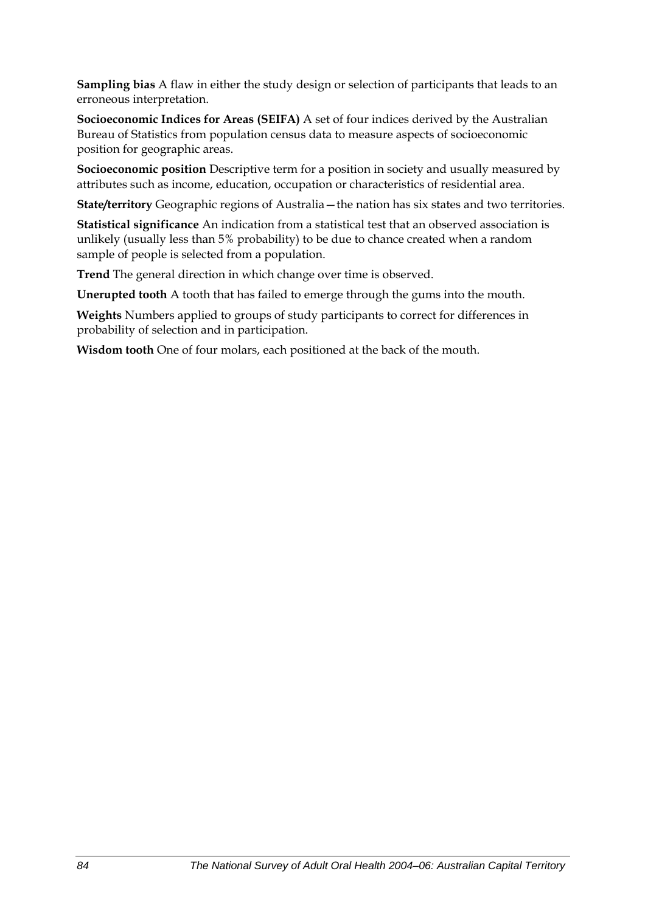**Sampling bias** A flaw in either the study design or selection of participants that leads to an erroneous interpretation.

**Socioeconomic Indices for Areas (SEIFA)** A set of four indices derived by the Australian Bureau of Statistics from population census data to measure aspects of socioeconomic position for geographic areas.

**Socioeconomic position** Descriptive term for a position in society and usually measured by attributes such as income, education, occupation or characteristics of residential area.

**State/territory** Geographic regions of Australia—the nation has six states and two territories.

**Statistical significance** An indication from a statistical test that an observed association is unlikely (usually less than 5% probability) to be due to chance created when a random sample of people is selected from a population.

**Trend** The general direction in which change over time is observed.

**Unerupted tooth** A tooth that has failed to emerge through the gums into the mouth.

**Weights** Numbers applied to groups of study participants to correct for differences in probability of selection and in participation.

**Wisdom tooth** One of four molars, each positioned at the back of the mouth.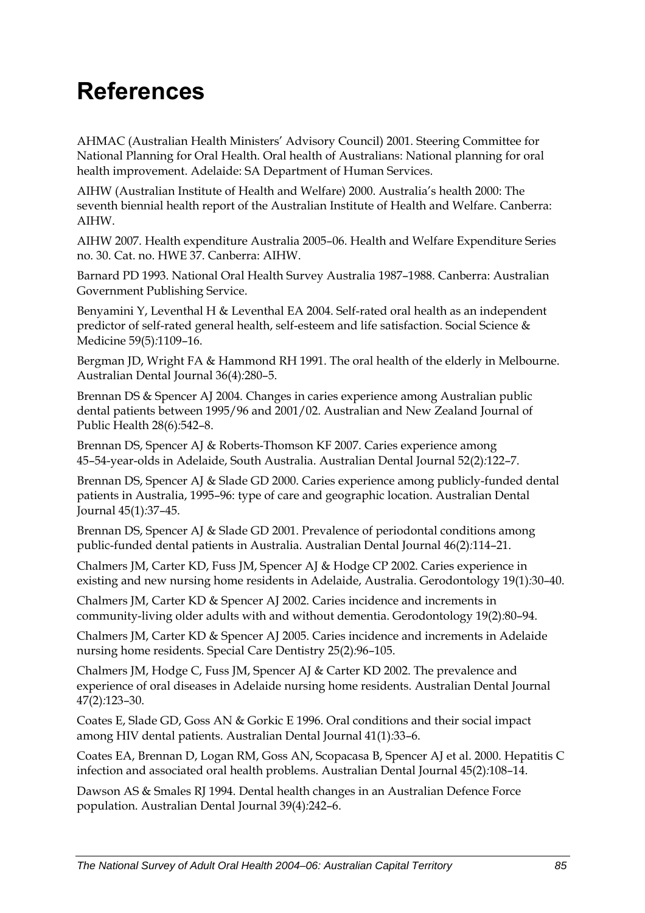# **References**

AHMAC (Australian Health Ministers' Advisory Council) 2001. Steering Committee for National Planning for Oral Health. Oral health of Australians: National planning for oral health improvement. Adelaide: SA Department of Human Services.

AIHW (Australian Institute of Health and Welfare) 2000. Australia's health 2000: The seventh biennial health report of the Australian Institute of Health and Welfare. Canberra: AIHW.

AIHW 2007. Health expenditure Australia 2005–06. Health and Welfare Expenditure Series no. 30. Cat. no. HWE 37. Canberra: AIHW.

Barnard PD 1993. National Oral Health Survey Australia 1987–1988. Canberra: Australian Government Publishing Service.

Benyamini Y, Leventhal H & Leventhal EA 2004. Self-rated oral health as an independent predictor of self-rated general health, self-esteem and life satisfaction. Social Science & Medicine 59(5)*:*1109–16.

Bergman JD, Wright FA & Hammond RH 1991. The oral health of the elderly in Melbourne. Australian Dental Journal 36(4)*:*280–5.

Brennan DS & Spencer AJ 2004. Changes in caries experience among Australian public dental patients between 1995/96 and 2001/02. Australian and New Zealand Journal of Public Health 28(6)*:*542–8.

Brennan DS, Spencer AJ & Roberts-Thomson KF 2007. Caries experience among 45–54-year-olds in Adelaide, South Australia. Australian Dental Journal 52(2)*:*122–7.

Brennan DS, Spencer AJ & Slade GD 2000. Caries experience among publicly-funded dental patients in Australia, 1995–96: type of care and geographic location. Australian Dental Journal 45(1)*:*37–45.

Brennan DS, Spencer AJ & Slade GD 2001. Prevalence of periodontal conditions among public-funded dental patients in Australia. Australian Dental Journal 46(2)*:*114–21.

Chalmers JM, Carter KD, Fuss JM, Spencer AJ & Hodge CP 2002. Caries experience in existing and new nursing home residents in Adelaide, Australia. Gerodontology 19(1)*:*30–40.

Chalmers JM, Carter KD & Spencer AJ 2002. Caries incidence and increments in community-living older adults with and without dementia. Gerodontology 19(2)*:*80–94.

Chalmers JM, Carter KD & Spencer AJ 2005. Caries incidence and increments in Adelaide nursing home residents. Special Care Dentistry 25(2)*:*96–105.

Chalmers JM, Hodge C, Fuss JM, Spencer AJ & Carter KD 2002. The prevalence and experience of oral diseases in Adelaide nursing home residents. Australian Dental Journal 47(2)*:*123–30.

Coates E, Slade GD, Goss AN & Gorkic E 1996. Oral conditions and their social impact among HIV dental patients. Australian Dental Journal 41(1)*:*33–6.

Coates EA, Brennan D, Logan RM, Goss AN, Scopacasa B, Spencer AJ et al. 2000. Hepatitis C infection and associated oral health problems. Australian Dental Journal 45(2)*:*108–14.

Dawson AS & Smales RJ 1994. Dental health changes in an Australian Defence Force population. Australian Dental Journal 39(4)*:*242–6.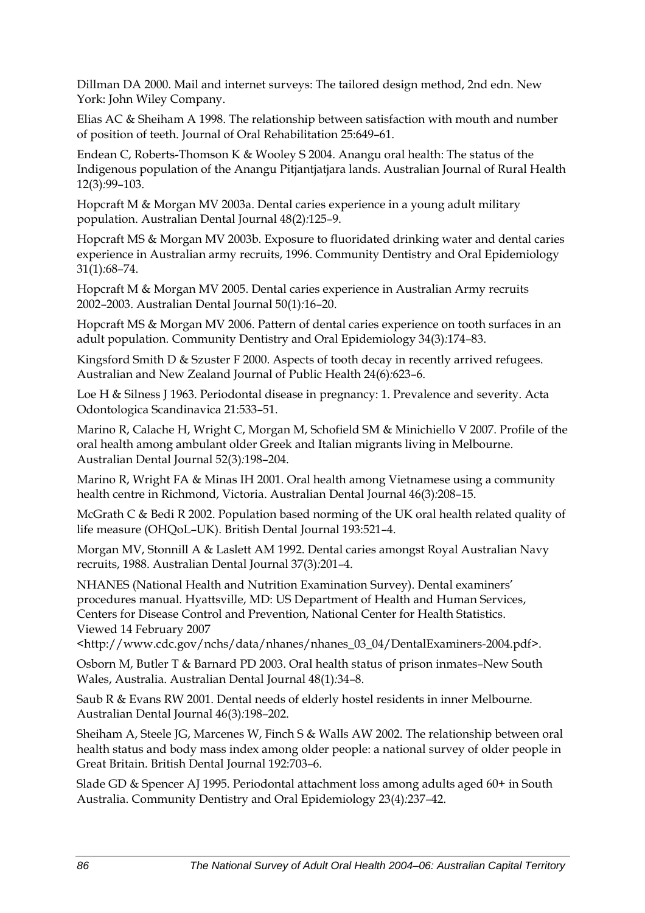Dillman DA 2000. Mail and internet surveys: The tailored design method, 2nd edn. New York: John Wiley Company.

Elias AC & Sheiham A 1998. The relationship between satisfaction with mouth and number of position of teeth. Journal of Oral Rehabilitation 25:649–61.

Endean C, Roberts-Thomson K & Wooley S 2004. Anangu oral health: The status of the Indigenous population of the Anangu Pitjantjatjara lands. Australian Journal of Rural Health 12(3)*:*99–103.

Hopcraft M & Morgan MV 2003a. Dental caries experience in a young adult military population. Australian Dental Journal 48(2)*:*125–9.

Hopcraft MS & Morgan MV 2003b. Exposure to fluoridated drinking water and dental caries experience in Australian army recruits, 1996. Community Dentistry and Oral Epidemiology 31(1)*:*68–74.

Hopcraft M & Morgan MV 2005. Dental caries experience in Australian Army recruits 2002–2003. Australian Dental Journal 50(1)*:*16–20.

Hopcraft MS & Morgan MV 2006. Pattern of dental caries experience on tooth surfaces in an adult population. Community Dentistry and Oral Epidemiology 34(3)*:*174–83.

Kingsford Smith D & Szuster F 2000. Aspects of tooth decay in recently arrived refugees. Australian and New Zealand Journal of Public Health 24(6)*:*623–6.

Loe H & Silness J 1963. Periodontal disease in pregnancy: 1. Prevalence and severity. Acta Odontologica Scandinavica 21:533–51.

Marino R, Calache H, Wright C, Morgan M, Schofield SM & Minichiello V 2007. Profile of the oral health among ambulant older Greek and Italian migrants living in Melbourne. Australian Dental Journal 52(3)*:*198–204.

Marino R, Wright FA & Minas IH 2001. Oral health among Vietnamese using a community health centre in Richmond, Victoria. Australian Dental Journal 46(3)*:*208–15.

McGrath C & Bedi R 2002. Population based norming of the UK oral health related quality of life measure (OHQoL–UK). British Dental Journal 193:521–4.

Morgan MV, Stonnill A & Laslett AM 1992. Dental caries amongst Royal Australian Navy recruits, 1988. Australian Dental Journal 37(3)*:*201–4.

NHANES (National Health and Nutrition Examination Survey). Dental examiners' procedures manual. Hyattsville, MD: US Department of Health and Human Services, Centers for Disease Control and Prevention, National Center for Health Statistics. Viewed 14 February 2007

<http://www.cdc.gov/nchs/data/nhanes/nhanes\_03\_04/DentalExaminers-2004.pdf>.

Osborn M, Butler T & Barnard PD 2003. Oral health status of prison inmates–New South Wales, Australia. Australian Dental Journal 48(1)*:*34–8.

Saub R & Evans RW 2001. Dental needs of elderly hostel residents in inner Melbourne. Australian Dental Journal 46(3)*:*198–202.

Sheiham A, Steele JG, Marcenes W, Finch S & Walls AW 2002. The relationship between oral health status and body mass index among older people: a national survey of older people in Great Britain. British Dental Journal 192:703–6.

Slade GD & Spencer AJ 1995. Periodontal attachment loss among adults aged 60+ in South Australia. Community Dentistry and Oral Epidemiology 23(4)*:*237–42.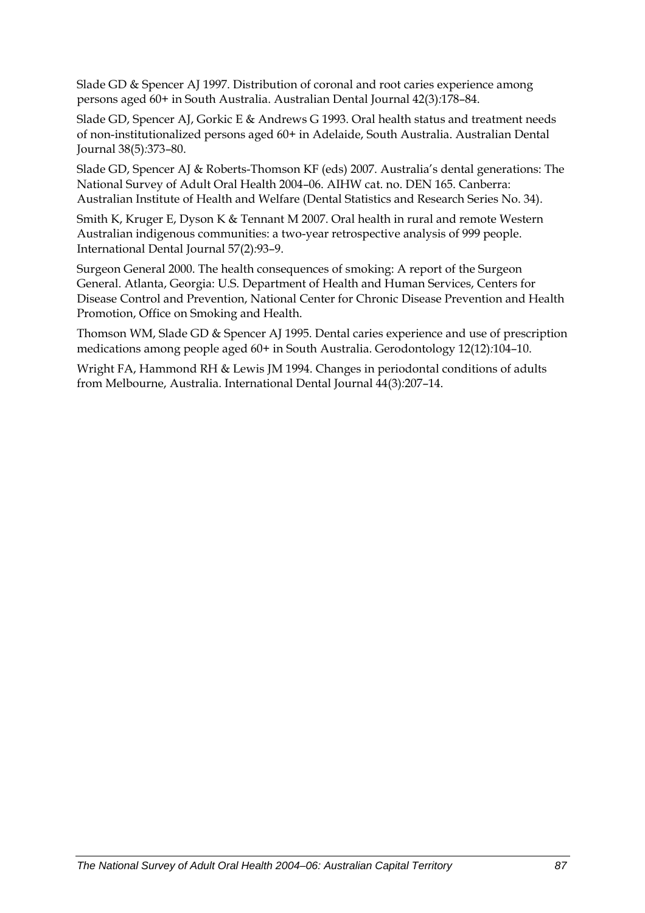Slade GD & Spencer AJ 1997. Distribution of coronal and root caries experience among persons aged 60+ in South Australia. Australian Dental Journal 42(3)*:*178–84.

Slade GD, Spencer AJ, Gorkic E & Andrews G 1993. Oral health status and treatment needs of non-institutionalized persons aged 60+ in Adelaide, South Australia. Australian Dental Journal 38(5)*:*373–80.

Slade GD, Spencer AJ & Roberts-Thomson KF (eds) 2007. Australia's dental generations: The National Survey of Adult Oral Health 2004–06. AIHW cat. no. DEN 165. Canberra: Australian Institute of Health and Welfare (Dental Statistics and Research Series No. 34).

Smith K, Kruger E, Dyson K & Tennant M 2007. Oral health in rural and remote Western Australian indigenous communities: a two-year retrospective analysis of 999 people. International Dental Journal 57(2)*:*93–9.

Surgeon General 2000. The health consequences of smoking: A report of the Surgeon General. Atlanta, Georgia: U.S. Department of Health and Human Services, Centers for Disease Control and Prevention, National Center for Chronic Disease Prevention and Health Promotion, Office on Smoking and Health.

Thomson WM, Slade GD & Spencer AJ 1995. Dental caries experience and use of prescription medications among people aged 60+ in South Australia. Gerodontology 12(12)*:*104–10.

Wright FA, Hammond RH & Lewis JM 1994. Changes in periodontal conditions of adults from Melbourne, Australia. International Dental Journal 44(3)*:*207–14.